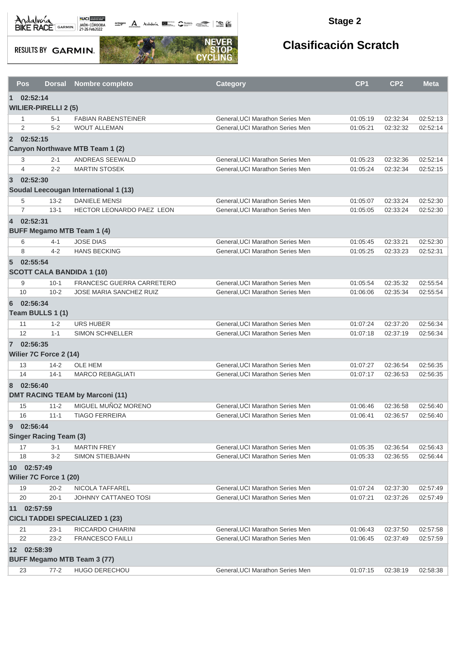

**octogon A** Andalwin **ELLER** CANNAIS TO BE

#### **Stage 2**

**RESULTS BY GARMIN.** 



| Pos            | <b>Dorsal</b>                     | <b>Nombre completo</b>                 | <b>Category</b>                  | CP <sub>1</sub> | CP <sub>2</sub> | <b>Meta</b> |
|----------------|-----------------------------------|----------------------------------------|----------------------------------|-----------------|-----------------|-------------|
| $\blacksquare$ | 02:52:14                          |                                        |                                  |                 |                 |             |
|                | <b>WILIER-PIRELLI 2 (5)</b>       |                                        |                                  |                 |                 |             |
| 1              | $5 - 1$                           | <b>FABIAN RABENSTEINER</b>             | General, UCI Marathon Series Men | 01:05:19        | 02:32:34        | 02:52:13    |
| 2              | $5 - 2$                           | <b>WOUT ALLEMAN</b>                    | General, UCI Marathon Series Men | 01:05:21        | 02:32:32        | 02:52:14    |
|                | 2 02:52:15                        |                                        |                                  |                 |                 |             |
|                |                                   | Canyon Northwave MTB Team 1 (2)        |                                  |                 |                 |             |
| 3              | $2 - 1$                           | ANDREAS SEEWALD                        | General, UCI Marathon Series Men | 01:05:23        | 02:32:36        | 02:52:14    |
| $\overline{4}$ | $2 - 2$                           | <b>MARTIN STOSEK</b>                   | General, UCI Marathon Series Men | 01:05:24        | 02:32:34        | 02:52:15    |
| $\overline{3}$ | 02:52:30                          |                                        |                                  |                 |                 |             |
|                |                                   | Soudal Leecougan International 1 (13)  |                                  |                 |                 |             |
| 5              | $13 - 2$                          | <b>DANIELE MENSI</b>                   | General, UCI Marathon Series Men | 01:05:07        | 02:33:24        | 02:52:30    |
| $\overline{7}$ | $13 - 1$                          | HECTOR LEONARDO PAEZ LEON              | General, UCI Marathon Series Men | 01:05:05        | 02:33:24        | 02:52:30    |
|                | 4 02:52:31                        |                                        |                                  |                 |                 |             |
|                | <b>BUFF Megamo MTB Team 1 (4)</b> |                                        |                                  |                 |                 |             |
| 6              | 4-1                               | <b>JOSE DIAS</b>                       | General, UCI Marathon Series Men | 01:05:45        | 02:33:21        | 02:52:30    |
| 8              | $4 - 2$                           | <b>HANS BECKING</b>                    | General, UCI Marathon Series Men | 01:05:25        | 02:33:23        | 02:52:31    |
| 5 <sup>5</sup> | 02:55:54                          |                                        |                                  |                 |                 |             |
|                | <b>SCOTT CALA BANDIDA 1 (10)</b>  |                                        |                                  |                 |                 |             |
| 9              | $10 - 1$                          | FRANCESC GUERRA CARRETERO              | General, UCI Marathon Series Men | 01:05:54        | 02:35:32        | 02:55:54    |
| 10             | $10 - 2$                          | <b>JOSE MARIA SANCHEZ RUIZ</b>         | General, UCI Marathon Series Men | 01:06:06        | 02:35:34        | 02:55:54    |
| 6              | 02:56:34                          |                                        |                                  |                 |                 |             |
|                | Team BULLS 1 (1)                  |                                        |                                  |                 |                 |             |
| 11             | $1 - 2$                           | <b>URS HUBER</b>                       | General, UCI Marathon Series Men | 01:07:24        | 02:37:20        | 02:56:34    |
| 12             | $1 - 1$                           | <b>SIMON SCHNELLER</b>                 | General, UCI Marathon Series Men | 01:07:18        | 02:37:19        | 02:56:34    |
|                | 7 02:56:35                        |                                        |                                  |                 |                 |             |
|                | Wilier 7C Force 2 (14)            |                                        |                                  |                 |                 |             |
| 13             | $14 - 2$                          | <b>OLE HEM</b>                         | General, UCI Marathon Series Men | 01:07:27        | 02:36:54        | 02:56:35    |
| 14             | $14 - 1$                          | <b>MARCO REBAGLIATI</b>                | General, UCI Marathon Series Men | 01:07:17        | 02:36:53        | 02:56:35    |
| 8              | 02:56:40                          |                                        |                                  |                 |                 |             |
|                |                                   | <b>DMT RACING TEAM by Marconi (11)</b> |                                  |                 |                 |             |
| 15             | $11 - 2$                          | MIGUEL MUÑOZ MORENO                    | General, UCI Marathon Series Men | 01:06:46        | 02:36:58        | 02:56:40    |
| 16             | $11 - 1$                          | <b>TIAGO FERREIRA</b>                  | General, UCI Marathon Series Men | 01:06:41        | 02:36:57        | 02:56:40    |
| 9              | 02:56:44                          |                                        |                                  |                 |                 |             |
|                | <b>Singer Racing Team (3)</b>     |                                        |                                  |                 |                 |             |
| 17             | $3 - 1$                           | <b>MARTIN FREY</b>                     | General, UCI Marathon Series Men | 01:05:35        | 02:36:54        | 02:56:43    |
| 18             | $3 - 2$                           | <b>SIMON STIEBJAHN</b>                 | General, UCI Marathon Series Men | 01:05:33        | 02:36:55        | 02:56:44    |
|                | 10 02:57:49                       |                                        |                                  |                 |                 |             |
|                | Wilier 7C Force 1 (20)            |                                        |                                  |                 |                 |             |
| 19             | $20 - 2$                          | NICOLA TAFFAREL                        | General, UCI Marathon Series Men | 01:07:24        | 02:37:30        | 02:57:49    |
| 20             | $20 - 1$                          | JOHNNY CATTANEO TOSI                   | General, UCI Marathon Series Men | 01:07:21        | 02:37:26        | 02:57:49    |
| 11             | 02:57:59                          |                                        |                                  |                 |                 |             |
|                |                                   | <b>CICLI TADDEI SPECIALIZED 1 (23)</b> |                                  |                 |                 |             |
| 21             | $23-1$                            | RICCARDO CHIARINI                      | General, UCI Marathon Series Men | 01:06:43        | 02:37:50        | 02:57:58    |
| 22             | $23 - 2$                          | <b>FRANCESCO FAILLI</b>                | General, UCI Marathon Series Men | 01:06:45        | 02:37:49        | 02:57:59    |
|                | 12 02:58:39                       |                                        |                                  |                 |                 |             |
|                |                                   | <b>BUFF Megamo MTB Team 3 (77)</b>     |                                  |                 |                 |             |
| 23             | $77 - 2$                          | HUGO DERECHOU                          | General, UCI Marathon Series Men | 01:07:15        | 02:38:19        | 02:58:38    |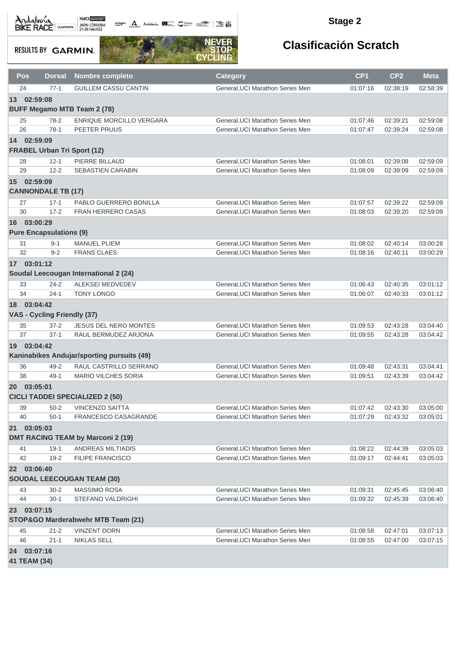Andalvona MEDICIE

octogon A Andalunia **1977** Catalog 2008 - 2008

#### **Stage 2**

**RESULTS BY GARMIN.** 



|                  | Pos          | Dorsal                         | Nombre completo                            | <b>Category</b>                                                      | CP <sub>1</sub>      | CP <sub>2</sub>      | <b>Meta</b>          |
|------------------|--------------|--------------------------------|--------------------------------------------|----------------------------------------------------------------------|----------------------|----------------------|----------------------|
|                  | 24           | $77-1$                         | <b>GUILLEM CASSU CANTIN</b>                | General, UCI Marathon Series Men                                     | 01:07:16             | 02:38:19             | 02:58:39             |
|                  | 13 02:59:08  |                                |                                            |                                                                      |                      |                      |                      |
|                  |              |                                | <b>BUFF Megamo MTB Team 2 (78)</b>         |                                                                      |                      |                      |                      |
|                  | 25           | $78-2$                         | ENRIQUE MORCILLO VERGARA                   | General, UCI Marathon Series Men                                     | 01:07:46             | 02:39:21             | 02:59:08             |
|                  | 26           | $78-1$                         | PEETER PRUUS                               | General, UCI Marathon Series Men                                     | 01:07:47             | 02:39:24             | 02:59:08             |
| 14               | 02:59:09     |                                |                                            |                                                                      |                      |                      |                      |
|                  |              |                                | <b>FRABEL Urban Tri Sport (12)</b>         |                                                                      |                      |                      |                      |
|                  | 28           | $12 - 1$                       | PIERRE BILLAUD                             | General, UCI Marathon Series Men                                     | 01:08:01             | 02:39:08             | 02:59:09             |
|                  | 29           | $12 - 2$                       | <b>SEBASTIEN CARABIN</b>                   | General, UCI Marathon Series Men                                     | 01:08:09             | 02:39:09             | 02:59:09             |
| 15 <sup>15</sup> | 02:59:09     |                                |                                            |                                                                      |                      |                      |                      |
|                  |              | <b>CANNONDALE TB (17)</b>      |                                            |                                                                      |                      |                      |                      |
|                  | 27           | $17 - 1$                       | PABLO GUERRERO BONILLA                     | General, UCI Marathon Series Men                                     | 01:07:57             | 02:39:22             | 02:59:09             |
|                  | 30           | $17 - 2$                       | <b>FRAN HERRERO CASAS</b>                  | General, UCI Marathon Series Men                                     | 01:08:03             | 02:39:20             | 02:59:09             |
| 16               | 03:00:29     |                                |                                            |                                                                      |                      |                      |                      |
|                  |              | <b>Pure Encapsulations (9)</b> |                                            |                                                                      |                      |                      |                      |
|                  | 31           | $9 - 1$                        | <b>MANUEL PLIEM</b>                        | General, UCI Marathon Series Men                                     | 01:08:02             | 02:40:14             | 03:00:28             |
|                  | 32           | $9 - 2$                        | <b>FRANS CLAES</b>                         | General, UCI Marathon Series Men                                     | 01:08:16             | 02:40:11             | 03:00:29             |
|                  | 17 03:01:12  |                                |                                            |                                                                      |                      |                      |                      |
|                  |              |                                | Soudal Leecougan International 2 (24)      |                                                                      |                      |                      |                      |
|                  | 33           | $24 - 2$                       | <b>ALEKSEI MEDVEDEV</b>                    | General, UCI Marathon Series Men                                     | 01:06:43             | 02:40:35             | 03:01:12             |
|                  | 34           | $24 - 1$                       | <b>TONY LONGO</b>                          | General, UCI Marathon Series Men                                     | 01:06:07             | 02:40:33             | 03:01:12             |
| 18               | 03:04:42     |                                |                                            |                                                                      |                      |                      |                      |
|                  |              | VAS - Cycling Friendly (37)    |                                            |                                                                      |                      |                      |                      |
|                  | 35           | $37 - 2$                       | <b>JESUS DEL NERO MONTES</b>               | General, UCI Marathon Series Men                                     | 01:09:53             | 02:43:28             | 03:04:40             |
|                  | 37           | $37-1$                         | RAUL BERMUDEZ ARJONA                       | General, UCI Marathon Series Men                                     | 01:09:55             | 02:43:28             | 03:04:42             |
| 19               | 03:04:42     |                                |                                            |                                                                      |                      |                      |                      |
|                  |              |                                | Kaninabikes Andujar/sporting pursuits (49) |                                                                      |                      |                      |                      |
|                  | 36           | $49 - 2$                       | RAUL CASTRILLO SERRANO                     | General, UCI Marathon Series Men                                     | 01:09:48             | 02:43:31             | 03:04:41             |
|                  | 38           | $49-1$                         | <b>MARIO VILCHES SORIA</b>                 | General, UCI Marathon Series Men                                     | 01:09:51             | 02:43:39             | 03:04:42             |
| <b>20</b>        | 03:05:01     |                                |                                            |                                                                      |                      |                      |                      |
|                  |              |                                | <b>CICLI TADDEI SPECIALIZED 2 (50)</b>     |                                                                      |                      |                      |                      |
|                  | 39           | $50 - 2$                       | <b>VINCENZO SAITTA</b>                     | General, UCI Marathon Series Men                                     | 01:07:42             | 02:43:30             | 03:05:00             |
|                  | 40           | 50-1                           | FRANCESCO CASAGRANDE                       | General, UCI Marathon Series Men                                     | 01:07:29             | 02:43:32             | 03:05:01             |
| 21               | 03:05:03     |                                |                                            |                                                                      |                      |                      |                      |
|                  |              |                                | <b>DMT RACING TEAM by Marconi 2 (19)</b>   |                                                                      |                      |                      |                      |
|                  | 41           | $19-1$                         | ANDREAS MILTIADIS                          | General, UCI Marathon Series Men                                     | 01:08:22             | 02:44:39             | 03:05:03             |
|                  | 42           | $19 - 2$                       | <b>FILIPE FRANCISCO</b>                    | General, UCI Marathon Series Men                                     | 01:09:17             | 02:44:41             | 03:05:03             |
|                  | 22 03:06:40  |                                |                                            |                                                                      |                      |                      |                      |
|                  |              |                                | <b>SOUDAL LEECOUGAN TEAM (30)</b>          |                                                                      |                      |                      |                      |
|                  | 43<br>44     | $30 - 2$<br>$30 - 1$           | MASSIMO ROSA<br>STEFANO VALDRIGHI          | General, UCI Marathon Series Men<br>General, UCI Marathon Series Men | 01:09:31<br>01:09:32 | 02:45:45<br>02:45:39 | 03:06:40<br>03:06:40 |
|                  |              |                                |                                            |                                                                      |                      |                      |                      |
| <b>23</b>        | 03:07:15     |                                | STOP&GO Marderabwehr MTB Team (21)         |                                                                      |                      |                      |                      |
|                  |              |                                |                                            |                                                                      |                      |                      |                      |
|                  | 45<br>46     | $21 - 2$<br>$21 - 1$           | <b>VINZENT DORN</b><br>NIKLAS SELL         | General, UCI Marathon Series Men<br>General, UCI Marathon Series Men | 01:08:58<br>01:08:55 | 02:47:01<br>02:47:00 | 03:07:13<br>03:07:15 |
|                  | 24 03:07:16  |                                |                                            |                                                                      |                      |                      |                      |
|                  | 41 TEAM (34) |                                |                                            |                                                                      |                      |                      |                      |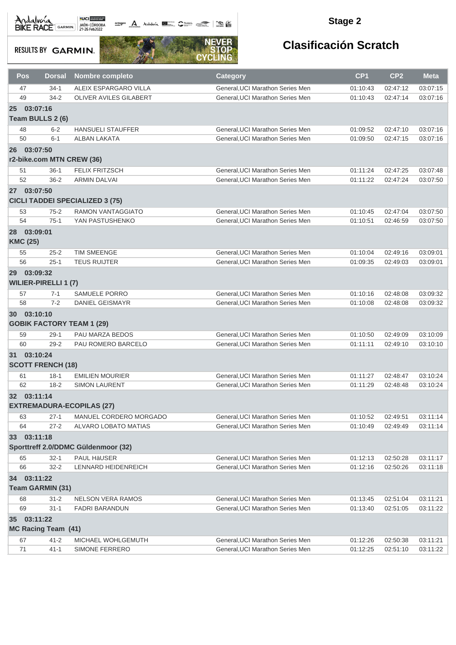**octogon A** Andalwin **ELLER** CANNAIS TO BE

#### **Stage 2**

**RESULTS BY GARMIN.** 



| Pos                            | <b>Dorsal</b>                           | <b>Nombre completo</b>                 | <b>Category</b>                  | CP <sub>1</sub> | CP <sub>2</sub> | <b>Meta</b> |
|--------------------------------|-----------------------------------------|----------------------------------------|----------------------------------|-----------------|-----------------|-------------|
| 47                             | $34-1$                                  | ALEIX ESPARGARO VILLA                  | General, UCI Marathon Series Men | 01:10:43        | 02:47:12        | 03:07:15    |
| 49                             | $34 - 2$                                | OLIVER AVILES GILABERT                 | General, UCI Marathon Series Men | 01:10:43        | 02:47:14        | 03:07:16    |
| 25                             | 03:07:16<br>Team BULLS 2 (6)            |                                        |                                  |                 |                 |             |
| 48                             | $6 - 2$                                 | <b>HANSUELI STAUFFER</b>               | General, UCI Marathon Series Men | 01:09:52        | 02:47:10        | 03:07:16    |
| 50                             | $6 - 1$                                 | <b>ALBAN LAKATA</b>                    | General, UCI Marathon Series Men | 01:09:50        | 02:47:15        | 03:07:16    |
| 26 03:07:50                    |                                         |                                        |                                  |                 |                 |             |
|                                | r2-bike.com MTN CREW (36)               |                                        |                                  |                 |                 |             |
| 51                             | $36-1$                                  | <b>FELIX FRITZSCH</b>                  | General, UCI Marathon Series Men | 01:11:24        | 02:47:25        | 03:07:48    |
| 52                             | $36 - 2$                                | <b>ARMIN DALVAI</b>                    | General.UCI Marathon Series Men  | 01:11:22        | 02:47:24        | 03:07:50    |
| 27                             | 03:07:50                                | <b>CICLI TADDEI SPECIALIZED 3 (75)</b> |                                  |                 |                 |             |
| 53                             | $75 - 2$                                | <b>RAMON VANTAGGIATO</b>               | General, UCI Marathon Series Men | 01:10:45        | 02:47:04        | 03:07:50    |
| 54                             | $75-1$                                  | YAN PASTUSHENKO                        | General.UCI Marathon Series Men  | 01:10:51        | 02:46:59        | 03:07:50    |
| 28 03:09:01<br><b>KMC (25)</b> |                                         |                                        |                                  |                 |                 |             |
| 55                             | $25 - 2$                                | <b>TIM SMEENGE</b>                     | General, UCI Marathon Series Men | 01:10:04        | 02:49:16        | 03:09:01    |
| 56                             | $25 - 1$                                | <b>TEUS RUIJTER</b>                    | General, UCI Marathon Series Men | 01:09:35        | 02:49:03        | 03:09:01    |
| 29                             | 03:09:32<br><b>WILIER-PIRELLI 1 (7)</b> |                                        |                                  |                 |                 |             |
| 57                             | $7 - 1$                                 | <b>SAMUELE PORRO</b>                   | General, UCI Marathon Series Men | 01:10:16        | 02:48:08        | 03:09:32    |
| 58                             | $7 - 2$                                 | DANIEL GEISMAYR                        | General, UCI Marathon Series Men | 01:10:08        | 02:48:08        | 03:09:32    |
| 30 03:10:10                    |                                         | <b>GOBIK FACTORY TEAM 1 (29)</b>       |                                  |                 |                 |             |
| 59                             | $29-1$                                  | PAU MARZA BEDOS                        | General, UCI Marathon Series Men | 01:10:50        | 02:49:09        | 03:10:09    |
| 60                             | $29 - 2$                                | PAU ROMERO BARCELO                     | General, UCI Marathon Series Men | 01:11:11        | 02:49:10        | 03:10:10    |
| 31 03:10:24                    | <b>SCOTT FRENCH (18)</b>                |                                        |                                  |                 |                 |             |
| 61                             | $18-1$                                  | <b>EMILIEN MOURIER</b>                 | General, UCI Marathon Series Men | 01:11:27        | 02:48:47        | 03:10:24    |
| 62                             | $18 - 2$                                | <b>SIMON LAURENT</b>                   | General, UCI Marathon Series Men | 01:11:29        | 02:48:48        | 03:10:24    |
| 32 03:11:14                    |                                         | <b>EXTREMADURA-ECOPILAS (27)</b>       |                                  |                 |                 |             |
| 63                             | $27-1$                                  | MANUEL CORDERO MORGADO                 | General, UCI Marathon Series Men | 01:10:52        | 02:49:51        | 03:11:14    |
| 64                             | $27 - 2$                                | ALVARO LOBATO MATIAS                   | General, UCI Marathon Series Men | 01:10:49        | 02:49:49        | 03:11:14    |
| 33                             | 03:11:18                                |                                        |                                  |                 |                 |             |
|                                |                                         | Sporttreff 2.0/DDMC Güldenmoor (32)    |                                  |                 |                 |             |
| 65                             | $32 - 1$                                | PAUL HäUSER                            | General, UCI Marathon Series Men | 01:12:13        | 02:50:28        | 03:11:17    |
| 66                             | $32 - 2$                                | LENNARD HEIDENREICH                    | General, UCI Marathon Series Men | 01:12:16        | 02:50:26        | 03:11:18    |
| 34                             | 03:11:22                                |                                        |                                  |                 |                 |             |
|                                | Team GARMIN (31)                        |                                        |                                  |                 |                 |             |
| 68                             | $31 - 2$                                | NELSON VERA RAMOS                      | General, UCI Marathon Series Men | 01:13:45        | 02:51:04        | 03:11:21    |
| 69                             | $31 - 1$                                | <b>FADRI BARANDUN</b>                  | General, UCI Marathon Series Men | 01:13:40        | 02:51:05        | 03:11:22    |
| 35 03:11:22                    |                                         |                                        |                                  |                 |                 |             |
|                                | <b>MC Racing Team (41)</b>              |                                        |                                  |                 |                 |             |
| 67                             | $41 - 2$                                | MICHAEL WOHLGEMUTH                     | General, UCI Marathon Series Men | 01:12:26        | 02:50:38        | 03:11:21    |
| $71$                           | $41 - 1$                                | SIMONE FERRERO                         | General, UCI Marathon Series Men | 01:12:25        | 02:51:10        | 03:11:22    |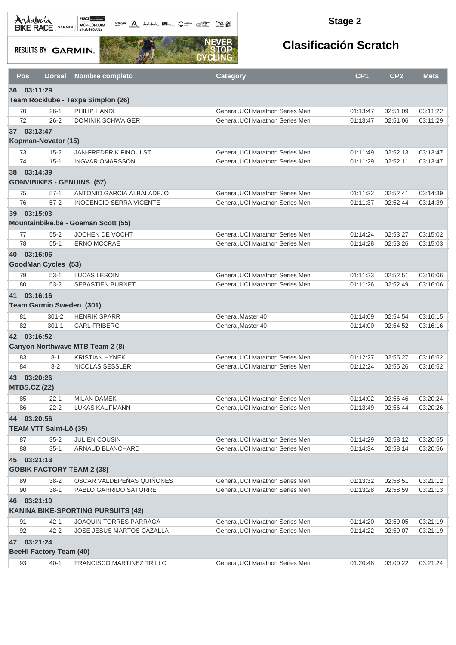Andalva BACE GARMIN AND LOCAL DEL BACK

octogon A Andalusía **DE C**ANALIS COMPOS COMPOS

#### **Stage 2**

**RESULTS BY GARMIN.** 



|    | <b>Pos</b>                     | <b>Dorsal</b>        | <b>Nombre completo</b>                    | <b>Category</b>                                                      | CP <sub>1</sub>      | CP <sub>2</sub>      | <b>Meta</b>          |
|----|--------------------------------|----------------------|-------------------------------------------|----------------------------------------------------------------------|----------------------|----------------------|----------------------|
|    | 36 03:11:29                    |                      |                                           |                                                                      |                      |                      |                      |
|    |                                |                      | Team Rocklube - Texpa Simplon (26)        |                                                                      |                      |                      |                      |
|    | 70                             | $26-1$               | PHILIP HANDL                              | General.UCI Marathon Series Men                                      | 01:13:47             | 02:51:09             | 03:11:22             |
|    | 72                             | $26 - 2$             | <b>DOMINIK SCHWAIGER</b>                  | General, UCI Marathon Series Men                                     | 01:13:47             | 02:51:06             | 03:11:29             |
|    | 37 03:13:47                    |                      |                                           |                                                                      |                      |                      |                      |
|    | Kopman-Novator (15)            |                      |                                           |                                                                      |                      |                      |                      |
|    | 73                             | $15 - 2$             | JAN-FREDERIK FINOULST                     | General, UCI Marathon Series Men                                     | 01:11:49             | 02:52:13             | 03:13:47             |
|    | 74                             | $15-1$               | <b>INGVAR OMARSSON</b>                    | General, UCI Marathon Series Men                                     | 01:11:29             | 02:52:11             | 03:13:47             |
|    | 38 03:14:39                    |                      |                                           |                                                                      |                      |                      |                      |
|    |                                |                      | <b>GONVIBIKES - GENUINS (57)</b>          |                                                                      |                      |                      |                      |
|    | 75                             | $57-1$               | ANTONIO GARCIA ALBALADEJO                 | General, UCI Marathon Series Men                                     | 01:11:32             | 02:52:41             | 03:14:39             |
|    | 76                             | $57 - 2$             | <b>INOCENCIO SERRA VICENTE</b>            | General, UCI Marathon Series Men                                     | 01:11:37             | 02:52:44             | 03:14:39             |
|    | 39 03:15:03                    |                      |                                           |                                                                      |                      |                      |                      |
|    |                                |                      | Mountainbike.be - Goeman Scott (55)       |                                                                      |                      |                      |                      |
|    | 77                             | $55 - 2$             | JOCHEN DE VOCHT                           | General, UCI Marathon Series Men                                     | 01:14:24             | 02:53:27             | 03:15:02             |
|    | 78                             | $55-1$               | <b>ERNO MCCRAE</b>                        | General.UCI Marathon Series Men                                      | 01:14:28             | 02:53:26             | 03:15:03             |
|    | 40 03:16:06                    |                      |                                           |                                                                      |                      |                      |                      |
|    | <b>GoodMan Cycles (53)</b>     |                      |                                           |                                                                      |                      |                      |                      |
|    | 79                             | $53-1$               | <b>LUCAS LESOIN</b>                       | General, UCI Marathon Series Men                                     | 01:11:23             | 02:52:51             | 03:16:06             |
|    | 80                             | $53 - 2$             | <b>SEBASTIEN BURNET</b>                   | General, UCI Marathon Series Men                                     | 01:11:26             | 02:52:49             | 03:16:06             |
| 41 | 03:16:16                       |                      |                                           |                                                                      |                      |                      |                      |
|    | Team Garmin Sweden (301)       |                      |                                           |                                                                      |                      |                      |                      |
|    | 81                             | $301 - 2$            | <b>HENRIK SPARR</b>                       | General, Master 40                                                   | 01:14:09             | 02:54:54             | 03:16:15             |
|    | 82                             | $301 - 1$            | <b>CARL FRIBERG</b>                       | General, Master 40                                                   | 01:14:00             | 02:54:52             | 03:16:16             |
|    | 42 03:16:52                    |                      |                                           |                                                                      |                      |                      |                      |
|    |                                |                      | Canyon Northwave MTB Team 2 (8)           |                                                                      |                      |                      |                      |
|    | 83                             | $8 - 1$              | <b>KRISTIAN HYNEK</b>                     | General, UCI Marathon Series Men                                     | 01:12:27             | 02:55:27             | 03:16:52             |
|    | 84                             | $8 - 2$              | NICOLAS SESSLER                           | General, UCI Marathon Series Men                                     | 01:12:24             | 02:55:26             | 03:16:52             |
|    | 43 03:20:26                    |                      |                                           |                                                                      |                      |                      |                      |
|    | <b>MTBS.CZ (22)</b>            |                      |                                           |                                                                      |                      |                      |                      |
|    | 85                             |                      | <b>MILAN DAMEK</b>                        | General, UCI Marathon Series Men                                     | 01:14:02             | 02:56:46             | 03:20:24             |
|    | 86                             | 22-1<br>$22 - 2$     | <b>LUKAS KAUFMANN</b>                     | General, UCI Marathon Series Men                                     | 01:13:49             | 02:56:44             | 03:20:26             |
|    | 44 03:20:56                    |                      |                                           |                                                                      |                      |                      |                      |
|    | <b>TEAM VTT Saint-Lô (35)</b>  |                      |                                           |                                                                      |                      |                      |                      |
|    |                                |                      |                                           |                                                                      |                      |                      |                      |
|    | 87<br>88                       | $35 - 2$<br>$35 - 1$ | <b>JULIEN COUSIN</b><br>ARNAUD BLANCHARD  | General, UCI Marathon Series Men<br>General, UCI Marathon Series Men | 01:14:29<br>01:14:34 | 02:58:12<br>02:58:14 | 03:20:55<br>03:20:56 |
|    |                                |                      |                                           |                                                                      |                      |                      |                      |
|    | 45 03:21:13                    |                      |                                           |                                                                      |                      |                      |                      |
|    |                                |                      | <b>GOBIK FACTORY TEAM 2 (38)</b>          |                                                                      |                      |                      |                      |
|    | 89                             | $38 - 2$             | OSCAR VALDEPEÑAS QUIÑONES                 | General, UCI Marathon Series Men                                     | 01:13:32             | 02:58:51             | 03:21:12             |
|    | 90                             | $38-1$               | PABLO GARRIDO SATORRE                     | General, UCI Marathon Series Men                                     | 01:13:28             | 02:58:59             | 03:21:13             |
| 46 | 03:21:19                       |                      |                                           |                                                                      |                      |                      |                      |
|    |                                |                      | <b>KANINA BIKE-SPORTING PURSUITS (42)</b> |                                                                      |                      |                      |                      |
|    | 91                             | $42 - 1$             | JOAQUIN TORRES PARRAGA                    | General, UCI Marathon Series Men                                     | 01:14:20             | 02:59:05             | 03:21:19             |
|    | 92                             | $42 - 2$             | JOSE JESUS MARTOS CAZALLA                 | General, UCI Marathon Series Men                                     | 01:14:22             | 02:59:07             | 03:21:19             |
|    | 47 03:21:24                    |                      |                                           |                                                                      |                      |                      |                      |
|    | <b>BeeHi Factory Team (40)</b> |                      |                                           |                                                                      |                      |                      |                      |
|    | 93                             | $40-1$               | FRANCISCO MARTINEZ TRILLO                 | General, UCI Marathon Series Men                                     | 01:20:48             | 03:00:22             | 03:21:24             |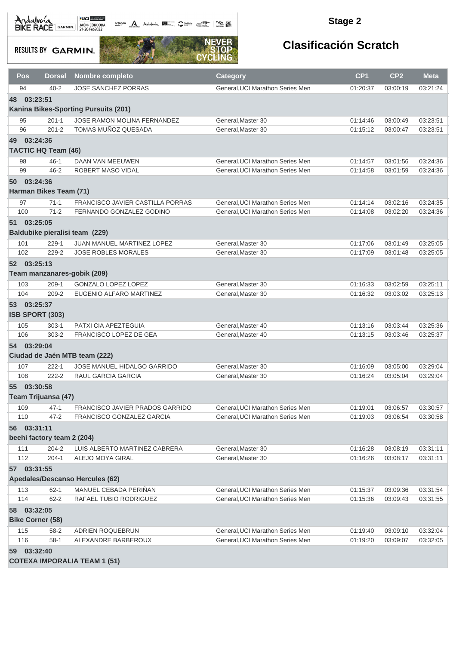**octogon A** Andalwin **ELLER** CANNAIS TO BE

#### **Stage 2**

**RESULTS BY GARMIN.** 



| Pos | <b>Dorsal</b>                       | Nombre completo                      | Category                         | CP <sub>1</sub> | CP <sub>2</sub> | <b>Meta</b> |  |  |  |
|-----|-------------------------------------|--------------------------------------|----------------------------------|-----------------|-----------------|-------------|--|--|--|
| 94  | $40 - 2$                            | <b>JOSE SANCHEZ PORRAS</b>           | General, UCI Marathon Series Men | 01:20:37        | 03:00:19        | 03:21:24    |  |  |  |
| 48  | 03:23:51                            |                                      |                                  |                 |                 |             |  |  |  |
|     |                                     | Kanina Bikes-Sporting Pursuits (201) |                                  |                 |                 |             |  |  |  |
| 95  | $201 - 1$                           | JOSE RAMON MOLINA FERNANDEZ          | General, Master 30               | 01:14:46        | 03:00:49        | 03:23:51    |  |  |  |
| 96  | $201 - 2$                           | TOMAS MUÑOZ QUESADA                  | General, Master 30               | 01:15:12        | 03:00:47        | 03:23:51    |  |  |  |
| 49  | 03:24:36                            |                                      |                                  |                 |                 |             |  |  |  |
|     | <b>TACTIC HQ Team (46)</b>          |                                      |                                  |                 |                 |             |  |  |  |
| 98  | $46 - 1$                            | DAAN VAN MEEUWEN                     | General, UCI Marathon Series Men | 01:14:57        | 03:01:56        | 03:24:36    |  |  |  |
| 99  | $46 - 2$                            | ROBERT MASO VIDAL                    | General, UCI Marathon Series Men | 01:14:58        | 03:01:59        | 03:24:36    |  |  |  |
| 50  | 03:24:36                            |                                      |                                  |                 |                 |             |  |  |  |
|     | Harman Bikes Team (71)              |                                      |                                  |                 |                 |             |  |  |  |
| 97  | $71-1$                              | FRANCISCO JAVIER CASTILLA PORRAS     | General, UCI Marathon Series Men | 01:14:14        | 03:02:16        | 03:24:35    |  |  |  |
| 100 | $71-2$                              | FERNANDO GONZALEZ GODINO             | General, UCI Marathon Series Men | 01:14:08        | 03:02:20        | 03:24:36    |  |  |  |
|     | 51 03:25:05                         |                                      |                                  |                 |                 |             |  |  |  |
|     | Baldubike pieralisi team (229)      |                                      |                                  |                 |                 |             |  |  |  |
| 101 | $229 - 1$                           | JUAN MANUEL MARTINEZ LOPEZ           | General, Master 30               | 01:17:06        | 03:01:49        | 03:25:05    |  |  |  |
| 102 | 229-2                               | <b>JOSE ROBLES MORALES</b>           | General, Master 30               | 01:17:09        | 03:01:48        | 03:25:05    |  |  |  |
|     | 52 03:25:13                         |                                      |                                  |                 |                 |             |  |  |  |
|     | Team manzanares-gobik (209)         |                                      |                                  |                 |                 |             |  |  |  |
| 103 | $209-1$                             | GONZALO LOPEZ LOPEZ                  | General, Master 30               | 01:16:33        | 03:02:59        | 03:25:11    |  |  |  |
| 104 | 209-2                               | EUGENIO ALFARO MARTINEZ              | General, Master 30               | 01:16:32        | 03:03:02        | 03:25:13    |  |  |  |
|     | 53 03:25:37                         |                                      |                                  |                 |                 |             |  |  |  |
|     | ISB SPORT (303)                     |                                      |                                  |                 |                 |             |  |  |  |
| 105 | $303 - 1$                           | PATXI CIA APEZTEGUIA                 | General, Master 40               | 01:13:16        | 03:03:44        | 03:25:36    |  |  |  |
| 106 | $303 - 2$                           | FRANCISCO LOPEZ DE GEA               | General, Master 40               | 01:13:15        | 03:03:46        | 03:25:37    |  |  |  |
|     | 54 03:29:04                         |                                      |                                  |                 |                 |             |  |  |  |
|     |                                     | Ciudad de Jaén MTB team (222)        |                                  |                 |                 |             |  |  |  |
| 107 | $222 - 1$                           | JOSE MANUEL HIDALGO GARRIDO          | General, Master 30               | 01:16:09        | 03:05:00        | 03:29:04    |  |  |  |
| 108 | $222 - 2$                           | RAUL GARCIA GARCIA                   | General, Master 30               | 01:16:24        | 03:05:04        | 03:29:04    |  |  |  |
|     | 55 03:30:58                         |                                      |                                  |                 |                 |             |  |  |  |
|     | Team Trijuansa (47)                 |                                      |                                  |                 |                 |             |  |  |  |
| 109 | $47 - 1$                            | FRANCISCO JAVIER PRADOS GARRIDO      | General, UCI Marathon Series Men | 01:19:01        | 03:06:57        | 03:30:57    |  |  |  |
| 110 | $47 - 2$                            | FRANCISCO GONZALEZ GARCIA            | General, UCI Marathon Series Men | 01:19:03        | 03:06:54        | 03:30:58    |  |  |  |
|     | 56 03:31:11                         |                                      |                                  |                 |                 |             |  |  |  |
|     | beehi factory team 2 (204)          |                                      |                                  |                 |                 |             |  |  |  |
| 111 | 204-2                               | LUIS ALBERTO MARTINEZ CABRERA        | General, Master 30               | 01:16:28        | 03:08:19        | 03:31:11    |  |  |  |
| 112 | $204 - 1$                           | ALEJO MOYA GIRAL                     | General, Master 30               | 01:16:26        | 03:08:17        | 03:31:11    |  |  |  |
|     | 57 03:31:55                         |                                      |                                  |                 |                 |             |  |  |  |
|     |                                     | Apedales/Descanso Hercules (62)      |                                  |                 |                 |             |  |  |  |
| 113 | $62 - 1$                            | MANUEL CEBADA PERIÑAN                | General, UCI Marathon Series Men | 01:15:37        | 03:09:36        | 03:31:54    |  |  |  |
| 114 | $62 - 2$                            | RAFAEL TUBIO RODRIGUEZ               | General, UCI Marathon Series Men | 01:15:36        | 03:09:43        | 03:31:55    |  |  |  |
| 58  | 03:32:05                            |                                      |                                  |                 |                 |             |  |  |  |
|     | <b>Bike Corner (58)</b>             |                                      |                                  |                 |                 |             |  |  |  |
| 115 | $58 - 2$                            | ADRIEN ROQUEBRUN                     | General, UCI Marathon Series Men | 01:19:40        | 03:09:10        | 03:32:04    |  |  |  |
| 116 | $58-1$                              | ALEXANDRE BARBEROUX                  | General, UCI Marathon Series Men | 01:19:20        | 03:09:07        | 03:32:05    |  |  |  |
|     | 59 03:32:40                         |                                      |                                  |                 |                 |             |  |  |  |
|     | <b>COTEXA IMPORALIA TEAM 1 (51)</b> |                                      |                                  |                 |                 |             |  |  |  |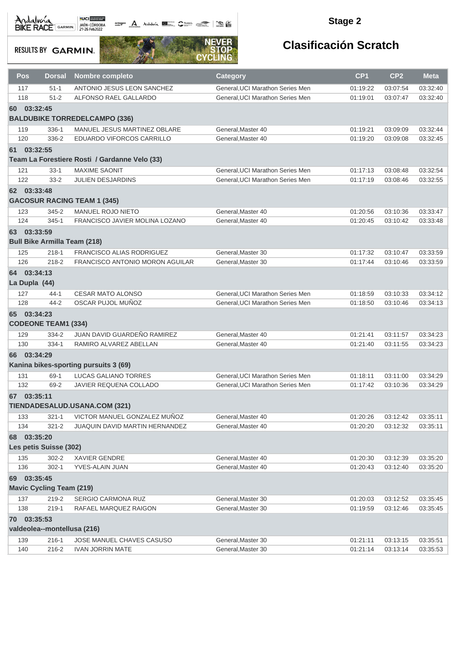octogon A Andalwia **BE CANNA TRANS** 

#### **Stage 2**

**RESULTS BY GARMIN.** 



| Pos | <b>Dorsal</b>                       | <b>Nombre completo</b>                        | <b>Category</b>                  | CP <sub>1</sub> | CP <sub>2</sub> | <b>Meta</b> |
|-----|-------------------------------------|-----------------------------------------------|----------------------------------|-----------------|-----------------|-------------|
| 117 | $51 - 1$                            | ANTONIO JESUS LEON SANCHEZ                    | General, UCI Marathon Series Men | 01:19:22        | 03:07:54        | 03:32:40    |
| 118 | $51 - 2$                            | ALFONSO RAEL GALLARDO                         | General, UCI Marathon Series Men | 01:19:01        | 03:07:47        | 03:32:40    |
| 60  | 03:32:45                            |                                               |                                  |                 |                 |             |
|     |                                     | <b>BALDUBIKE TORREDELCAMPO (336)</b>          |                                  |                 |                 |             |
| 119 | 336-1                               | MANUEL JESUS MARTINEZ OBLARE                  | General, Master 40               | 01:19:21        | 03:09:09        | 03:32:44    |
| 120 | 336-2                               | EDUARDO VIFORCOS CARRILLO                     | General, Master 40               | 01:19:20        | 03:09:08        | 03:32:45    |
|     | 61 03:32:55                         |                                               |                                  |                 |                 |             |
|     |                                     | Team La Forestiere Rosti / Gardanne Velo (33) |                                  |                 |                 |             |
| 121 | $33 - 1$                            | <b>MAXIME SAONIT</b>                          | General, UCI Marathon Series Men | 01:17:13        | 03:08:48        | 03:32:54    |
| 122 | $33 - 2$                            | <b>JULIEN DESJARDINS</b>                      | General, UCI Marathon Series Men | 01:17:19        | 03:08:46        | 03:32:55    |
|     | 62 03:33:48                         |                                               |                                  |                 |                 |             |
|     |                                     | <b>GACOSUR RACING TEAM 1 (345)</b>            |                                  |                 |                 |             |
|     |                                     |                                               |                                  |                 |                 |             |
| 123 | 345-2                               | <b>MANUEL ROJO NIETO</b>                      | General, Master 40               | 01:20:56        | 03:10:36        | 03:33:47    |
| 124 | $345 - 1$                           | FRANCISCO JAVIER MOLINA LOZANO                | General, Master 40               | 01:20:45        | 03:10:42        | 03:33:48    |
|     | 63 03:33:59                         |                                               |                                  |                 |                 |             |
|     | <b>Bull Bike Armilla Team (218)</b> |                                               |                                  |                 |                 |             |
| 125 | $218 - 1$                           | <b>FRANCISCO ALIAS RODRIGUEZ</b>              | General, Master 30               | 01:17:32        | 03:10:47        | 03:33:59    |
| 126 | $218 - 2$                           | FRANCISCO ANTONIO MORON AGUILAR               | General, Master 30               | 01:17:44        | 03:10:46        | 03:33:59    |
| 64  | 03:34:13                            |                                               |                                  |                 |                 |             |
|     | La Dupla (44)                       |                                               |                                  |                 |                 |             |
| 127 | 44-1                                | <b>CESAR MATO ALONSO</b>                      | General, UCI Marathon Series Men | 01:18:59        | 03:10:33        | 03:34:12    |
| 128 | $44 - 2$                            | OSCAR PUJOL MUÑOZ                             | General, UCI Marathon Series Men | 01:18:50        | 03:10:46        | 03:34:13    |
|     | 65 03:34:23                         |                                               |                                  |                 |                 |             |
|     | <b>CODEONE TEAM1 (334)</b>          |                                               |                                  |                 |                 |             |
| 129 | 334-2                               | JUAN DAVID GUARDEÑO RAMIREZ                   | General, Master 40               | 01:21:41        | 03:11:57        | 03:34:23    |
| 130 | 334-1                               | RAMIRO ALVAREZ ABELLAN                        | General, Master 40               | 01:21:40        | 03:11:55        | 03:34:23    |
| 66  | 03:34:29                            |                                               |                                  |                 |                 |             |
|     |                                     | Kanina bikes-sporting pursuits 3 (69)         |                                  |                 |                 |             |
| 131 | $69-1$                              | LUCAS GALIANO TORRES                          | General, UCI Marathon Series Men | 01:18:11        | 03:11:00        | 03:34:29    |
| 132 | 69-2                                | JAVIER REQUENA COLLADO                        | General, UCI Marathon Series Men | 01:17:42        | 03:10:36        | 03:34:29    |
|     |                                     |                                               |                                  |                 |                 |             |
|     | 67 03:35:11                         |                                               |                                  |                 |                 |             |
|     |                                     | <b>TIENDADESALUD.USANA.COM (321)</b>          |                                  |                 |                 |             |
| 133 | $321 - 1$                           | VICTOR MANUEL GONZALEZ MUÑOZ                  | General, Master 40               | 01:20:26        | 03:12:42        | 03:35:11    |
| 134 | $321 - 2$                           | <b>JUAQUIN DAVID MARTIN HERNANDEZ</b>         | General, Master 40               | 01:20:20        | 03:12:32        | 03:35:11    |
|     | 68 03:35:20                         |                                               |                                  |                 |                 |             |
|     | Les petis Suisse (302)              |                                               |                                  |                 |                 |             |
| 135 | $302 - 2$                           | <b>XAVIER GENDRE</b>                          | General, Master 40               | 01:20:30        | 03:12:39        | 03:35:20    |
| 136 | $302 - 1$                           | YVES-ALAIN JUAN                               | General.Master 40                | 01:20:43        | 03:12:40        | 03:35:20    |
|     | 69 03:35:45                         |                                               |                                  |                 |                 |             |
|     | <b>Mavic Cycling Team (219)</b>     |                                               |                                  |                 |                 |             |
| 137 | 219-2                               | SERGIO CARMONA RUZ                            | General, Master 30               | 01:20:03        | 03:12:52        | 03:35:45    |
| 138 | $219 - 1$                           | RAFAEL MARQUEZ RAIGON                         | General, Master 30               | 01:19:59        | 03:12:46        | 03:35:45    |
|     | 70 03:35:53                         |                                               |                                  |                 |                 |             |
|     | valdeolea--montellusa (216)         |                                               |                                  |                 |                 |             |
| 139 | $216 - 1$                           | JOSE MANUEL CHAVES CASUSO                     | General, Master 30               | 01:21:11        | 03:13:15        | 03:35:51    |
| 140 | 216-2                               | <b>IVAN JORRIN MATE</b>                       | General, Master 30               | 01:21:14        | 03:13:14        | 03:35:53    |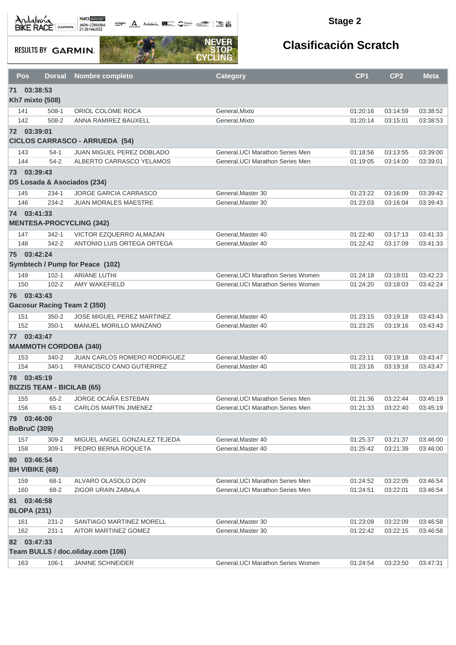octogon A Andalunia **1977** Catalog 2008 - 2008

#### **Stage 2**

**RESULTS BY GARMIN.** 



|    | Pos<br><b>Dorsal</b>                 |  | <b>Nombre completo</b>                              | <b>Category</b>                                                      | CP <sub>1</sub>      | CP <sub>2</sub>      | <b>Meta</b>          |  |  |  |
|----|--------------------------------------|--|-----------------------------------------------------|----------------------------------------------------------------------|----------------------|----------------------|----------------------|--|--|--|
| 71 | 03:38:53                             |  |                                                     |                                                                      |                      |                      |                      |  |  |  |
|    | <b>Kh7 mixto (508)</b>               |  |                                                     |                                                                      |                      |                      |                      |  |  |  |
|    | 141<br>$508-1$                       |  | ORIOL COLOME ROCA                                   | General, Mixto                                                       | 01:20:16             | 03:14:59             | 03:38:52             |  |  |  |
|    | 142<br>508-2                         |  | ANNA RAMIREZ BAUXELL                                | General, Mixto                                                       | 01:20:14             | 03:15:01             | 03:38:53             |  |  |  |
|    | 72 03:39:01                          |  |                                                     |                                                                      |                      |                      |                      |  |  |  |
|    |                                      |  | <b>CICLOS CARRASCO - ARRUEDA (54)</b>               |                                                                      |                      |                      |                      |  |  |  |
|    | 143<br>$54-1$                        |  | <b>JUAN MIGUEL PEREZ DOBLADO</b>                    | General, UCI Marathon Series Men                                     | 01:18:56             | 03:13:55             | 03:39:00             |  |  |  |
|    | 144<br>$54 - 2$                      |  | ALBERTO CARRASCO YELAMOS                            | General, UCI Marathon Series Men                                     | 01:19:05             | 03:14:00             | 03:39:01             |  |  |  |
|    | 73 03:39:43                          |  |                                                     |                                                                      |                      |                      |                      |  |  |  |
|    | DS Losada & Asociados (234)          |  |                                                     |                                                                      |                      |                      |                      |  |  |  |
|    | $234-1$<br>145                       |  | <b>JORGE GARCIA CARRASCO</b>                        | General, Master 30                                                   | 01:23:22             | 03:16:09             | 03:39:42             |  |  |  |
|    | 146<br>234-2                         |  | <b>JUAN MORALES MAESTRE</b>                         | General, Master 30                                                   | 01:23:03             | 03:16:04             | 03:39:43             |  |  |  |
|    | 74 03:41:33                          |  |                                                     |                                                                      |                      |                      |                      |  |  |  |
|    | <b>MENTESA-PROCYCLING (342)</b>      |  |                                                     |                                                                      |                      |                      |                      |  |  |  |
|    | $342 - 1$<br>147                     |  | VICTOR EZQUERRO ALMAZAN                             | General, Master 40                                                   | 01:22:40             | 03:17:13             | 03:41:33             |  |  |  |
|    | 148<br>342-2                         |  | ANTONIO LUIS ORTEGA ORTEGA                          | General, Master 40                                                   | 01:22:42             | 03:17:09             | 03:41:33             |  |  |  |
|    | 75 03:42:24                          |  |                                                     |                                                                      |                      |                      |                      |  |  |  |
|    |                                      |  | Symbtech / Pump for Peace (102)                     |                                                                      |                      |                      |                      |  |  |  |
|    | $102 - 1$<br>149                     |  | <b>ARIANE LUTHI</b>                                 | General.UCI Marathon Series Women                                    | 01:24:18             | 03:18:01             | 03:42:23             |  |  |  |
|    | 150<br>$102 - 2$                     |  | <b>AMY WAKEFIELD</b>                                | General, UCI Marathon Series Women                                   | 01:24:20             | 03:18:03             | 03:42:24             |  |  |  |
|    | 76 03:43:43                          |  |                                                     |                                                                      |                      |                      |                      |  |  |  |
|    | <b>Gacosur Racing Team 2 (350)</b>   |  |                                                     |                                                                      |                      |                      |                      |  |  |  |
|    | $350 - 2$<br>151                     |  | <b>JOSE MIGUEL PEREZ MARTINEZ</b>                   | General, Master 40                                                   | 01:23:15             | 03:19:18             | 03:43:43             |  |  |  |
|    | 152<br>$350 - 1$                     |  | MANUEL MORILLO MANZANO                              | General, Master 40                                                   | 01:23:25             | 03:19:16             | 03:43:43             |  |  |  |
|    | 77 03:43:47                          |  |                                                     |                                                                      |                      |                      |                      |  |  |  |
|    | <b>MAMMOTH CORDOBA (340)</b>         |  |                                                     |                                                                      |                      |                      |                      |  |  |  |
|    | 153<br>$340 - 2$                     |  | JUAN CARLOS ROMERO RODRIGUEZ                        | General, Master 40                                                   | 01:23:11             | 03:19:18             | 03:43:47             |  |  |  |
|    | 154<br>$340 - 1$                     |  | <b>FRANCISCO CANO GUTIERREZ</b>                     | General, Master 40                                                   | 01:23:16             | 03:19:18             | 03:43:47             |  |  |  |
|    | 78 03:45:19                          |  |                                                     |                                                                      |                      |                      |                      |  |  |  |
|    | <b>BIZZIS TEAM - BICILAB (65)</b>    |  |                                                     |                                                                      |                      |                      |                      |  |  |  |
|    | 155<br>$65 - 2$<br>156<br>$65-1$     |  | JORGE OCAÑA ESTEBAN<br><b>CARLOS MARTIN JIMENEZ</b> | General, UCI Marathon Series Men<br>General.UCI Marathon Series Men  | 01:21:36             | 03:22:44             | 03:45:19             |  |  |  |
|    |                                      |  |                                                     |                                                                      | 01:21:33             | 03:22:40             | 03:45:19             |  |  |  |
| 79 | 03:46:00<br><b>BoBruC (309)</b>      |  |                                                     |                                                                      |                      |                      |                      |  |  |  |
|    |                                      |  |                                                     |                                                                      |                      |                      |                      |  |  |  |
|    | 157<br>$309 - 2$<br>158<br>$309-1$   |  | MIGUEL ANGEL GONZALEZ TEJEDA<br>PEDRO BERNA ROQUETA | General, Master 40<br>General, Master 40                             | 01:25:37<br>01:25:42 | 03:21:37<br>03:21:39 | 03:46:00<br>03:46:00 |  |  |  |
|    | 80 03:46:54                          |  |                                                     |                                                                      |                      |                      |                      |  |  |  |
|    | <b>BH VIBIKE (68)</b>                |  |                                                     |                                                                      |                      |                      |                      |  |  |  |
|    |                                      |  |                                                     |                                                                      |                      | 03:22:05             |                      |  |  |  |
|    | 159<br>68-1<br>160<br>68-2           |  | ALVARO OLASOLO DON<br>ZIGOR URAIN ZABALA            | General, UCI Marathon Series Men<br>General, UCI Marathon Series Men | 01:24:52<br>01:24:51 | 03:22:01             | 03:46:54<br>03:46:54 |  |  |  |
|    |                                      |  |                                                     |                                                                      |                      |                      |                      |  |  |  |
| 81 | 03:46:58<br><b>BLOPA (231)</b>       |  |                                                     |                                                                      |                      |                      |                      |  |  |  |
|    |                                      |  | SANTIAGO MARTINEZ MORELL                            | General, Master 30                                                   |                      |                      |                      |  |  |  |
|    | 161<br>$231 - 2$<br>162<br>$231 - 1$ |  | AITOR MARTINEZ GOMEZ                                | General, Master 30                                                   | 01:23:09<br>01:22:42 | 03:22:09<br>03:22:15 | 03:46:58<br>03:46:58 |  |  |  |
|    | 82 03:47:33                          |  |                                                     |                                                                      |                      |                      |                      |  |  |  |
|    |                                      |  | Team BULLS / doc.oliday.com (106)                   |                                                                      |                      |                      |                      |  |  |  |
|    | 163<br>106-1                         |  | JANINE SCHNEIDER                                    | General, UCI Marathon Series Women                                   | 01:24:54             | 03:23:50             | 03:47:31             |  |  |  |
|    |                                      |  |                                                     |                                                                      |                      |                      |                      |  |  |  |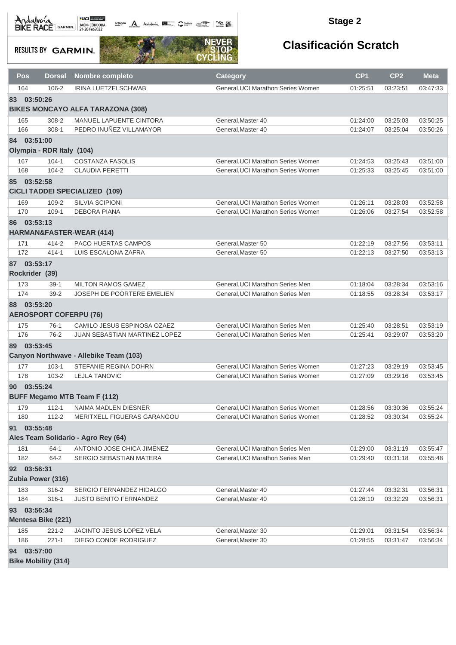**octogon A** Andalwin **ELLER** CANNAIS TO BE

#### **Stage 2**

**RESULTS BY GARMIN.** 



| Pos            | <b>Dorsal</b>                 | Nombre completo                          | <b>Category</b>                    | CP <sub>1</sub> | CP <sub>2</sub> | <b>Meta</b> |
|----------------|-------------------------------|------------------------------------------|------------------------------------|-----------------|-----------------|-------------|
| 164            | $106 - 2$                     | IRINA LUETZELSCHWAB                      | General, UCI Marathon Series Women | 01:25:51        | 03:23:51        | 03:47:33    |
| 83 03:50:26    |                               |                                          |                                    |                 |                 |             |
|                |                               | <b>BIKES MONCAYO ALFA TARAZONA (308)</b> |                                    |                 |                 |             |
| 165            | 308-2                         | MANUEL LAPUENTE CINTORA                  | General, Master 40                 | 01:24:00        | 03:25:03        | 03:50:25    |
| 166            | $308-1$                       | PEDRO INUÑEZ VILLAMAYOR                  | General, Master 40                 | 01:24:07        | 03:25:04        | 03:50:26    |
| 84             | 03:51:00                      |                                          |                                    |                 |                 |             |
|                | Olympia - RDR Italy (104)     |                                          |                                    |                 |                 |             |
| 167            | $104 - 1$                     | <b>COSTANZA FASOLIS</b>                  | General, UCI Marathon Series Women | 01:24:53        | 03:25:43        | 03:51:00    |
| 168            | $104 - 2$                     | <b>CLAUDIA PERETTI</b>                   | General, UCI Marathon Series Women | 01:25:33        | 03:25:45        | 03:51:00    |
| 85             | 03:52:58                      |                                          |                                    |                 |                 |             |
|                |                               | <b>CICLI TADDEI SPECIALIZED (109)</b>    |                                    |                 |                 |             |
| 169            | 109-2                         | <b>SILVIA SCIPIONI</b>                   | General, UCI Marathon Series Women | 01:26:11        | 03:28:03        | 03:52:58    |
| 170            | $109-1$                       | <b>DEBORA PIANA</b>                      | General, UCI Marathon Series Women | 01:26:06        | 03:27:54        | 03:52:58    |
| 86             | 03:53:13                      |                                          |                                    |                 |                 |             |
|                |                               | <b>HARMAN&amp;FASTER-WEAR (414)</b>      |                                    |                 |                 |             |
| 171            | $414 - 2$                     | PACO HUERTAS CAMPOS                      | General, Master 50                 | 01:22:19        | 03:27:56        | 03:53:11    |
| 172            | $414 - 1$                     | LUIS ESCALONA ZAFRA                      | General, Master 50                 | 01:22:13        | 03:27:50        | 03:53:13    |
| 87 03:53:17    |                               |                                          |                                    |                 |                 |             |
| Rockrider (39) |                               |                                          |                                    |                 |                 |             |
| 173            | $39-1$                        | <b>MILTON RAMOS GAMEZ</b>                | General, UCI Marathon Series Men   | 01:18:04        | 03:28:34        | 03:53:16    |
| 174            | $39 - 2$                      | <b>JOSEPH DE POORTERE EMELIEN</b>        | General, UCI Marathon Series Men   | 01:18:55        | 03:28:34        | 03:53:17    |
| 88             | 03:53:20                      |                                          |                                    |                 |                 |             |
|                | <b>AEROSPORT COFERPU (76)</b> |                                          |                                    |                 |                 |             |
| 175            | $76-1$                        | CAMILO JESUS ESPINOSA OZAEZ              | General, UCI Marathon Series Men   | 01:25:40        | 03:28:51        | 03:53:19    |
| 176            | $76-2$                        | <b>JUAN SEBASTIAN MARTINEZ LOPEZ</b>     | General, UCI Marathon Series Men   | 01:25:41        | 03:29:07        | 03:53:20    |
| 89             | 03:53:45                      |                                          |                                    |                 |                 |             |
|                |                               | Canyon Northwave - Allebike Team (103)   |                                    |                 |                 |             |
| 177            | $103 - 1$                     | STEFANIE REGINA DOHRN                    | General, UCI Marathon Series Women | 01:27:23        | 03:29:19        | 03:53:45    |
| 178            | $103 - 2$                     | <b>LEJLA TANOVIC</b>                     | General, UCI Marathon Series Women | 01:27:09        | 03:29:16        | 03:53:45    |
| $90-$          | 03:55:24                      |                                          |                                    |                 |                 |             |
|                |                               | <b>BUFF Megamo MTB Team F (112)</b>      |                                    |                 |                 |             |
| 179            | $112 - 1$                     | NAIMA MADLEN DIESNER                     | General, UCI Marathon Series Women | 01:28:56        | 03:30:36        | 03:55:24    |
| 180            | $112 - 2$                     | MERITXELL FIGUERAS GARANGOU              | General, UCI Marathon Series Women | 01:28:52        | 03:30:34        | 03:55:24    |
| 91             | 03:55:48                      |                                          |                                    |                 |                 |             |
|                |                               | Ales Team Solidario - Agro Rey (64)      |                                    |                 |                 |             |
| 181            | $64-1$                        | ANTONIO JOSE CHICA JIMENEZ               | General, UCI Marathon Series Men   | 01:29:00        | 03:31:19        | 03:55:47    |
| 182            | $64 - 2$                      | SERGIO SEBASTIAN MATERA                  | General, UCI Marathon Series Men   | 01:29:40        | 03:31:18        | 03:55:48    |
| 92 03:56:31    |                               |                                          |                                    |                 |                 |             |
|                | Zubia Power (316)             |                                          |                                    |                 |                 |             |
| 183            | 316-2                         | SERGIO FERNANDEZ HIDALGO                 | General.Master 40                  | 01:27:44        | 03:32:31        | 03:56:31    |
| 184            | $316 - 1$                     | JUSTO BENITO FERNANDEZ                   | General, Master 40                 | 01:26:10        | 03:32:29        | 03:56:31    |
| 93             | 03:56:34                      |                                          |                                    |                 |                 |             |
|                | <b>Mentesa Bike (221)</b>     |                                          |                                    |                 |                 |             |
| 185            | $221 - 2$                     | JACINTO JESUS LOPEZ VELA                 | General, Master 30                 | 01:29:01        | 03:31:54        | 03:56:34    |
| 186            | $221 - 1$                     | DIEGO CONDE RODRIGUEZ                    | General, Master 30                 | 01:28:55        | 03:31:47        | 03:56:34    |
| 03:57:00<br>94 |                               |                                          |                                    |                 |                 |             |
|                | <b>Bike Mobility (314)</b>    |                                          |                                    |                 |                 |             |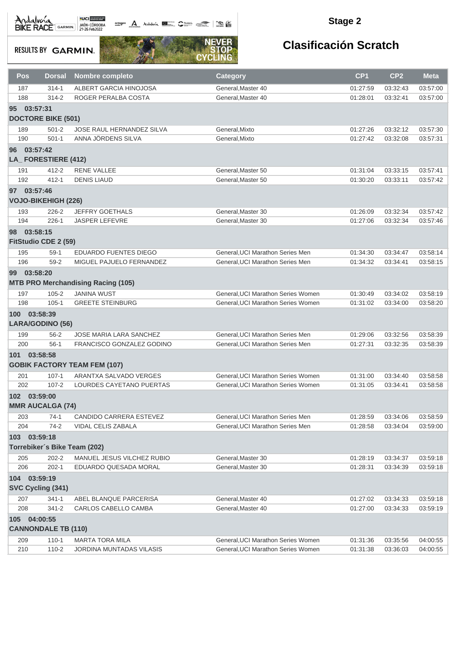octogon A Andalunia **1977** Catalog 2008 - 2008

#### **Stage 2**

**RESULTS BY GARMIN.** 



| Pos             | <b>Dorsal</b>              | <b>Nombre completo</b>                    | Category                                 | CP <sub>1</sub>      | CP <sub>2</sub>      | <b>Meta</b> |
|-----------------|----------------------------|-------------------------------------------|------------------------------------------|----------------------|----------------------|-------------|
| 187             | $314 - 1$                  | ALBERT GARCIA HINOJOSA                    | General, Master 40                       | 01:27:59             | 03:32:43             | 03:57:00    |
| 188             | $314 - 2$                  | ROGER PERALBA COSTA                       | General, Master 40                       | 01:28:01             | 03:32:41             | 03:57:00    |
| 95 <sup>°</sup> | 03:57:31                   |                                           |                                          |                      |                      |             |
|                 | <b>DOCTORE BIKE (501)</b>  |                                           |                                          |                      |                      |             |
| 189             | $501 - 2$                  | JOSE RAUL HERNANDEZ SILVA                 | General, Mixto                           | 01:27:26             | 03:32:12             | 03:57:30    |
| 190             | $501 - 1$                  | ANNA JÖRDENS SILVA                        | General, Mixto                           | 01:27:42             | 03:32:08             | 03:57:31    |
| 96 03:57:42     |                            |                                           |                                          |                      |                      |             |
|                 | LA_FORESTIERE (412)        |                                           |                                          |                      |                      |             |
| 191             | $412 - 2$                  | <b>RENE VALLEE</b>                        | General, Master 50                       | 01:31:04             | 03:33:15             | 03:57:41    |
| 192             | $412 - 1$                  | <b>DENIS LIAUD</b>                        | General, Master 50                       | 01:30:20             | 03:33:11             | 03:57:42    |
| 97 03:57:46     |                            |                                           |                                          |                      |                      |             |
|                 | <b>VOJO-BIKEHIGH (226)</b> |                                           |                                          |                      |                      |             |
|                 |                            |                                           |                                          |                      |                      |             |
| 193<br>194      | 226-2<br>$226-1$           | <b>JEFFRY GOETHALS</b>                    | General, Master 30<br>General, Master 30 | 01:26:09<br>01:27:06 | 03:32:34             | 03:57:42    |
|                 |                            | <b>JASPER LEFEVRE</b>                     |                                          |                      | 03:32:34             | 03:57:46    |
| 98 03:58:15     |                            |                                           |                                          |                      |                      |             |
|                 | FitStudio CDE 2 (59)       |                                           |                                          |                      |                      |             |
| 195             | $59-1$                     | EDUARDO FUENTES DIEGO                     | General, UCI Marathon Series Men         | 01:34:30             | 03:34:47             | 03:58:14    |
| 196             | $59-2$                     | MIGUEL PAJUELO FERNANDEZ                  | General, UCI Marathon Series Men         | 01:34:32             | 03:34:41             | 03:58:15    |
| 99 03:58:20     |                            |                                           |                                          |                      |                      |             |
|                 |                            | <b>MTB PRO Merchandising Racing (105)</b> |                                          |                      |                      |             |
| 197             | $105 - 2$                  | <b>JANINA WUST</b>                        | General, UCI Marathon Series Women       | 01:30:49             | 03:34:02             | 03:58:19    |
| 198             | $105 - 1$                  | <b>GREETE STEINBURG</b>                   | General, UCI Marathon Series Women       | 01:31:02             | 03:34:00             | 03:58:20    |
| 100 03:58:39    |                            |                                           |                                          |                      |                      |             |
|                 | LARA/GODINO (56)           |                                           |                                          |                      |                      |             |
| 199             | $56 - 2$                   | <b>JOSE MARIA LARA SANCHEZ</b>            | General, UCI Marathon Series Men         | 01:29:06             | 03:32:56             | 03:58:39    |
| 200             | $56-1$                     | FRANCISCO GONZALEZ GODINO                 | General, UCI Marathon Series Men         | 01:27:31             | 03:32:35             | 03:58:39    |
| 101 03:58:58    |                            |                                           |                                          |                      |                      |             |
|                 |                            | <b>GOBIK FACTORY TEAM FEM (107)</b>       |                                          |                      |                      |             |
| 201             | $107 - 1$                  | ARANTXA SALVADO VERGES                    | General, UCI Marathon Series Women       | 01:31:00             | 03:34:40             | 03:58:58    |
| 202             | $107 - 2$                  | LOURDES CAYETANO PUERTAS                  | General, UCI Marathon Series Women       | 01:31:05             | 03:34:41             | 03:58:58    |
| 102 03:59:00    |                            |                                           |                                          |                      |                      |             |
|                 | <b>MMR AUCALGA (74)</b>    |                                           |                                          |                      |                      |             |
|                 | $74-1$                     | CANDIDO CARRERA ESTEVEZ                   | General, UCI Marathon Series Men         | 01:28:59             |                      | 03:58:59    |
| 203<br>204      | $74-2$                     | VIDAL CELIS ZABALA                        | General, UCI Marathon Series Men         | 01:28:58             | 03:34:06<br>03:34:04 | 03:59:00    |
|                 |                            |                                           |                                          |                      |                      |             |
| 103             | 03:59:18                   |                                           |                                          |                      |                      |             |
|                 |                            | Torrebiker's Bike Team (202)              |                                          |                      |                      |             |
| 205             | $202 - 2$                  | MANUEL JESUS VILCHEZ RUBIO                | General.Master 30                        | 01:28:19             | 03:34:37             | 03:59:18    |
| 206             | $202 - 1$                  | EDUARDO QUESADA MORAL                     | General, Master 30                       | 01:28:31             | 03:34:39             | 03:59:18    |
| 104 03:59:19    |                            |                                           |                                          |                      |                      |             |
|                 | SVC Cycling (341)          |                                           |                                          |                      |                      |             |
| 207             | $341 - 1$                  | ABEL BLANQUE PARCERISA                    | General, Master 40                       | 01:27:02             | 03:34:33             | 03:59:18    |
| 208             | $341 - 2$                  | CARLOS CABELLO CAMBA                      | General.Master 40                        | 01:27:00             | 03:34:33             | 03:59:19    |
| 105             | 04:00:55                   |                                           |                                          |                      |                      |             |
|                 | <b>CANNONDALE TB (110)</b> |                                           |                                          |                      |                      |             |
| 209             | $110 - 1$                  | <b>MARTA TORA MILA</b>                    | General, UCI Marathon Series Women       | 01:31:36             | 03:35:56             | 04:00:55    |
| 210             | $110 - 2$                  | JORDINA MUNTADAS VILASIS                  | General, UCI Marathon Series Women       | 01:31:38             | 03:36:03             | 04:00:55    |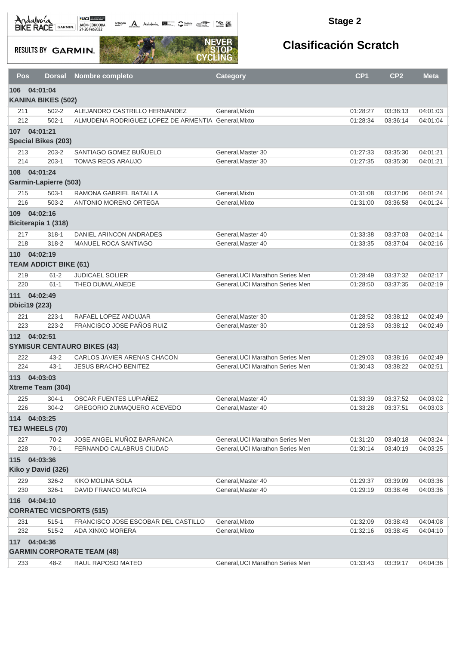Andalva BACE GARMIN AND LOCAL DEL BACK

octogon A Andalunia **1977** Catalog 2008 - 2008

#### **Stage 2**

**RESULTS BY GARMIN.** 



| Pos        | <b>Dorsal</b>                | Nombre completo                                            | <b>Category</b>                                                      | CP <sub>1</sub>      | CP <sub>2</sub>      | <b>Meta</b>          |
|------------|------------------------------|------------------------------------------------------------|----------------------------------------------------------------------|----------------------|----------------------|----------------------|
| 106        | 04:01:04                     |                                                            |                                                                      |                      |                      |                      |
|            | <b>KANINA BIKES (502)</b>    |                                                            |                                                                      |                      |                      |                      |
| 211        | $502 - 2$                    | ALEJANDRO CASTRILLO HERNANDEZ                              | General, Mixto                                                       | 01:28:27             | 03:36:13             | 04:01:03             |
| 212        | $502 - 1$                    | ALMUDENA RODRIGUEZ LOPEZ DE ARMENTIA General, Mixto        |                                                                      | 01:28:34             | 03:36:14             | 04:01:04             |
|            | 107 04:01:21                 |                                                            |                                                                      |                      |                      |                      |
|            | <b>Special Bikes (203)</b>   |                                                            |                                                                      |                      |                      |                      |
| 213        | $203 - 2$                    | SANTIAGO GOMEZ BUÑUELO                                     | General, Master 30                                                   | 01:27:33             | 03:35:30             | 04:01:21             |
| 214        | $203-1$                      | <b>TOMAS REOS ARAUJO</b>                                   | General, Master 30                                                   | 01:27:35             | 03:35:30             | 04:01:21             |
|            | 108 04:01:24                 |                                                            |                                                                      |                      |                      |                      |
|            | <b>Garmin-Lapierre (503)</b> |                                                            |                                                                      |                      |                      |                      |
| 215        | $503-1$                      | RAMONA GABRIEL BATALLA                                     | General, Mixto                                                       | 01:31:08             | 03:37:06             | 04:01:24             |
| 216        | $503 - 2$                    | ANTONIO MORENO ORTEGA                                      | General, Mixto                                                       | 01:31:00             | 03:36:58             | 04:01:24             |
|            | 109 04:02:16                 |                                                            |                                                                      |                      |                      |                      |
|            | Biciterapia 1 (318)          |                                                            |                                                                      |                      |                      |                      |
| 217        | $318 - 1$                    | DANIEL ARINCON ANDRADES                                    | General.Master 40                                                    | 01:33:38             | 03:37:03             | 04:02:14             |
| 218        | 318-2                        | MANUEL ROCA SANTIAGO                                       | General, Master 40                                                   | 01:33:35             | 03:37:04             | 04:02:16             |
|            | 110 04:02:19                 |                                                            |                                                                      |                      |                      |                      |
|            | <b>TEAM ADDICT BIKE (61)</b> |                                                            |                                                                      |                      |                      |                      |
| 219        | $61 - 2$                     | <b>JUDICAEL SOLIER</b>                                     | General, UCI Marathon Series Men                                     | 01:28:49             | 03:37:32             | 04:02:17             |
| 220        | $61 - 1$                     | THEO DUMALANEDE                                            | General, UCI Marathon Series Men                                     | 01:28:50             | 03:37:35             | 04:02:19             |
| 111        | 04:02:49                     |                                                            |                                                                      |                      |                      |                      |
|            | <b>Dbici19 (223)</b>         |                                                            |                                                                      |                      |                      |                      |
| 221<br>223 | $223 - 1$<br>$223 - 2$       | RAFAEL LOPEZ ANDUJAR<br>FRANCISCO JOSE PAÑOS RUIZ          | General, Master 30<br>General, Master 30                             | 01:28:52             | 03:38:12<br>03:38:12 | 04:02:49<br>04:02:49 |
|            |                              |                                                            |                                                                      | 01:28:53             |                      |                      |
|            | 112 04:02:51                 | <b>SYMISUR CENTAURO BIKES (43)</b>                         |                                                                      |                      |                      |                      |
|            |                              |                                                            |                                                                      |                      |                      |                      |
| 222<br>224 | $43 - 2$<br>$43 - 1$         | CARLOS JAVIER ARENAS CHACON<br><b>JESUS BRACHO BENITEZ</b> | General, UCI Marathon Series Men<br>General, UCI Marathon Series Men | 01:29:03<br>01:30:43 | 03:38:16<br>03:38:22 | 04:02:49<br>04:02:51 |
| 113        | 04:03:03                     |                                                            |                                                                      |                      |                      |                      |
|            | Xtreme Team (304)            |                                                            |                                                                      |                      |                      |                      |
| 225        | $304 - 1$                    | OSCAR FUENTES LUPIAÑEZ                                     | General, Master 40                                                   | 01:33:39             | 03:37:52             | 04:03:02             |
| 226        | $304 - 2$                    | GREGORIO ZUMAQUERO ACEVEDO                                 | General, Master 40                                                   | 01:33:28             | 03:37:51             | 04:03:03             |
|            | 114 04:03:25                 |                                                            |                                                                      |                      |                      |                      |
|            | TEJ WHEELS (70)              |                                                            |                                                                      |                      |                      |                      |
| 227        | $70 - 2$                     | JOSE ANGEL MUÑOZ BARRANCA                                  | General, UCI Marathon Series Men                                     | 01:31:20             | 03:40:18             | 04:03:24             |
| 228        | $70-1$                       | FERNANDO CALABRUS CIUDAD                                   | General.UCI Marathon Series Men                                      | 01:30:14             | 03:40:19             | 04:03:25             |
|            | 115 04:03:36                 |                                                            |                                                                      |                      |                      |                      |
|            | Kiko y David (326)           |                                                            |                                                                      |                      |                      |                      |
| 229        | 326-2                        | KIKO MOLINA SOLA                                           | General, Master 40                                                   | 01:29:37             | 03:39:09             | 04:03:36             |
| 230        | $326 - 1$                    | DAVID FRANCO MURCIA                                        | General, Master 40                                                   | 01:29:19             | 03:38:46             | 04:03:36             |
| 116        | 04:04:10                     |                                                            |                                                                      |                      |                      |                      |
|            |                              | <b>CORRATEC VICSPORTS (515)</b>                            |                                                                      |                      |                      |                      |
| 231        | $515 - 1$                    | FRANCISCO JOSE ESCOBAR DEL CASTILLO                        | General, Mixto                                                       | 01:32:09             | 03:38:43             | 04:04:08             |
| 232        | $515 - 2$                    | ADA XINXO MORERA                                           | General, Mixto                                                       | 01:32:16             | 03:38:45             | 04:04:10             |
|            | 117 04:04:36                 |                                                            |                                                                      |                      |                      |                      |
|            |                              | <b>GARMIN CORPORATE TEAM (48)</b>                          |                                                                      |                      |                      |                      |
| 233        | 48-2                         | RAUL RAPOSO MATEO                                          | General, UCI Marathon Series Men                                     | 01:33:43             | 03:39:17             | 04:04:36             |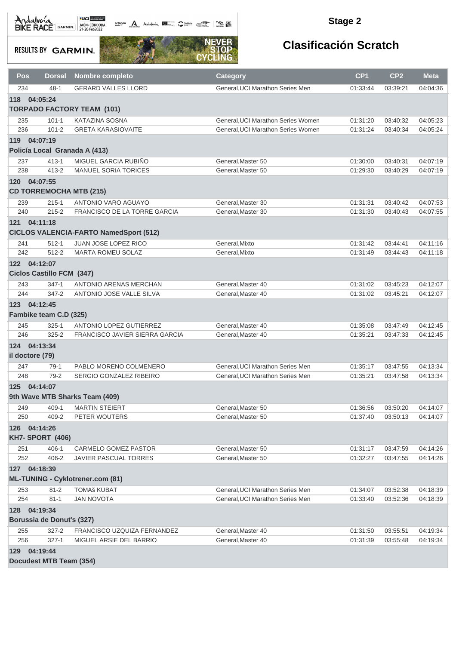octogon A Andalusía **DE C**ANALIS COMPOS COMPOS

#### **Stage 2**

**RESULTS BY GARMIN.** 



| <b>Pos</b>      | <b>Dorsal</b>                    | <b>Nombre completo</b>                        | <b>Category</b>                    | CP <sub>1</sub> | CP <sub>2</sub> | <b>Meta</b> |
|-----------------|----------------------------------|-----------------------------------------------|------------------------------------|-----------------|-----------------|-------------|
| 234             | $48 - 1$                         | <b>GERARD VALLES LLORD</b>                    | General, UCI Marathon Series Men   | 01:33:44        | 03:39:21        | 04:04:36    |
| 118 04:05:24    |                                  |                                               |                                    |                 |                 |             |
|                 |                                  | <b>TORPADO FACTORY TEAM (101)</b>             |                                    |                 |                 |             |
| 235             | $101 - 1$                        | <b>KATAZINA SOSNA</b>                         | General, UCI Marathon Series Women | 01:31:20        | 03:40:32        | 04:05:23    |
| 236             | $101 - 2$                        | <b>GRETA KARASIOVAITE</b>                     | General, UCI Marathon Series Women | 01:31:24        | 03:40:34        | 04:05:24    |
| 119 04:07:19    |                                  |                                               |                                    |                 |                 |             |
|                 |                                  | Policía Local Granada A (413)                 |                                    |                 |                 |             |
| 237             | $413 - 1$                        | MIGUEL GARCIA RUBIÑO                          | General, Master 50                 | 01:30:00        | 03:40:31        | 04:07:19    |
| 238             | $413 - 2$                        | <b>MANUEL SORIA TORICES</b>                   | General.Master 50                  | 01:29:30        | 03:40:29        | 04:07:19    |
| 120 04:07:55    |                                  |                                               |                                    |                 |                 |             |
|                 |                                  | <b>CD TORREMOCHA MTB (215)</b>                |                                    |                 |                 |             |
| 239             | $215 - 1$                        | ANTONIO VARO AGUAYO                           | General, Master 30                 | 01:31:31        | 03:40:42        | 04:07:53    |
| 240             | $215 - 2$                        | FRANCISCO DE LA TORRE GARCIA                  | General, Master 30                 | 01:31:30        | 03:40:43        | 04:07:55    |
| 121 04:11:18    |                                  |                                               |                                    |                 |                 |             |
|                 |                                  | <b>CICLOS VALENCIA-FARTO NamedSport (512)</b> |                                    |                 |                 |             |
| 241             | $512 - 1$                        | JUAN JOSE LOPEZ RICO                          | General, Mixto                     | 01:31:42        | 03:44:41        | 04:11:16    |
| 242             | 512-2                            | MARTA ROMEU SOLAZ                             | General, Mixto                     | 01:31:49        | 03:44:43        | 04:11:18    |
| 122 04:12:07    |                                  |                                               |                                    |                 |                 |             |
|                 | <b>Ciclos Castillo FCM (347)</b> |                                               |                                    |                 |                 |             |
| 243             | $347 - 1$                        | ANTONIO ARENAS MERCHAN                        | General, Master 40                 | 01:31:02        | 03:45:23        | 04:12:07    |
| 244             | 347-2                            | ANTONIO JOSE VALLE SILVA                      | General, Master 40                 | 01:31:02        | 03:45:21        | 04:12:07    |
| 123 04:12:45    |                                  |                                               |                                    |                 |                 |             |
|                 | Fambike team C.D (325)           |                                               |                                    |                 |                 |             |
| 245             | $325 - 1$                        | ANTONIO LOPEZ GUTIERREZ                       | General, Master 40                 | 01:35:08        | 03:47:49        | 04:12:45    |
| 246             | $325 - 2$                        | FRANCISCO JAVIER SIERRA GARCIA                | General, Master 40                 | 01:35:21        | 03:47:33        | 04:12:45    |
| 124 04:13:34    |                                  |                                               |                                    |                 |                 |             |
| il doctore (79) |                                  |                                               |                                    |                 |                 |             |
| 247             | $79-1$                           | PABLO MORENO COLMENERO                        | General. UCI Marathon Series Men   | 01:35:17        | 03:47:55        | 04:13:34    |
| 248             | $79-2$                           | SERGIO GONZALEZ RIBEIRO                       | General, UCI Marathon Series Men   | 01:35:21        | 03:47:58        | 04:13:34    |
| 125             | 04:14:07                         |                                               |                                    |                 |                 |             |
|                 |                                  | 9th Wave MTB Sharks Team (409)                |                                    |                 |                 |             |
| 249             | 409-1                            | <b>MARTIN STEIERT</b>                         | General, Master 50                 | 01:36:56        | 03:50:20        | 04:14:07    |
| 250             | 409-2                            | PETER WOUTERS                                 | General, Master 50                 | 01:37:40        | 03:50:13        | 04:14:07    |
| 126 04:14:26    |                                  |                                               |                                    |                 |                 |             |
|                 | <b>KH7- SPORT (406)</b>          |                                               |                                    |                 |                 |             |
| 251             | $406 - 1$                        | CARMELO GOMEZ PASTOR                          | General, Master 50                 | 01:31:17        | 03:47:59        | 04:14:26    |
| 252             | 406-2                            | <b>JAVIER PASCUAL TORRES</b>                  | General, Master 50                 | 01:32:27        | 03:47:55        | 04:14:26    |
| 127 04:18:39    |                                  |                                               |                                    |                 |                 |             |
|                 |                                  | <b>ML-TUNING - Cyklotrener.com (81)</b>       |                                    |                 |                 |             |
| 253             | $81 - 2$                         | <b>TOMAŠ KUBAT</b>                            | General, UCI Marathon Series Men   | 01:34:07        | 03:52:38        | 04:18:39    |
| 254             | $81 - 1$                         | <b>JAN NOVOTA</b>                             | General, UCI Marathon Series Men   | 01:33:40        | 03:52:36        | 04:18:39    |
| 128 04:19:34    |                                  |                                               |                                    |                 |                 |             |
|                 | Borussia de Donut's (327)        |                                               |                                    |                 |                 |             |
| 255             | $327 - 2$                        | FRANCISCO UZQUIZA FERNANDEZ                   | General, Master 40                 | 01:31:50        | 03:55:51        | 04:19:34    |
| 256             | $327-1$                          | MIGUEL ARSIE DEL BARRIO                       | General, Master 40                 | 01:31:39        | 03:55:48        | 04:19:34    |
| 129 04:19:44    |                                  |                                               |                                    |                 |                 |             |
|                 | <b>Docudest MTB Team (354)</b>   |                                               |                                    |                 |                 |             |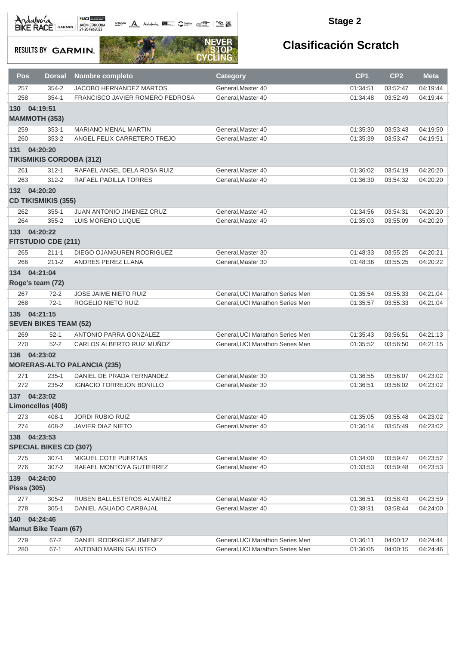octogon A Andalusía **DE C**ANALIS COMPOS COMPOS

#### **Stage 2**

**RESULTS BY GARMIN.** 



| Pos                                | <b>Dorsal</b>                 | <b>Nombre completo</b>             | <b>Category</b>                  | CP <sub>1</sub> | CP <sub>2</sub> | <b>Meta</b> |
|------------------------------------|-------------------------------|------------------------------------|----------------------------------|-----------------|-----------------|-------------|
| 257                                | $354 - 2$                     | <b>JACOBO HERNANDEZ MARTOS</b>     | General, Master 40               | 01:34:51        | 03:52:47        | 04:19:44    |
| 258                                | $354-1$                       | FRANCISCO JAVIER ROMERO PEDROSA    | General, Master 40               | 01:34:48        | 03:52:49        | 04:19:44    |
| 130<br><b>MAMMOTH (353)</b>        | 04:19:51                      |                                    |                                  |                 |                 |             |
| 259                                | $353 - 1$                     | <b>MARIANO MENAL MARTIN</b>        | General, Master 40               | 01:35:30        | 03:53:43        | 04:19:50    |
| 260                                | $353 - 2$                     | ANGEL FELIX CARRETERO TREJO        | General, Master 40               | 01:35:39        | 03:53:47        | 04:19:51    |
| 131 04:20:20                       |                               | <b>TIKISMIKIS CORDOBA (312)</b>    |                                  |                 |                 |             |
| 261                                | $312 - 1$                     | RAFAEL ANGEL DELA ROSA RUIZ        | General, Master 40               | 01:36:02        | 03:54:19        | 04:20:20    |
| 263                                | $312 - 2$                     | RAFAEL PADILLA TORRES              | General.Master 40                | 01:36:30        | 03:54:32        | 04:20:20    |
| 132 04:20:20                       | <b>CD TIKISMIKIS (355)</b>    |                                    |                                  |                 |                 |             |
| 262                                | $355 - 1$                     | <b>JUAN ANTONIO JIMENEZ CRUZ</b>   | General, Master 40               | 01:34:56        | 03:54:31        | 04:20:20    |
| 264                                | $355 - 2$                     | LUIS MORENO LUQUE                  | General, Master 40               | 01:35:03        | 03:55:09        | 04:20:20    |
| 133 04:20:22                       | <b>FITSTUDIO CDE (211)</b>    |                                    |                                  |                 |                 |             |
| 265                                | $211 - 1$                     | DIEGO OJANGUREN RODRIGUEZ          | General, Master 30               | 01:48:33        | 03:55:25        | 04:20:21    |
| 266                                | $211 - 2$                     | ANDRES PEREZ LLANA                 | General, Master 30               | 01:48:36        | 03:55:25        | 04:20:22    |
| 134 04:21:04<br>Roge's team (72)   |                               |                                    |                                  |                 |                 |             |
| 267                                | $72 - 2$                      | JOSE JAIME NIETO RUIZ              | General, UCI Marathon Series Men | 01:35:54        | 03:55:33        | 04:21:04    |
| 268                                | $72-1$                        | ROGELIO NIETO RUIZ                 | General, UCI Marathon Series Men | 01:35:57        | 03:55:33        | 04:21:04    |
| 135 04:21:15                       | <b>SEVEN BIKES TEAM (52)</b>  |                                    |                                  |                 |                 |             |
| 269                                | $52 - 1$                      | ANTONIO PARRA GONZALEZ             | General, UCI Marathon Series Men | 01:35:43        | 03:56:51        | 04:21:13    |
| 270                                | $52 - 2$                      | CARLOS ALBERTO RUIZ MUÑOZ          | General, UCI Marathon Series Men | 01:35:52        | 03:56:50        | 04:21:15    |
| 136 04:23:02                       |                               | <b>MORERAS-ALTO PALANCIA (235)</b> |                                  |                 |                 |             |
| 271                                | $235 - 1$                     | DANIEL DE PRADA FERNANDEZ          | General, Master 30               | 01:36:55        | 03:56:07        | 04:23:02    |
| 272                                | $235 - 2$                     | <b>IGNACIO TORREJON BONILLO</b>    | General.Master 30                | 01:36:51        | 03:56:02        | 04:23:02    |
| 137 04:23:02                       | <b>Limoncellos (408)</b>      |                                    |                                  |                 |                 |             |
| 273                                | $408 - 1$                     | <b>JORDI RUBIO RUIZ</b>            | General, Master 40               | 01:35:05        | 03:55:48        | 04:23:02    |
| 274                                | 408-2                         | JAVIER DIAZ NIETO                  | General, Master 40               | 01:36:14        | 03:55:49        | 04:23:02    |
| 138 04:23:53                       | <b>SPECIAL BIKES CD (307)</b> |                                    |                                  |                 |                 |             |
| 275                                | $307-1$                       | MIGUEL COTE PUERTAS                | General, Master 40               | 01:34:00        | 03:59:47        | 04:23:52    |
| 276                                | $307 - 2$                     | RAFAEL MONTOYA GUTIERREZ           | General, Master 40               | 01:33:53        | 03:59:48        | 04:23:53    |
| 139 04:24:00<br><b>Pisss (305)</b> |                               |                                    |                                  |                 |                 |             |
| 277                                | $305 - 2$                     | RUBEN BALLESTEROS ALVAREZ          | General, Master 40               | 01:36:51        | 03:58:43        | 04:23:59    |
| 278                                | $305 - 1$                     | DANIEL AGUADO CARBAJAL             | General.Master 40                | 01:38:31        | 03:58:44        | 04:24:00    |
| 140 04:24:46                       |                               |                                    |                                  |                 |                 |             |
|                                    | <b>Mamut Bike Team (67)</b>   |                                    |                                  |                 |                 |             |
| 279                                | $67 - 2$                      | DANIEL RODRIGUEZ JIMENEZ           | General, UCI Marathon Series Men | 01:36:11        | 04:00:12        | 04:24:44    |
| 280                                | $67 - 1$                      | ANTONIO MARIN GALISTEO             | General, UCI Marathon Series Men | 01:36:05        | 04:00:15        | 04:24:46    |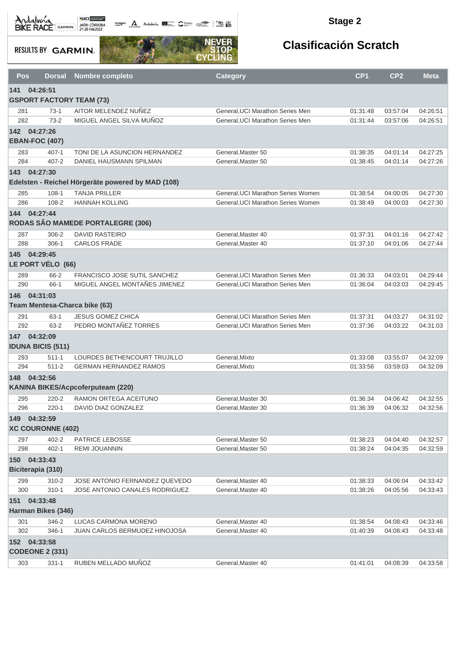octogon A Andalusía **DE C**ANALIS COMPOS COMPOS

#### **Stage 2**

**RESULTS BY GARMIN.** 



|     | Pos<br><b>Dorsal</b>              | Nombre completo                                                  | <b>Category</b>                          | CP <sub>1</sub>      | CP <sub>2</sub>      | <b>Meta</b>          |
|-----|-----------------------------------|------------------------------------------------------------------|------------------------------------------|----------------------|----------------------|----------------------|
| 141 | 04:26:51                          |                                                                  |                                          |                      |                      |                      |
|     | <b>GSPORT FACTORY TEAM (73)</b>   |                                                                  |                                          |                      |                      |                      |
|     | $73-1$<br>281                     | AITOR MELENDEZ NUÑEZ                                             | General.UCI Marathon Series Men          | 01:31:48             | 03:57:04             | 04:26:51             |
|     | 282<br>$73-2$                     | MIGUEL ANGEL SILVA MUÑOZ                                         | General, UCI Marathon Series Men         | 01:31:44             | 03:57:06             | 04:26:51             |
| 142 | 04:27:26                          |                                                                  |                                          |                      |                      |                      |
|     | <b>EBAN-FOC (407)</b>             |                                                                  |                                          |                      |                      |                      |
|     | 283<br>$407 - 1$                  | TONI DE LA ASUNCION HERNANDEZ                                    | General, Master 50                       | 01:38:35             | 04:01:14             | 04:27:25             |
|     | $407 - 2$<br>284                  | DANIEL HAUSMANN SPILMAN                                          | General, Master 50                       | 01:38:45             | 04:01:14             | 04:27:26             |
| 143 | 04:27:30                          |                                                                  |                                          |                      |                      |                      |
|     |                                   | Edelsten - Reichel Hörgeräte powered by MAD (108)                |                                          |                      |                      |                      |
|     | 285<br>$108 - 1$                  | <b>TANJA PRILLER</b>                                             | General, UCI Marathon Series Women       | 01:38:54             | 04:00:05             | 04:27:30             |
|     | $108 - 2$<br>286                  | <b>HANNAH KOLLING</b>                                            | General, UCI Marathon Series Women       | 01:38:49             | 04:00:03             | 04:27:30             |
| 144 | 04:27:44                          |                                                                  |                                          |                      |                      |                      |
|     |                                   | RODAS SÃO MAMEDE PORTALEGRE (306)                                |                                          |                      |                      |                      |
|     | 306-2<br>287                      | <b>DAVID RASTEIRO</b>                                            | General, Master 40                       | 01:37:31             | 04:01:16             | 04:27:42             |
|     | 288<br>$306-1$                    | <b>CARLOS FRADE</b>                                              | General, Master 40                       | 01:37:10             | 04:01:06             | 04:27:44             |
| 145 | 04:29:45                          |                                                                  |                                          |                      |                      |                      |
|     | LE PORT VÉLO (66)                 |                                                                  |                                          |                      |                      |                      |
|     | 289<br>66-2                       | FRANCISCO JOSE SUTIL SANCHEZ                                     | General, UCI Marathon Series Men         | 01:36:33             | 04:03:01             | 04:29:44             |
|     | 66-1<br>290                       | MIGUEL ANGEL MONTAÑES JIMENEZ                                    | General.UCI Marathon Series Men          | 01:36:04             | 04:03:03             | 04:29:45             |
| 146 | 04:31:03                          |                                                                  |                                          |                      |                      |                      |
|     | Team Mentesa-Charca bike (63)     |                                                                  |                                          |                      |                      |                      |
|     | 291<br>$63 - 1$                   | <b>JESUS GOMEZ CHICA</b>                                         | General, UCI Marathon Series Men         | 01:37:31             | 04:03:27             | 04:31:02             |
|     | 292<br>$63 - 2$                   | PEDRO MONTAÑEZ TORRES                                            | General, UCI Marathon Series Men         | 01:37:36             | 04:03:22             | 04:31:03             |
|     | 147 04:32:09                      |                                                                  |                                          |                      |                      |                      |
|     | <b>IDUNA BICIS (511)</b>          |                                                                  |                                          |                      |                      |                      |
|     | 293<br>$511 - 1$                  | LOURDES BETHENCOURT TRUJILLO                                     |                                          |                      | 03:55:07             | 04:32:09             |
|     | 294<br>$511 - 2$                  | <b>GERMAN HERNANDEZ RAMOS</b>                                    | General, Mixto<br>General, Mixto         | 01:33:08<br>01:33:56 | 03:59:03             | 04:32:09             |
| 148 | 04:32:56                          |                                                                  |                                          |                      |                      |                      |
|     |                                   | KANINA BIKES/Acpcoferputeam (220)                                |                                          |                      |                      |                      |
|     | 295<br>$220 - 2$                  | RAMON ORTEGA ACEITUNO                                            | General.Master 30                        | 01:36:34             | 04:06:42             | 04:32:55             |
|     | 296<br>$220 - 1$                  | DAVID DIAZ GONZALEZ                                              | General, Master 30                       | 01:36:39             | 04:06:32             | 04:32:56             |
|     | 149 04:32:59                      |                                                                  |                                          |                      |                      |                      |
|     | <b>XC COURONNE (402)</b>          |                                                                  |                                          |                      |                      |                      |
|     |                                   |                                                                  |                                          |                      |                      |                      |
|     | 402-2<br>297<br>298<br>$402 - 1$  | PATRICE LEBOSSE<br><b>REMI JOUANNIN</b>                          | General, Master 50<br>General.Master 50  | 01:38:23<br>01:38:24 | 04:04:40<br>04:04:35 | 04:32:57<br>04:32:59 |
|     |                                   |                                                                  |                                          |                      |                      |                      |
|     | 150 04:33:43<br>Biciterapia (310) |                                                                  |                                          |                      |                      |                      |
|     |                                   |                                                                  |                                          |                      |                      |                      |
|     | 299<br>$310 - 2$                  | JOSE ANTONIO FERNANDEZ QUEVEDO<br>JOSE ANTONIO CANALES RODRIGUEZ | General, Master 40<br>General.Master 40  | 01:38:33             | 04:06:04             | 04:33:42             |
|     | 300<br>$310 - 1$                  |                                                                  |                                          | 01:38:26             | 04:05:56             | 04:33:43             |
|     | 151 04:33:48                      |                                                                  |                                          |                      |                      |                      |
|     | <b>Harman Bikes (346)</b>         |                                                                  |                                          |                      |                      |                      |
|     | 301<br>346-2                      | LUCAS CARMONA MORENO                                             | General, Master 40<br>General, Master 40 | 01:38:54             | 04:08:43             | 04:33:46             |
|     | 302<br>346-1                      | JUAN CARLOS BERMUDEZ HINOJOSA                                    |                                          | 01:40:39             | 04:08:43             | 04:33:48             |
|     | 152 04:33:58                      |                                                                  |                                          |                      |                      |                      |
|     | <b>CODEONE 2 (331)</b>            |                                                                  |                                          |                      |                      |                      |
|     | 303<br>$331 - 1$                  | RUBEN MELLADO MUÑOZ                                              | General, Master 40                       | 01:41:01             | 04:08:39             | 04:33:58             |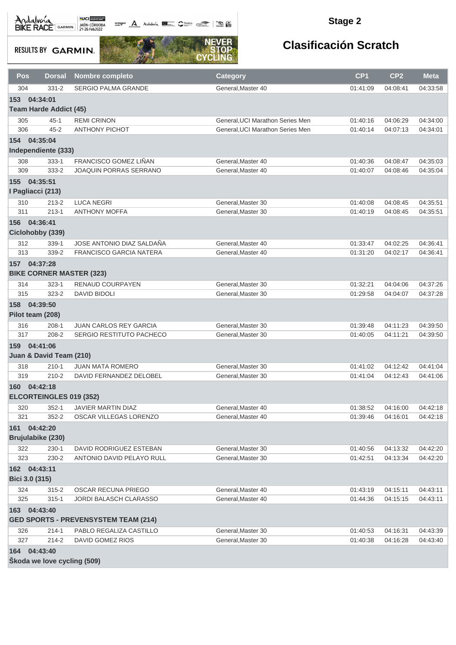Andalvona MEDICIE

octogon A Andalunia **1977** Catalog 2008 - 2008

#### **Stage 2**

**RESULTS BY GARMIN.** 



| Pos               | <b>Dorsal</b>                 | <b>Nombre completo</b>                      | Category                         | CP <sub>1</sub> | CP <sub>2</sub> | <b>Meta</b> |
|-------------------|-------------------------------|---------------------------------------------|----------------------------------|-----------------|-----------------|-------------|
| 304               | $331 - 2$                     | <b>SERGIO PALMA GRANDE</b>                  | General, Master 40               | 01:41:09        | 04:08:41        | 04:33:58    |
| 153               | 04:34:01                      |                                             |                                  |                 |                 |             |
|                   | <b>Team Harde Addict (45)</b> |                                             |                                  |                 |                 |             |
| 305               | $45 - 1$                      | <b>REMI CRINON</b>                          | General, UCI Marathon Series Men | 01:40:16        | 04:06:29        | 04:34:00    |
| 306               | $45 - 2$                      | <b>ANTHONY PICHOT</b>                       | General, UCI Marathon Series Men | 01:40:14        | 04:07:13        | 04:34:01    |
| 154 04:35:04      |                               |                                             |                                  |                 |                 |             |
|                   | Independiente (333)           |                                             |                                  |                 |                 |             |
| 308               | $333 - 1$                     | FRANCISCO GOMEZ LIÑAN                       | General, Master 40               | 01:40:36        | 04:08:47        | 04:35:03    |
| 309               | 333-2                         | JOAQUIN PORRAS SERRANO                      | General, Master 40               | 01:40:07        | 04:08:46        | 04:35:04    |
| 155               | 04:35:51                      |                                             |                                  |                 |                 |             |
| I Pagliacci (213) |                               |                                             |                                  |                 |                 |             |
| 310               | $213 - 2$                     | <b>LUCA NEGRI</b>                           | General, Master 30               | 01:40:08        | 04:08:45        | 04:35:51    |
| 311               | $213 - 1$                     | <b>ANTHONY MOFFA</b>                        | General, Master 30               | 01:40:19        | 04:08:45        | 04:35:51    |
| 156 04:36:41      |                               |                                             |                                  |                 |                 |             |
|                   | Ciclohobby (339)              |                                             |                                  |                 |                 |             |
| 312               | $339 - 1$                     | JOSE ANTONIO DIAZ SALDAÑA                   | General, Master 40               | 01:33:47        | 04:02:25        | 04:36:41    |
| 313               | 339-2                         | <b>FRANCISCO GARCIA NATERA</b>              | General, Master 40               | 01:31:20        | 04:02:17        | 04:36:41    |
| 157 04:37:28      |                               |                                             |                                  |                 |                 |             |
|                   |                               | <b>BIKE CORNER MASTER (323)</b>             |                                  |                 |                 |             |
| 314               | $323 - 1$                     | RENAUD COURPAYEN                            | General, Master 30               | 01:32:21        | 04:04:06        | 04:37:26    |
| 315               | $323 - 2$                     | <b>DAVID BIDOLI</b>                         | General, Master 30               | 01:29:58        | 04:04:07        | 04:37:28    |
| 158 04:39:50      |                               |                                             |                                  |                 |                 |             |
| Pilot team (208)  |                               |                                             |                                  |                 |                 |             |
| 316               | $208-1$                       | <b>JUAN CARLOS REY GARCIA</b>               | General, Master 30               | 01:39:48        | 04:11:23        | 04:39:50    |
| 317               | 208-2                         | SERGIO RESTITUTO PACHECO                    | General, Master 30               | 01:40:05        | 04:11:21        | 04:39:50    |
| 159               | 04:41:06                      |                                             |                                  |                 |                 |             |
|                   | Juan & David Team (210)       |                                             |                                  |                 |                 |             |
| 318               | $210 - 1$                     | <b>JUAN MATA ROMERO</b>                     | General.Master 30                | 01:41:02        | 04:12:42        | 04:41:04    |
| 319               | $210 - 2$                     | DAVID FERNANDEZ DELOBEL                     | General.Master 30                | 01:41:04        | 04:12:43        | 04:41:06    |
| 160 04:42:18      |                               |                                             |                                  |                 |                 |             |
|                   | ELCORTEINGLES 019 (352)       |                                             |                                  |                 |                 |             |
| 320               | $352 - 1$                     | <b>JAVIER MARTIN DIAZ</b>                   | General, Master 40               | 01:38:52        | 04:16:00        | 04:42:18    |
| 321               | $352 - 2$                     | OSCAR VILLEGAS LORENZO                      | General, Master 40               | 01:39:46        | 04:16:01        | 04:42:18    |
| 161 04:42:20      |                               |                                             |                                  |                 |                 |             |
|                   | Brujulabike (230)             |                                             |                                  |                 |                 |             |
| 322               | $230 - 1$                     | DAVID RODRIGUEZ ESTEBAN                     | General, Master 30               | 01:40:56        | 04:13:32        | 04:42:20    |
| 323               | 230-2                         | ANTONIO DAVID PELAYO RULL                   | General, Master 30               | 01:42:51        | 04:13:34        | 04:42:20    |
| 162 04:43:11      |                               |                                             |                                  |                 |                 |             |
| Bici 3.0 (315)    |                               |                                             |                                  |                 |                 |             |
| 324               | $315 - 2$                     | OSCAR RECUNA PRIEGO                         | General.Master 40                | 01:43:19        | 04:15:11        | 04:43:11    |
| 325               | $315 - 1$                     | <b>JORDI BALASCH CLARASSO</b>               | General, Master 40               | 01:44:36        | 04:15:15        | 04:43:11    |
| 163 04:43:40      |                               |                                             |                                  |                 |                 |             |
|                   |                               | <b>GED SPORTS - PREVENSYSTEM TEAM (214)</b> |                                  |                 |                 |             |
| 326               | $214 - 1$                     | PABLO REGALIZA CASTILLO                     | General, Master 30               | 01:40:53        | 04:16:31        | 04:43:39    |
| 327               | $214 - 2$                     | DAVID GOMEZ RIOS                            | General, Master 30               | 01:40:38        | 04:16:28        | 04:43:40    |
| 164 04:43:40      |                               |                                             |                                  |                 |                 |             |
|                   | Škoda we love cycling (509)   |                                             |                                  |                 |                 |             |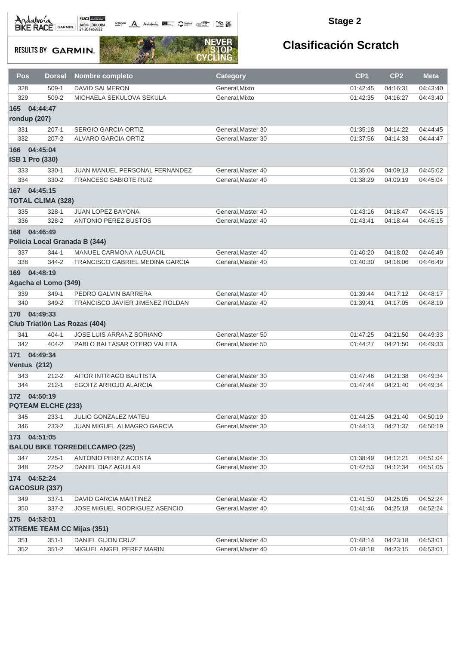octogon A Andalwia **BE CANNA TRANS** 

#### **Stage 2**

**RESULTS BY GARMIN.** 



| Pos                 | <b>Dorsal</b>                        | <b>Nombre completo</b>                | <b>Category</b>    | CP <sub>1</sub> | CP <sub>2</sub> | <b>Meta</b> |
|---------------------|--------------------------------------|---------------------------------------|--------------------|-----------------|-----------------|-------------|
| 328                 | $509-1$                              | <b>DAVID SALMERON</b>                 | General, Mixto     | 01:42:45        | 04:16:31        | 04:43:40    |
| 329                 | 509-2                                | MICHAELA SEKULOVA SEKULA              | General, Mixto     | 01:42:35        | 04:16:27        | 04:43:40    |
| 165                 | 04:44:47                             |                                       |                    |                 |                 |             |
| rondup (207)        |                                      |                                       |                    |                 |                 |             |
| 331                 | $207-1$                              | <b>SERGIO GARCIA ORTIZ</b>            | General, Master 30 | 01:35:18        | 04:14:22        | 04:44:45    |
| 332                 | $207 - 2$                            | <b>ALVARO GARCIA ORTIZ</b>            | General, Master 30 | 01:37:56        | 04:14:33        | 04:44:47    |
| 166 04:45:04        |                                      |                                       |                    |                 |                 |             |
|                     | <b>ISB 1 Pro (330)</b>               |                                       |                    |                 |                 |             |
| 333                 | $330 - 1$                            | JUAN MANUEL PERSONAL FERNANDEZ        | General, Master 40 | 01:35:04        | 04:09:13        | 04:45:02    |
| 334                 | 330-2                                | <b>FRANCESC SABIOTE RUIZ</b>          | General, Master 40 | 01:38:29        | 04:09:19        | 04:45:04    |
| 167 04:45:15        |                                      |                                       |                    |                 |                 |             |
|                     | <b>TOTAL CLIMA (328)</b>             |                                       |                    |                 |                 |             |
|                     |                                      |                                       |                    |                 |                 |             |
| 335                 | 328-1                                | <b>JUAN LOPEZ BAYONA</b>              | General, Master 40 | 01:43:16        | 04:18:47        | 04:45:15    |
| 336                 | 328-2                                | <b>ANTONIO PEREZ BUSTOS</b>           | General.Master 40  | 01:43:41        | 04:18:44        | 04:45:15    |
|                     | 168 04:46:49                         |                                       |                    |                 |                 |             |
|                     |                                      | Policia Local Granada B (344)         |                    |                 |                 |             |
| 337                 | $344 - 1$                            | MANUEL CARMONA ALGUACIL               | General, Master 40 | 01:40:20        | 04:18:02        | 04:46:49    |
| 338                 | 344-2                                | FRANCISCO GABRIEL MEDINA GARCIA       | General, Master 40 | 01:40:30        | 04:18:06        | 04:46:49    |
| 169                 | 04:48:19                             |                                       |                    |                 |                 |             |
|                     | Agacha el Lomo (349)                 |                                       |                    |                 |                 |             |
| 339                 | 349-1                                | PEDRO GALVIN BARRERA                  | General, Master 40 | 01:39:44        | 04:17:12        | 04:48:17    |
| 340                 | 349-2                                | FRANCISCO JAVIER JIMENEZ ROLDAN       | General, Master 40 | 01:39:41        | 04:17:05        | 04:48:19    |
|                     | 170 04:49:33                         |                                       |                    |                 |                 |             |
|                     | <b>Club Triatión Las Rozas (404)</b> |                                       |                    |                 |                 |             |
| 341                 | $404 - 1$                            | <b>JOSE LUIS ARRANZ SORIANO</b>       | General, Master 50 | 01:47:25        | 04:21:50        | 04:49:33    |
| 342                 | $404 - 2$                            | PABLO BALTASAR OTERO VALETA           | General, Master 50 | 01:44:27        | 04:21:50        | 04:49:33    |
|                     | 171 04:49:34                         |                                       |                    |                 |                 |             |
| <b>Ventus (212)</b> |                                      |                                       |                    |                 |                 |             |
| 343                 | $212 - 2$                            | AITOR INTRIAGO BAUTISTA               | General.Master 30  | 01:47:46        | 04:21:38        | 04:49:34    |
| 344                 | $212 - 1$                            | <b>EGOITZ ARROJO ALARCIA</b>          | General, Master 30 | 01:47:44        | 04:21:40        | 04:49:34    |
|                     | 172 04:50:19                         |                                       |                    |                 |                 |             |
|                     |                                      |                                       |                    |                 |                 |             |
|                     | <b>PQTEAM ELCHE (233)</b>            |                                       |                    |                 |                 |             |
| 345                 | $233 - 1$                            | JULIO GONZALEZ MATEU                  | General, Master 30 | 01:44:25        | 04:21:40        | 04:50:19    |
| 346                 | 233-2                                | JUAN MIGUEL ALMAGRO GARCIA            | General, Master 30 | 01:44:13        | 04:21:37        | 04:50:19    |
|                     | 173 04:51:05                         |                                       |                    |                 |                 |             |
|                     |                                      | <b>BALDU BIKE TORREDELCAMPO (225)</b> |                    |                 |                 |             |
| 347                 | $225 - 1$                            | ANTONIO PEREZ ACOSTA                  | General, Master 30 | 01:38:49        | 04:12:21        | 04:51:04    |
| 348                 | $225 - 2$                            | DANIEL DIAZ AGUILAR                   | General.Master 30  | 01:42:53        | 04:12:34        | 04:51:05    |
|                     | 174 04:52:24                         |                                       |                    |                 |                 |             |
|                     | <b>GACOSUR (337)</b>                 |                                       |                    |                 |                 |             |
| 349                 | $337-1$                              | DAVID GARCIA MARTINEZ                 | General, Master 40 | 01:41:50        | 04:25:05        | 04:52:24    |
| 350                 | 337-2                                | <b>JOSE MIGUEL RODRIGUEZ ASENCIO</b>  | General.Master 40  | 01:41:46        | 04:25:18        | 04:52:24    |
| 175 04:53:01        |                                      |                                       |                    |                 |                 |             |
|                     |                                      | <b>XTREME TEAM CC Mijas (351)</b>     |                    |                 |                 |             |
| 351                 | $351 - 1$                            | DANIEL GIJON CRUZ                     | General, Master 40 | 01:48:14        | 04:23:18        | 04:53:01    |
| 352                 | $351 - 2$                            | MIGUEL ANGEL PEREZ MARIN              | General, Master 40 | 01:48:18        | 04:23:15        | 04:53:01    |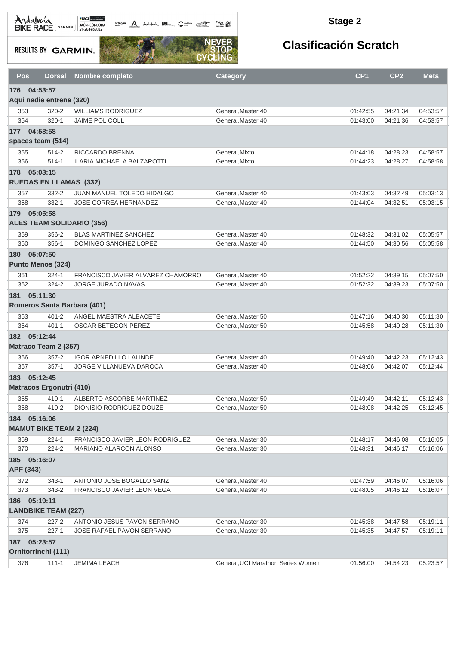octogon A Andalunia **1977** Catalog 2008 - 2008

#### **Stage 2**

**RESULTS BY GARMIN.** 



| Pos | <b>Dorsal</b>                    | Nombre completo                   | <b>Category</b>                    | CP <sub>1</sub> | CP <sub>2</sub> | <b>Meta</b> |  |  |  |
|-----|----------------------------------|-----------------------------------|------------------------------------|-----------------|-----------------|-------------|--|--|--|
| 176 | 04:53:57                         |                                   |                                    |                 |                 |             |  |  |  |
|     | Aqui nadie entrena (320)         |                                   |                                    |                 |                 |             |  |  |  |
| 353 | $320 - 2$                        | <b>WILLIAMS RODRIGUEZ</b>         | General, Master 40                 | 01:42:55        | 04:21:34        | 04:53:57    |  |  |  |
| 354 | $320 - 1$                        | JAIME POL COLL                    | General, Master 40                 | 01:43:00        | 04:21:36        | 04:53:57    |  |  |  |
|     | 177 04:58:58                     |                                   |                                    |                 |                 |             |  |  |  |
|     | spaces team (514)                |                                   |                                    |                 |                 |             |  |  |  |
| 355 | 514-2                            | RICCARDO BRENNA                   | General, Mixto                     | 01:44:18        | 04:28:23        | 04:58:57    |  |  |  |
| 356 | $514 - 1$                        | ILARIA MICHAELA BALZAROTTI        | General, Mixto                     | 01:44:23        | 04:28:27        | 04:58:58    |  |  |  |
|     | 178 05:03:15                     |                                   |                                    |                 |                 |             |  |  |  |
|     | <b>RUEDAS EN LLAMAS (332)</b>    |                                   |                                    |                 |                 |             |  |  |  |
| 357 | $332 - 2$                        | JUAN MANUEL TOLEDO HIDALGO        | General, Master 40                 | 01:43:03        | 04:32:49        | 05:03:13    |  |  |  |
| 358 | $332 - 1$                        | JOSE CORREA HERNANDEZ             | General, Master 40                 | 01:44:04        | 04:32:51        | 05:03:15    |  |  |  |
|     | 179 05:05:58                     |                                   |                                    |                 |                 |             |  |  |  |
|     | <b>ALES TEAM SOLIDARIO (356)</b> |                                   |                                    |                 |                 |             |  |  |  |
| 359 | 356-2                            | <b>BLAS MARTINEZ SANCHEZ</b>      | General.Master 40                  | 01:48:32        | 04:31:02        | 05:05:57    |  |  |  |
| 360 | $356-1$                          | DOMINGO SANCHEZ LOPEZ             | General.Master 40                  | 01:44:50        | 04:30:56        | 05:05:58    |  |  |  |
| 180 | 05:07:50                         |                                   |                                    |                 |                 |             |  |  |  |
|     | <b>Punto Menos (324)</b>         |                                   |                                    |                 |                 |             |  |  |  |
| 361 | $324 - 1$                        | FRANCISCO JAVIER ALVAREZ CHAMORRO | General, Master 40                 | 01:52:22        | 04:39:15        | 05:07:50    |  |  |  |
| 362 | $324 - 2$                        | JORGE JURADO NAVAS                | General, Master 40                 | 01:52:32        | 04:39:23        | 05:07:50    |  |  |  |
|     | 181 05:11:30                     |                                   |                                    |                 |                 |             |  |  |  |
|     | Romeros Santa Barbara (401)      |                                   |                                    |                 |                 |             |  |  |  |
| 363 | $401 - 2$                        | ANGEL MAESTRA ALBACETE            | General, Master 50                 | 01:47:16        | 04:40:30        | 05:11:30    |  |  |  |
| 364 | $401 - 1$                        | <b>OSCAR BETEGON PEREZ</b>        | General, Master 50                 | 01:45:58        | 04:40:28        | 05:11:30    |  |  |  |
|     | 182 05:12:44                     |                                   |                                    |                 |                 |             |  |  |  |
|     | Matraco Team 2 (357)             |                                   |                                    |                 |                 |             |  |  |  |
| 366 | $357 - 2$                        | <b>IGOR ARNEDILLO LALINDE</b>     | General, Master 40                 | 01:49:40        | 04:42:23        | 05:12:43    |  |  |  |
| 367 | $357-1$                          | JORGE VILLANUEVA DAROCA           | General, Master 40                 | 01:48:06        | 04:42:07        | 05:12:44    |  |  |  |
|     | 183 05:12:45                     |                                   |                                    |                 |                 |             |  |  |  |
|     | <b>Matracos Ergonutri (410)</b>  |                                   |                                    |                 |                 |             |  |  |  |
| 365 | 410-1                            | ALBERTO ASCORBE MARTINEZ          | General, Master 50                 | 01:49:49        | 04:42:11        | 05:12:43    |  |  |  |
| 368 | 410-2                            | DIONISIO RODRIGUEZ DOUZE          | General.Master 50                  | 01:48:08        | 04:42:25        | 05:12:45    |  |  |  |
|     | 184 05:16:06                     |                                   |                                    |                 |                 |             |  |  |  |
|     | <b>MAMUT BIKE TEAM 2 (224)</b>   |                                   |                                    |                 |                 |             |  |  |  |
| 369 | $224 - 1$                        | FRANCISCO JAVIER LEON RODRIGUEZ   | General.Master 30                  | 01:48:17        | 04:46:08        | 05:16:05    |  |  |  |
| 370 | 224-2                            | MARIANO ALARCON ALONSO            | General.Master 30                  | 01:48:31        | 04:46:17        | 05:16:06    |  |  |  |
|     | 185 05:16:07                     |                                   |                                    |                 |                 |             |  |  |  |
|     | APF (343)                        |                                   |                                    |                 |                 |             |  |  |  |
| 372 | $343 - 1$                        | ANTONIO JOSE BOGALLO SANZ         | General, Master 40                 | 01:47:59        | 04:46:07        | 05:16:06    |  |  |  |
| 373 | 343-2                            | FRANCISCO JAVIER LEON VEGA        | General, Master 40                 | 01:48:05        | 04:46:12        | 05:16:07    |  |  |  |
|     | 186 05:19:11                     |                                   |                                    |                 |                 |             |  |  |  |
|     | <b>LANDBIKE TEAM (227)</b>       |                                   |                                    |                 |                 |             |  |  |  |
| 374 | $227 - 2$                        | ANTONIO JESUS PAVON SERRANO       | General, Master 30                 | 01:45:38        | 04:47:58        | 05:19:11    |  |  |  |
| 375 | $227-1$                          | JOSE RAFAEL PAVON SERRANO         | General, Master 30                 | 01:45:35        | 04:47:57        | 05:19:11    |  |  |  |
|     | 187 05:23:57                     |                                   |                                    |                 |                 |             |  |  |  |
|     | Ornitorrinchi (111)              |                                   |                                    |                 |                 |             |  |  |  |
| 376 | $111 - 1$                        | <b>JEMIMA LEACH</b>               | General, UCI Marathon Series Women | 01:56:00        | 04:54:23        | 05:23:57    |  |  |  |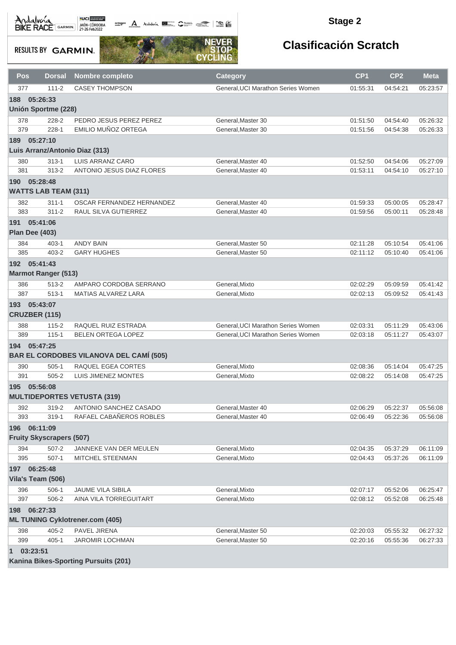$\underbrace{\hspace{1.5cm}}^{\text{octugon}}\quad \Delta\quad \text{Addwa} \quad \blacksquare \qquad \text{Suba} \quad \text{Subb} \quad \blacksquare \qquad \blacksquare$ 

#### **Stage 2**

**RESULTS BY GARMIN.** 



| Pos                      | <b>Dorsal</b>                   | <b>Nombre completo</b>                         | <b>Category</b>                    | CP <sub>1</sub> | CP <sub>2</sub> | <b>Meta</b> |
|--------------------------|---------------------------------|------------------------------------------------|------------------------------------|-----------------|-----------------|-------------|
| 377                      | $111 - 2$                       | <b>CASEY THOMPSON</b>                          | General, UCI Marathon Series Women | 01:55:31        | 04:54:21        | 05:23:57    |
| 188                      | 05:26:33                        |                                                |                                    |                 |                 |             |
|                          | <b>Unión Sportme (228)</b>      |                                                |                                    |                 |                 |             |
| 378                      | 228-2                           | PEDRO JESUS PEREZ PEREZ                        | General, Master 30                 | 01:51:50        | 04:54:40        | 05:26:32    |
| 379                      | $228 - 1$                       | EMILIO MUÑOZ ORTEGA                            | General, Master 30                 | 01:51:56        | 04:54:38        | 05:26:33    |
| 189 05:27:10             |                                 |                                                |                                    |                 |                 |             |
|                          |                                 | Luis Arranz/Antonio Diaz (313)                 |                                    |                 |                 |             |
| 380                      | $313 - 1$                       | LUIS ARRANZ CARO                               | General, Master 40                 | 01:52:50        | 04:54:06        | 05:27:09    |
| 381                      | $313 - 2$                       | ANTONIO JESUS DIAZ FLORES                      | General, Master 40                 | 01:53:11        | 04:54:10        | 05:27:10    |
| 190 05:28:48             |                                 |                                                |                                    |                 |                 |             |
|                          | <b>WATTS LAB TEAM (311)</b>     |                                                |                                    |                 |                 |             |
| 382                      | $311 - 1$                       | OSCAR FERNANDEZ HERNANDEZ                      | General, Master 40                 | 01:59:33        | 05:00:05        | 05:28:47    |
| 383                      | $311 - 2$                       | RAUL SILVA GUTIERREZ                           | General, Master 40                 | 01:59:56        | 05:00:11        | 05:28:48    |
| 191 05:41:06             |                                 |                                                |                                    |                 |                 |             |
| Plan Dee (403)           |                                 |                                                |                                    |                 |                 |             |
| 384                      | $403 - 1$                       | <b>ANDY BAIN</b>                               | General, Master 50                 | 02:11:28        | 05:10:54        | 05:41:06    |
| 385                      | $403 - 2$                       | <b>GARY HUGHES</b>                             | General.Master 50                  | 02:11:12        | 05:10:40        | 05:41:06    |
| 192 05:41:43             |                                 |                                                |                                    |                 |                 |             |
|                          | <b>Marmot Ranger (513)</b>      |                                                |                                    |                 |                 |             |
| 386                      | 513-2                           | AMPARO CORDOBA SERRANO                         | General, Mixto                     | 02:02:29        | 05:09:59        | 05:41:42    |
| 387                      | $513 - 1$                       | MATIAS ALVAREZ LARA                            | General, Mixto                     | 02:02:13        | 05:09:52        | 05:41:43    |
| 193 05:43:07             |                                 |                                                |                                    |                 |                 |             |
| <b>CRUZBER (115)</b>     |                                 |                                                |                                    |                 |                 |             |
| 388                      | $115 - 2$                       | RAQUEL RUIZ ESTRADA                            | General, UCI Marathon Series Women | 02:03:31        | 05:11:29        | 05:43:06    |
| 389                      | $115 - 1$                       | <b>BELEN ORTEGA LOPEZ</b>                      | General, UCI Marathon Series Women | 02:03:18        | 05:11:27        | 05:43:07    |
| 194 05:47:25             |                                 |                                                |                                    |                 |                 |             |
|                          |                                 | <b>BAR EL CORDOBES VILANOVA DEL CAMÍ (505)</b> |                                    |                 |                 |             |
| 390                      | $505-1$                         | RAQUEL EGEA CORTES                             | General, Mixto                     | 02:08:36        | 05:14:04        | 05:47:25    |
| 391                      | $505 - 2$                       | <b>LUIS JIMENEZ MONTES</b>                     | General, Mixto                     | 02:08:22        | 05:14:08        | 05:47:25    |
| 195                      | 05:56:08                        |                                                |                                    |                 |                 |             |
|                          |                                 | <b>MULTIDEPORTES VETUSTA (319)</b>             |                                    |                 |                 |             |
| 392                      | 319-2                           | ANTONIO SANCHEZ CASADO                         | General, Master 40                 | 02:06:29        | 05:22:37        | 05:56:08    |
| 393                      | 319-1                           | RAFAEL CABANEROS ROBLES                        | General, Master 40                 | 02:06:49        | 05:22:36        | 05:56:08    |
| 196 06:11:09             |                                 |                                                |                                    |                 |                 |             |
|                          | <b>Fruity Skyscrapers (507)</b> |                                                |                                    |                 |                 |             |
| 394                      | $507 - 2$                       | JANNEKE VAN DER MEULEN                         | General, Mixto                     | 02:04:35        | 05:37:29        | 06:11:09    |
| 395                      | $507-1$                         | MITCHEL STEENMAN                               | General, Mixto                     | 02:04:43        | 05:37:26        | 06:11:09    |
| 197 06:25:48             |                                 |                                                |                                    |                 |                 |             |
|                          | Vila's Team (506)               |                                                |                                    |                 |                 |             |
| 396                      | $506-1$                         | JAUME VILA SIBILA                              | General, Mixto                     | 02:07:17        | 05:52:06        | 06:25:47    |
| 397                      | 506-2                           | AINA VILA TORREGUITART                         | General, Mixto                     | 02:08:12        | 05:52:08        | 06:25:48    |
| 198                      | 06:27:33                        |                                                |                                    |                 |                 |             |
|                          |                                 | <b>ML TUNING Cyklotrener.com (405)</b>         |                                    |                 |                 |             |
| 398                      | $405 - 2$                       | PAVEL JIRENA                                   | General, Master 50                 | 02:20:03        | 05:55:32        | 06:27:32    |
| 399                      | $405 - 1$                       | <b>JAROMIR LOCHMAN</b>                         | General, Master 50                 | 02:20:16        | 05:55:36        | 06:27:33    |
| 03:23:51<br>$\mathbf{1}$ |                                 |                                                |                                    |                 |                 |             |
|                          |                                 | Kanina Bikes-Sporting Pursuits (201)           |                                    |                 |                 |             |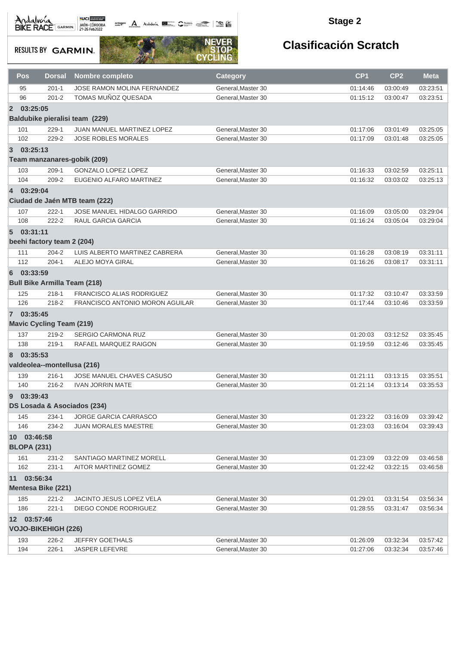octogon A Andalwia **BE CANNA TRANS** 

#### **Stage 2**

**RESULTS BY GARMIN.** 



|                | Pos                             | <b>Dorsal</b> | <b>Nombre completo</b>              | <b>Category</b>    | CP <sub>1</sub> | CP <sub>2</sub> | <b>Meta</b> |  |  |
|----------------|---------------------------------|---------------|-------------------------------------|--------------------|-----------------|-----------------|-------------|--|--|
|                | 95                              | $201 - 1$     | <b>JOSE RAMON MOLINA FERNANDEZ</b>  | General, Master 30 | 01:14:46        | 03:00:49        | 03:23:51    |  |  |
|                | 96                              | $201 - 2$     | TOMAS MUÑOZ QUESADA                 | General, Master 30 | 01:15:12        | 03:00:47        | 03:23:51    |  |  |
| $\overline{2}$ | 03:25:05                        |               |                                     |                    |                 |                 |             |  |  |
|                |                                 |               | Baldubike pieralisi team (229)      |                    |                 |                 |             |  |  |
|                | 101                             | $229-1$       | JUAN MANUEL MARTINEZ LOPEZ          | General, Master 30 | 01:17:06        | 03:01:49        | 03:25:05    |  |  |
|                | 102                             | 229-2         | <b>JOSE ROBLES MORALES</b>          | General, Master 30 | 01:17:09        | 03:01:48        | 03:25:05    |  |  |
| 3              | 03:25:13                        |               |                                     |                    |                 |                 |             |  |  |
|                |                                 |               | Team manzanares-gobik (209)         |                    |                 |                 |             |  |  |
|                | 103                             | $209-1$       | <b>GONZALO LOPEZ LOPEZ</b>          | General.Master 30  | 01:16:33        | 03:02:59        | 03:25:11    |  |  |
|                | 104                             | $209 - 2$     | EUGENIO ALFARO MARTINEZ             | General, Master 30 | 01:16:32        | 03:03:02        | 03:25:13    |  |  |
| $\overline{4}$ | 03:29:04                        |               |                                     |                    |                 |                 |             |  |  |
|                |                                 |               | Ciudad de Jaén MTB team (222)       |                    |                 |                 |             |  |  |
|                | 107                             | $222 - 1$     | JOSE MANUEL HIDALGO GARRIDO         | General, Master 30 | 01:16:09        | 03:05:00        | 03:29:04    |  |  |
|                | 108                             | $222 - 2$     | RAUL GARCIA GARCIA                  | General.Master 30  | 01:16:24        | 03:05:04        | 03:29:04    |  |  |
|                | 503:31:11                       |               |                                     |                    |                 |                 |             |  |  |
|                | beehi factory team 2 (204)      |               |                                     |                    |                 |                 |             |  |  |
|                |                                 |               |                                     |                    |                 |                 |             |  |  |
|                | 111                             | $204 - 2$     | LUIS ALBERTO MARTINEZ CABRERA       | General.Master 30  | 01:16:28        | 03:08:19        | 03:31:11    |  |  |
|                | 112                             | $204 - 1$     | ALEJO MOYA GIRAL                    | General, Master 30 | 01:16:26        | 03:08:17        | 03:31:11    |  |  |
| 6              | 03:33:59                        |               |                                     |                    |                 |                 |             |  |  |
|                |                                 |               | <b>Bull Bike Armilla Team (218)</b> |                    |                 |                 |             |  |  |
|                | 125                             | $218 - 1$     | FRANCISCO ALIAS RODRIGUEZ           | General, Master 30 | 01:17:32        | 03:10:47        | 03:33:59    |  |  |
|                | 126                             | $218 - 2$     | FRANCISCO ANTONIO MORON AGUILAR     | General, Master 30 | 01:17:44        | 03:10:46        | 03:33:59    |  |  |
|                | 7 03:35:45                      |               |                                     |                    |                 |                 |             |  |  |
|                | <b>Mavic Cycling Team (219)</b> |               |                                     |                    |                 |                 |             |  |  |
|                | 137                             | $219 - 2$     | <b>SERGIO CARMONA RUZ</b>           | General, Master 30 | 01:20:03        | 03:12:52        | 03:35:45    |  |  |
|                | 138                             | $219 - 1$     | RAFAEL MARQUEZ RAIGON               | General, Master 30 | 01:19:59        | 03:12:46        | 03:35:45    |  |  |
| 8              | 03:35:53                        |               |                                     |                    |                 |                 |             |  |  |
|                |                                 |               | valdeolea--montellusa (216)         |                    |                 |                 |             |  |  |
|                | 139                             | $216 - 1$     | <b>JOSE MANUEL CHAVES CASUSO</b>    | General.Master 30  | 01:21:11        | 03:13:15        | 03:35:51    |  |  |
|                | 140                             | $216 - 2$     | <b>IVAN JORRIN MATE</b>             | General, Master 30 | 01:21:14        | 03:13:14        | 03:35:53    |  |  |
|                |                                 |               |                                     |                    |                 |                 |             |  |  |
| 9              | 03:39:43                        |               |                                     |                    |                 |                 |             |  |  |
|                |                                 |               | DS Losada & Asociados (234)         |                    |                 |                 |             |  |  |
|                | 145                             | $234-1$       | JORGE GARCIA CARRASCO               | General, Master 30 | 01:23:22        | 03:16:09        | 03:39:42    |  |  |
|                | 146                             | 234-2         | JUAN MORALES MAESTRE                | General, Master 30 | 01:23:03        | 03:16:04        | 03:39:43    |  |  |
|                | 10 03:46:58                     |               |                                     |                    |                 |                 |             |  |  |
|                | <b>BLOPA (231)</b>              |               |                                     |                    |                 |                 |             |  |  |
|                | 161                             | $231 - 2$     | SANTIAGO MARTINEZ MORELL            | General, Master 30 | 01:23:09        | 03:22:09        | 03:46:58    |  |  |
|                | 162                             | $231 - 1$     | AITOR MARTINEZ GOMEZ                | General, Master 30 | 01:22:42        | 03:22:15        | 03:46:58    |  |  |
|                | 11 03:56:34                     |               |                                     |                    |                 |                 |             |  |  |
|                | <b>Mentesa Bike (221)</b>       |               |                                     |                    |                 |                 |             |  |  |
|                | 185                             | $221 - 2$     | JACINTO JESUS LOPEZ VELA            | General, Master 30 | 01:29:01        | 03:31:54        | 03:56:34    |  |  |
|                | 186                             | $221 - 1$     | DIEGO CONDE RODRIGUEZ               | General, Master 30 | 01:28:55        | 03:31:47        | 03:56:34    |  |  |
|                | 12 03:57:46                     |               |                                     |                    |                 |                 |             |  |  |
|                | <b>VOJO-BIKEHIGH (226)</b>      |               |                                     |                    |                 |                 |             |  |  |
|                | 193                             | 226-2         | JEFFRY GOETHALS                     | General, Master 30 | 01:26:09        | 03:32:34        | 03:57:42    |  |  |
|                | 194                             | $226-1$       | JASPER LEFEVRE                      | General, Master 30 | 01:27:06        | 03:32:34        | 03:57:46    |  |  |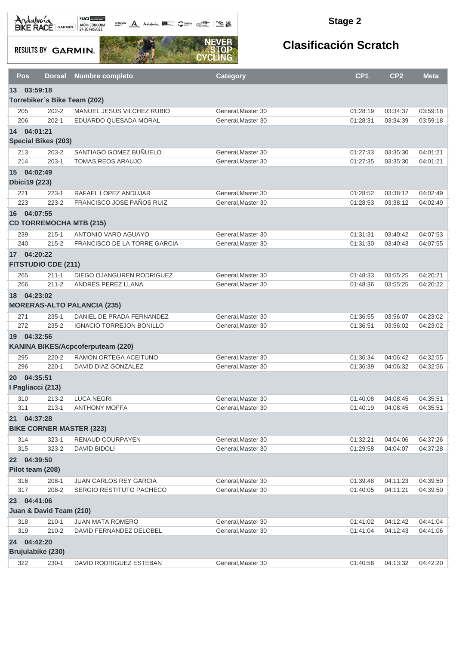octogon Andalusia **1944** 

#### **Stage 2**

**RESULTS BY GARMIN.** 



| Pos        | <b>Dorsal</b>                       | <b>Nombre completo</b>                             | <b>Category</b>                          | CP <sub>1</sub>      | CP <sub>2</sub>      | <b>Meta</b>          |
|------------|-------------------------------------|----------------------------------------------------|------------------------------------------|----------------------|----------------------|----------------------|
|            | 13 03:59:18                         |                                                    |                                          |                      |                      |                      |
|            | Torrebiker's Bike Team (202)        |                                                    |                                          |                      |                      |                      |
| 205        | $202 - 2$                           | MANUEL JESUS VILCHEZ RUBIO                         | General, Master 30                       | 01:28:19             | 03:34:37             | 03:59:18             |
| 206        | $202 - 1$                           | EDUARDO QUESADA MORAL                              | General, Master 30                       | 01:28:31             | 03:34:39             | 03:59:18             |
| 14         | 04:01:21                            |                                                    |                                          |                      |                      |                      |
|            | <b>Special Bikes (203)</b>          |                                                    |                                          |                      |                      |                      |
| 213        | $203 - 2$                           | SANTIAGO GOMEZ BUÑUELO                             | General, Master 30                       | 01:27:33             | 03:35:30             | 04:01:21             |
| 214        | $203-1$                             | <b>TOMAS REOS ARAUJO</b>                           | General.Master 30                        | 01:27:35             | 03:35:30             | 04:01:21             |
| 15         | 04:02:49                            |                                                    |                                          |                      |                      |                      |
|            | <b>Dbici19 (223)</b>                |                                                    |                                          |                      |                      |                      |
| 221        | $223 - 1$                           | RAFAEL LOPEZ ANDUJAR                               | General, Master 30                       | 01:28:52             | 03:38:12             | 04:02:49             |
| 223        | $223 - 2$                           | FRANCISCO JOSE PAÑOS RUIZ                          | General, Master 30                       | 01:28:53             | 03:38:12             | 04:02:49             |
| 16         | 04:07:55                            |                                                    |                                          |                      |                      |                      |
|            | <b>CD TORREMOCHA MTB (215)</b>      |                                                    |                                          |                      |                      |                      |
| 239        | $215 - 1$                           | ANTONIO VARO AGUAYO                                | General, Master 30                       | 01:31:31             | 03:40:42             | 04:07:53             |
| 240        | $215 - 2$                           | FRANCISCO DE LA TORRE GARCIA                       | General.Master 30                        | 01:31:30             | 03:40:43             | 04:07:55             |
|            | 17 04:20:22                         |                                                    |                                          |                      |                      |                      |
|            | <b>FITSTUDIO CDE (211)</b>          |                                                    |                                          |                      |                      |                      |
| 265        | $211 - 1$                           | DIEGO OJANGUREN RODRIGUEZ                          | General.Master 30                        | 01:48:33             | 03:55:25             | 04:20:21             |
| 266        | $211 - 2$                           | ANDRES PEREZ LLANA                                 | General, Master 30                       | 01:48:36             | 03:55:25             | 04:20:22             |
| 18         | 04:23:02                            |                                                    |                                          |                      |                      |                      |
|            |                                     | <b>MORERAS-ALTO PALANCIA (235)</b>                 |                                          |                      |                      |                      |
| 271        | $235 - 1$                           | DANIEL DE PRADA FERNANDEZ                          | General, Master 30                       | 01:36:55             | 03:56:07             | 04:23:02             |
| 272        | 235-2                               | <b>IGNACIO TORREJON BONILLO</b>                    | General, Master 30                       | 01:36:51             | 03:56:02             | 04:23:02             |
| 19         | 04:32:56                            |                                                    |                                          |                      |                      |                      |
|            |                                     | KANINA BIKES/Acpcoferputeam (220)                  |                                          |                      |                      |                      |
| 295        | $220 - 2$                           | RAMON ORTEGA ACEITUNO                              | General, Master 30                       | 01:36:34             | 04:06:42             | 04:32:55             |
| 296        | $220 - 1$                           | DAVID DIAZ GONZALEZ                                | General, Master 30                       | 01:36:39             | 04:06:32             | 04:32:56             |
| <b>20</b>  | 04:35:51                            |                                                    |                                          |                      |                      |                      |
|            | I Pagliacci (213)                   |                                                    |                                          |                      |                      |                      |
| 310        | $213 - 2$                           | <b>LUCA NEGRI</b>                                  | General, Master 30                       | 01:40:08             | 04:08:45             | 04:35:51             |
| 311        | $213 - 1$                           | <b>ANTHONY MOFFA</b>                               | General, Master 30                       | 01:40:19             | 04:08:45             | 04:35:51             |
|            | 21 04:37:28                         |                                                    |                                          |                      |                      |                      |
|            | <b>BIKE CORNER MASTER (323)</b>     |                                                    |                                          |                      |                      |                      |
| 314        | $323 - 1$                           | RENAUD COURPAYEN                                   | General, Master 30                       | 01:32:21             | 04:04:06             | 04:37:26             |
| 315        | 323-2                               | <b>DAVID BIDOLI</b>                                | General, Master 30                       | 01:29:58             | 04:04:07             | 04:37:28             |
|            | 22 04:39:50                         |                                                    |                                          |                      |                      |                      |
|            | Pilot team (208)                    |                                                    |                                          |                      |                      |                      |
|            | $208-1$                             | JUAN CARLOS REY GARCIA                             | General, Master 30                       |                      |                      | 04:39:50             |
| 316<br>317 | 208-2                               | SERGIO RESTITUTO PACHECO                           | General, Master 30                       | 01:39:48<br>01:40:05 | 04:11:23<br>04:11:21 | 04:39:50             |
|            |                                     |                                                    |                                          |                      |                      |                      |
| 23         | 04:41:06<br>Juan & David Team (210) |                                                    |                                          |                      |                      |                      |
|            |                                     |                                                    |                                          |                      |                      |                      |
| 318<br>319 | $210 - 1$<br>$210 - 2$              | <b>JUAN MATA ROMERO</b><br>DAVID FERNANDEZ DELOBEL | General, Master 30<br>General, Master 30 | 01:41:02             | 04:12:42<br>04:12:43 | 04:41:04<br>04:41:06 |
|            |                                     |                                                    |                                          | 01:41:04             |                      |                      |
|            | 24 04:42:20                         |                                                    |                                          |                      |                      |                      |
|            | Brujulabike (230)                   |                                                    |                                          |                      |                      |                      |
| 322        | $230-1$                             | DAVID RODRIGUEZ ESTEBAN                            | General, Master 30                       | 01:40:56             | 04:13:32             | 04:42:20             |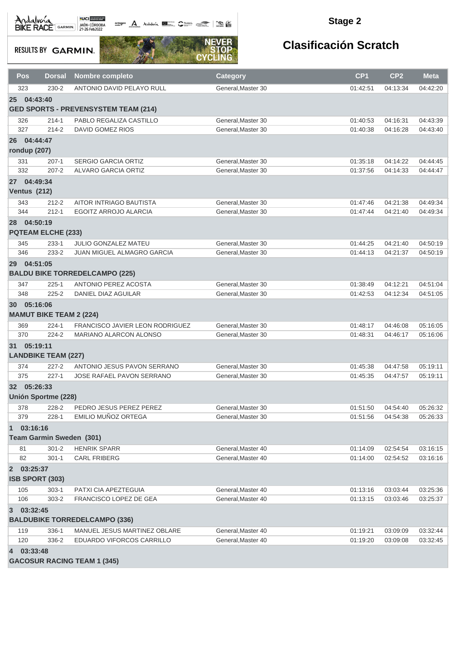octogon A Andalusía **DE C**ANALIS COMPOS COMPOS

#### **Stage 2**

**RESULTS BY GARMIN.** 



| Pos                         | <b>Dorsal</b>                  | Nombre completo                                   | <b>Category</b>                         | CP <sub>1</sub>      | CP <sub>2</sub>      | <b>Meta</b>          |
|-----------------------------|--------------------------------|---------------------------------------------------|-----------------------------------------|----------------------|----------------------|----------------------|
| 323                         | $230 - 2$                      | ANTONIO DAVID PELAYO RULL                         | General, Master 30                      | 01:42:51             | 04:13:34             | 04:42:20             |
| 25 <sup>2</sup>             | 04:43:40                       |                                                   |                                         |                      |                      |                      |
|                             |                                | <b>GED SPORTS - PREVENSYSTEM TEAM (214)</b>       |                                         |                      |                      |                      |
| 326                         | $214 - 1$                      | PABLO REGALIZA CASTILLO                           | General, Master 30                      | 01:40:53             | 04:16:31             | 04:43:39             |
| 327                         | $214 - 2$                      | <b>DAVID GOMEZ RIOS</b>                           | General, Master 30                      | 01:40:38             | 04:16:28             | 04:43:40             |
| 26 04:44:47<br>rondup (207) |                                |                                                   |                                         |                      |                      |                      |
|                             |                                |                                                   |                                         |                      |                      |                      |
| 331<br>332                  | $207-1$<br>$207 - 2$           | <b>SERGIO GARCIA ORTIZ</b><br>ALVARO GARCIA ORTIZ | General, Master 30<br>General.Master 30 | 01:35:18<br>01:37:56 | 04:14:22<br>04:14:33 | 04:44:45<br>04:44:47 |
| 27 04:49:34                 |                                |                                                   |                                         |                      |                      |                      |
| Ventus (212)                |                                |                                                   |                                         |                      |                      |                      |
| 343                         | $212 - 2$                      | AITOR INTRIAGO BAUTISTA                           | General, Master 30                      | 01:47:46             | 04:21:38             | 04:49:34             |
| 344                         | $212 - 1$                      | <b>EGOITZ ARROJO ALARCIA</b>                      | General, Master 30                      | 01:47:44             | 04:21:40             | 04:49:34             |
| 28 04:50:19                 |                                |                                                   |                                         |                      |                      |                      |
|                             | <b>PQTEAM ELCHE (233)</b>      |                                                   |                                         |                      |                      |                      |
| 345                         | $233 - 1$                      | <b>JULIO GONZALEZ MATEU</b>                       | General, Master 30                      | 01:44:25             | 04:21:40             | 04:50:19             |
| 346                         | 233-2                          | <b>JUAN MIGUEL ALMAGRO GARCIA</b>                 | General, Master 30                      | 01:44:13             | 04:21:37             | 04:50:19             |
| 29 <sup>°</sup>             | 04:51:05                       |                                                   |                                         |                      |                      |                      |
|                             |                                | <b>BALDU BIKE TORREDELCAMPO (225)</b>             |                                         |                      |                      |                      |
| 347                         | $225 - 1$                      | ANTONIO PEREZ ACOSTA                              | General.Master 30                       | 01:38:49             | 04:12:21             | 04:51:04             |
| 348                         | $225 - 2$                      | DANIEL DIAZ AGUILAR                               | General, Master 30                      | 01:42:53             | 04:12:34             | 04:51:05             |
| 30 05:16:06                 |                                |                                                   |                                         |                      |                      |                      |
|                             | <b>MAMUT BIKE TEAM 2 (224)</b> |                                                   |                                         |                      |                      |                      |
| 369                         | $224 - 1$                      | FRANCISCO JAVIER LEON RODRIGUEZ                   | General, Master 30                      | 01:48:17             | 04:46:08             | 05:16:05             |
| 370                         | 224-2                          | MARIANO ALARCON ALONSO                            | General, Master 30                      | 01:48:31             | 04:46:17             | 05:16:06             |
| 31 05:19:11                 |                                |                                                   |                                         |                      |                      |                      |
|                             | <b>LANDBIKE TEAM (227)</b>     |                                                   |                                         |                      |                      |                      |
| 374                         | $227 - 2$                      | ANTONIO JESUS PAVON SERRANO                       | General, Master 30                      | 01:45:38             | 04:47:58             | 05:19:11             |
| 375                         | $227 - 1$                      | <b>JOSE RAFAEL PAVON SERRANO</b>                  | General, Master 30                      | 01:45:35             | 04:47:57             | 05:19:11             |
| 32 05:26:33                 | <b>Unión Sportme (228)</b>     |                                                   |                                         |                      |                      |                      |
| 378                         | 228-2                          | PEDRO JESUS PEREZ PEREZ                           | General, Master 30                      | 01:51:50             | 04:54:40             | 05:26:32             |
| 379                         | 228-1                          | EMILIO MUÑOZ ORTEGA                               | General, Master 30                      | 01:51:56             | 04:54:38             | 05:26:33             |
| 1 03:16:16                  |                                |                                                   |                                         |                      |                      |                      |
|                             | Team Garmin Sweden (301)       |                                                   |                                         |                      |                      |                      |
| 81                          | $301 - 2$                      | <b>HENRIK SPARR</b>                               | General, Master 40                      | 01:14:09             | 02:54:54             | 03:16:15             |
| 82                          | $301 - 1$                      | <b>CARL FRIBERG</b>                               | General, Master 40                      | 01:14:00             | 02:54:52             | 03:16:16             |
| 2 03:25:37                  |                                |                                                   |                                         |                      |                      |                      |
|                             | <b>ISB SPORT (303)</b>         |                                                   |                                         |                      |                      |                      |
| 105                         | $303-1$                        | PATXI CIA APEZTEGUIA                              | General, Master 40                      | 01:13:16             | 03:03:44             | 03:25:36             |
| 106                         | $303 - 2$                      | FRANCISCO LOPEZ DE GEA                            | General, Master 40                      | 01:13:15             | 03:03:46             | 03:25:37             |
| 3 03:32:45                  |                                |                                                   |                                         |                      |                      |                      |
|                             |                                | <b>BALDUBIKE TORREDELCAMPO (336)</b>              |                                         |                      |                      |                      |
| 119                         | 336-1                          | MANUEL JESUS MARTINEZ OBLARE                      | General, Master 40                      | 01:19:21             | 03:09:09             | 03:32:44             |
| 120                         | 336-2                          | EDUARDO VIFORCOS CARRILLO                         | General, Master 40                      | 01:19:20             | 03:09:08             | 03:32:45             |
| 4 03:33:48                  |                                |                                                   |                                         |                      |                      |                      |
|                             |                                | <b>GACOSUR RACING TEAM 1 (345)</b>                |                                         |                      |                      |                      |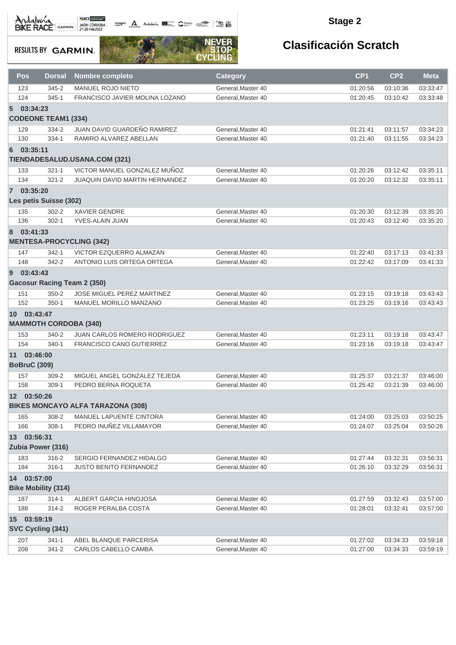octogon A Andalwia **BE CANNA TRANS** 

#### **Stage 2**

**RESULTS BY GARMIN.** 



|    | Pos<br><b>Dorsal</b>       | Nombre completo                          |                                 | <b>Category</b>    | CP <sub>1</sub> | CP <sub>2</sub> | <b>Meta</b> |
|----|----------------------------|------------------------------------------|---------------------------------|--------------------|-----------------|-----------------|-------------|
|    | 345-2<br>123               | <b>MANUEL ROJO NIETO</b>                 |                                 | General, Master 40 | 01:20:56        | 03:10:36        | 03:33:47    |
|    | 124<br>$345 - 1$           |                                          | FRANCISCO JAVIER MOLINA LOZANO  | General, Master 40 | 01:20:45        | 03:10:42        | 03:33:48    |
|    | 5 03:34:23                 |                                          |                                 |                    |                 |                 |             |
|    | <b>CODEONE TEAM1 (334)</b> |                                          |                                 |                    |                 |                 |             |
|    | 129<br>334-2               |                                          | JUAN DAVID GUARDEÑO RAMIREZ     | General, Master 40 | 01:21:41        | 03:11:57        | 03:34:23    |
|    | 130<br>334-1               | RAMIRO ALVAREZ ABELLAN                   |                                 | General, Master 40 | 01:21:40        | 03:11:55        | 03:34:23    |
| 6  | 03:35:11                   |                                          |                                 |                    |                 |                 |             |
|    |                            | TIENDADESALUD.USANA.COM (321)            |                                 |                    |                 |                 |             |
|    | $321 - 1$<br>133           |                                          | VICTOR MANUEL GONZALEZ MUÑOZ    | General, Master 40 | 01:20:26        | 03:12:42        | 03:35:11    |
|    | 134<br>$321 - 2$           |                                          | JUAQUIN DAVID MARTIN HERNANDEZ  | General, Master 40 | 01:20:20        | 03:12:32        | 03:35:11    |
|    | 7 03:35:20                 |                                          |                                 |                    |                 |                 |             |
|    | Les petis Suisse (302)     |                                          |                                 |                    |                 |                 |             |
|    | $302 - 2$<br>135           | <b>XAVIER GENDRE</b>                     |                                 | General, Master 40 | 01:20:30        | 03:12:39        | 03:35:20    |
|    | 136<br>$302 - 1$           | YVES-ALAIN JUAN                          |                                 | General, Master 40 | 01:20:43        | 03:12:40        | 03:35:20    |
|    | 8 03:41:33                 |                                          |                                 |                    |                 |                 |             |
|    |                            | <b>MENTESA-PROCYCLING (342)</b>          |                                 |                    |                 |                 |             |
|    |                            |                                          |                                 |                    |                 |                 |             |
|    | 147<br>$342 - 1$           |                                          | VICTOR EZQUERRO ALMAZAN         | General, Master 40 | 01:22:40        | 03:17:13        | 03:41:33    |
|    | 148<br>342-2               |                                          | ANTONIO LUIS ORTEGA ORTEGA      | General.Master 40  | 01:22:42        | 03:17:09        | 03:41:33    |
| 9  | 03:43:43                   |                                          |                                 |                    |                 |                 |             |
|    |                            | <b>Gacosur Racing Team 2 (350)</b>       |                                 |                    |                 |                 |             |
|    | $350 - 2$<br>151           |                                          | JOSE MIGUEL PEREZ MARTINEZ      | General, Master 40 | 01:23:15        | 03:19:18        | 03:43:43    |
|    | 152<br>$350-1$             |                                          | MANUEL MORILLO MANZANO          | General, Master 40 | 01:23:25        | 03:19:16        | 03:43:43    |
|    | 10 03:43:47                |                                          |                                 |                    |                 |                 |             |
|    |                            | <b>MAMMOTH CORDOBA (340)</b>             |                                 |                    |                 |                 |             |
|    | 340-2<br>153               |                                          | JUAN CARLOS ROMERO RODRIGUEZ    | General, Master 40 | 01:23:11        | 03:19:18        | 03:43:47    |
|    | 154<br>$340 - 1$           |                                          | <b>FRANCISCO CANO GUTIERREZ</b> | General, Master 40 | 01:23:16        | 03:19:18        | 03:43:47    |
|    | 11 03:46:00                |                                          |                                 |                    |                 |                 |             |
|    | <b>BoBruC (309)</b>        |                                          |                                 |                    |                 |                 |             |
|    | 157<br>$309 - 2$           |                                          | MIGUEL ANGEL GONZALEZ TEJEDA    | General, Master 40 | 01:25:37        | 03:21:37        | 03:46:00    |
|    | 158<br>$309-1$             | PEDRO BERNA ROQUETA                      |                                 | General, Master 40 | 01:25:42        | 03:21:39        | 03:46:00    |
|    | 12 03:50:26                |                                          |                                 |                    |                 |                 |             |
|    |                            | <b>BIKES MONCAYO ALFA TARAZONA (308)</b> |                                 |                    |                 |                 |             |
|    | 308-2<br>165               |                                          | MANUEL LAPUENTE CINTORA         | General, Master 40 | 01:24:00        | 03:25:03        | 03:50:25    |
|    | $308 - 1$<br>166           |                                          | PEDRO INUÑEZ VILLAMAYOR         | General, Master 40 | 01:24:07        | 03:25:04        | 03:50:26    |
| 13 | 03:56:31                   |                                          |                                 |                    |                 |                 |             |
|    | Zubia Power (316)          |                                          |                                 |                    |                 |                 |             |
|    | 183<br>316-2               |                                          | SERGIO FERNANDEZ HIDALGO        | General, Master 40 | 01:27:44        | 03:32:31        | 03:56:31    |
|    | 184<br>$316 - 1$           | JUSTO BENITO FERNANDEZ                   |                                 | General, Master 40 | 01:26:10        | 03:32:29        | 03:56:31    |
| 14 | 03:57:00                   |                                          |                                 |                    |                 |                 |             |
|    | <b>Bike Mobility (314)</b> |                                          |                                 |                    |                 |                 |             |
|    | 187<br>$314 - 1$           | ALBERT GARCIA HINOJOSA                   |                                 | General, Master 40 | 01:27:59        | 03:32:43        | 03:57:00    |
|    | 188<br>314-2               | ROGER PERALBA COSTA                      |                                 | General.Master 40  | 01:28:01        | 03:32:41        | 03:57:00    |
| 15 | 03:59:19                   |                                          |                                 |                    |                 |                 |             |
|    | SVC Cycling (341)          |                                          |                                 |                    |                 |                 |             |
|    | 207<br>$341 - 1$           | ABEL BLANQUE PARCERISA                   |                                 | General, Master 40 | 01:27:02        | 03:34:33        | 03:59:18    |
|    | 208<br>341-2               | CARLOS CABELLO CAMBA                     |                                 | General, Master 40 | 01:27:00        | 03:34:33        | 03:59:19    |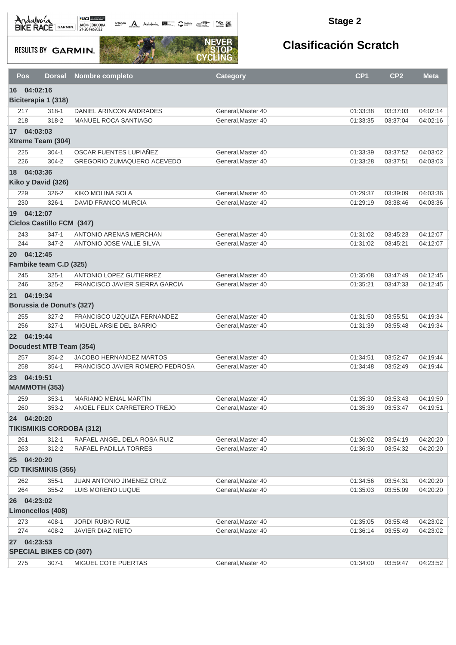**octogon A** Andalwin **ELLER** CANNAIS TO BE

#### **Stage 2**

**RESULTS BY GARMIN.** 



| Pos        | <b>Dorsal</b>                    | Nombre completo                                            | <b>Category</b>                         | CP <sub>1</sub>      | CP <sub>2</sub>      | <b>Meta</b>          |  |  |  |
|------------|----------------------------------|------------------------------------------------------------|-----------------------------------------|----------------------|----------------------|----------------------|--|--|--|
| 16         | 04:02:16                         |                                                            |                                         |                      |                      |                      |  |  |  |
|            | Biciterapia 1 (318)              |                                                            |                                         |                      |                      |                      |  |  |  |
| 217        | $318 - 1$                        | DANIEL ARINCON ANDRADES                                    | General, Master 40                      | 01:33:38             | 03:37:03             | 04:02:14             |  |  |  |
| 218        | 318-2                            | MANUEL ROCA SANTIAGO                                       | General.Master 40                       | 01:33:35             | 03:37:04             | 04:02:16             |  |  |  |
|            | 17 04:03:03                      |                                                            |                                         |                      |                      |                      |  |  |  |
|            | Xtreme Team (304)                |                                                            |                                         |                      |                      |                      |  |  |  |
| 225        | $304 - 1$                        | OSCAR FUENTES LUPIAÑEZ                                     | General, Master 40                      | 01:33:39             | 03:37:52             | 04:03:02             |  |  |  |
| 226        | $304 - 2$                        | GREGORIO ZUMAQUERO ACEVEDO                                 | General.Master 40                       | 01:33:28             | 03:37:51             | 04:03:03             |  |  |  |
| 18         | 04:03:36                         |                                                            |                                         |                      |                      |                      |  |  |  |
|            | Kiko y David (326)               |                                                            |                                         |                      |                      |                      |  |  |  |
| 229        | 326-2                            | KIKO MOLINA SOLA                                           | General, Master 40                      | 01:29:37             | 03:39:09             | 04:03:36             |  |  |  |
| 230        | $326-1$                          | DAVID FRANCO MURCIA                                        | General, Master 40                      | 01:29:19             | 03:38:46             | 04:03:36             |  |  |  |
|            | 19 04:12:07                      |                                                            |                                         |                      |                      |                      |  |  |  |
|            | <b>Ciclos Castillo FCM (347)</b> |                                                            |                                         |                      |                      |                      |  |  |  |
| 243        | $347 - 1$                        | ANTONIO ARENAS MERCHAN                                     | General, Master 40                      | 01:31:02             | 03:45:23             | 04:12:07             |  |  |  |
| 244        | 347-2                            | ANTONIO JOSE VALLE SILVA                                   | General, Master 40                      | 01:31:02             | 03:45:21             | 04:12:07             |  |  |  |
|            | 20 04:12:45                      |                                                            |                                         |                      |                      |                      |  |  |  |
|            | Fambike team C.D (325)           |                                                            |                                         |                      |                      |                      |  |  |  |
| 245        | $325 - 1$                        | ANTONIO LOPEZ GUTIERREZ                                    | General.Master 40                       | 01:35:08             | 03:47:49             | 04:12:45             |  |  |  |
| 246        | $325 - 2$                        | <b>FRANCISCO JAVIER SIERRA GARCIA</b>                      | General, Master 40                      | 01:35:21             | 03:47:33             | 04:12:45             |  |  |  |
|            | 21 04:19:34                      |                                                            |                                         |                      |                      |                      |  |  |  |
|            | Borussia de Donut's (327)        |                                                            |                                         |                      |                      |                      |  |  |  |
|            |                                  | FRANCISCO UZQUIZA FERNANDEZ                                | General, Master 40                      |                      |                      |                      |  |  |  |
| 255<br>256 | $327 - 2$<br>$327 - 1$           | MIGUEL ARSIE DEL BARRIO                                    | General, Master 40                      | 01:31:50<br>01:31:39 | 03:55:51<br>03:55:48 | 04:19:34<br>04:19:34 |  |  |  |
|            | 22 04:19:44                      |                                                            |                                         |                      |                      |                      |  |  |  |
|            |                                  |                                                            |                                         |                      |                      |                      |  |  |  |
|            | Docudest MTB Team (354)          |                                                            |                                         |                      |                      |                      |  |  |  |
| 257<br>258 | 354-2<br>$354-1$                 | JACOBO HERNANDEZ MARTOS<br>FRANCISCO JAVIER ROMERO PEDROSA | General, Master 40<br>General.Master 40 | 01:34:51             | 03:52:47<br>03:52:49 | 04:19:44<br>04:19:44 |  |  |  |
|            |                                  |                                                            |                                         | 01:34:48             |                      |                      |  |  |  |
|            | 23 04:19:51                      |                                                            |                                         |                      |                      |                      |  |  |  |
|            | <b>MAMMOTH (353)</b>             |                                                            |                                         |                      |                      |                      |  |  |  |
| 259        | $353-1$                          | <b>MARIANO MENAL MARTIN</b>                                | General, Master 40                      | 01:35:30             | 03:53:43             | 04:19:50             |  |  |  |
| 260        | $353 - 2$                        | ANGEL FELIX CARRETERO TREJO                                | General, Master 40                      | 01:35:39             | 03:53:47             | 04:19:51             |  |  |  |
|            | 24 04:20:20                      |                                                            |                                         |                      |                      |                      |  |  |  |
|            | <b>TIKISMIKIS CORDOBA (312)</b>  |                                                            |                                         |                      |                      |                      |  |  |  |
| 261        | $312 - 1$                        | RAFAEL ANGEL DELA ROSA RUIZ                                | General, Master 40                      | 01:36:02             | 03:54:19             | 04:20:20             |  |  |  |
| 263        | 312-2                            | RAFAEL PADILLA TORRES                                      | General, Master 40                      | 01:36:30             | 03:54:32             | 04:20:20             |  |  |  |
|            | 25 04:20:20                      |                                                            |                                         |                      |                      |                      |  |  |  |
|            | <b>CD TIKISMIKIS (355)</b>       |                                                            |                                         |                      |                      |                      |  |  |  |
| 262        | $355 - 1$                        | JUAN ANTONIO JIMENEZ CRUZ                                  | General, Master 40                      | 01:34:56             | 03:54:31             | 04:20:20             |  |  |  |
| 264        | $355 - 2$                        | LUIS MORENO LUQUE                                          | General, Master 40                      | 01:35:03             | 03:55:09             | 04:20:20             |  |  |  |
|            | 26 04:23:02                      |                                                            |                                         |                      |                      |                      |  |  |  |
|            | Limoncellos (408)                |                                                            |                                         |                      |                      |                      |  |  |  |
| 273        | $408 - 1$                        | <b>JORDI RUBIO RUIZ</b>                                    | General, Master 40                      | 01:35:05             | 03:55:48             | 04:23:02             |  |  |  |
| 274        | 408-2                            | JAVIER DIAZ NIETO                                          | General, Master 40                      | 01:36:14             | 03:55:49             | 04:23:02             |  |  |  |
|            | 27 04:23:53                      |                                                            |                                         |                      |                      |                      |  |  |  |
|            | <b>SPECIAL BIKES CD (307)</b>    |                                                            |                                         |                      |                      |                      |  |  |  |
| 275        | $307-1$                          | MIGUEL COTE PUERTAS                                        | General, Master 40                      | 01:34:00             | 03:59:47             | 04:23:52             |  |  |  |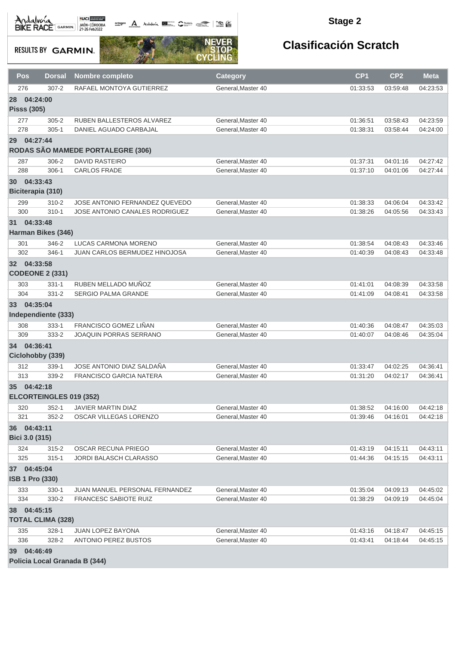$\frac{1}{\sqrt{2}}$  and  $\frac{1}{\sqrt{2}}$  and  $\frac{1}{\sqrt{2}}$ 

#### **Stage 2**

**RESULTS BY GARMIN.** 



| Pos                | <b>Dorsal</b>                 | Nombre completo                      | <b>Category</b>    | CP <sub>1</sub> | CP <sub>2</sub> | <b>Meta</b> |  |  |  |
|--------------------|-------------------------------|--------------------------------------|--------------------|-----------------|-----------------|-------------|--|--|--|
| 276                | $307 - 2$                     | RAFAEL MONTOYA GUTIERREZ             | General.Master 40  | 01:33:53        | 03:59:48        | 04:23:53    |  |  |  |
| <b>28</b>          | 04:24:00                      |                                      |                    |                 |                 |             |  |  |  |
| <b>Pisss (305)</b> |                               |                                      |                    |                 |                 |             |  |  |  |
| 277                | $305 - 2$                     | RUBEN BALLESTEROS ALVAREZ            | General, Master 40 | 01:36:51        | 03:58:43        | 04:23:59    |  |  |  |
| 278                | $305 - 1$                     | DANIEL AGUADO CARBAJAL               | General, Master 40 | 01:38:31        | 03:58:44        | 04:24:00    |  |  |  |
| 29 04:27:44        |                               |                                      |                    |                 |                 |             |  |  |  |
|                    |                               | RODAS SÃO MAMEDE PORTALEGRE (306)    |                    |                 |                 |             |  |  |  |
| 287                | 306-2                         | <b>DAVID RASTEIRO</b>                | General, Master 40 | 01:37:31        | 04:01:16        | 04:27:42    |  |  |  |
| 288                | $306-1$                       | <b>CARLOS FRADE</b>                  | General, Master 40 | 01:37:10        | 04:01:06        | 04:27:44    |  |  |  |
| <b>30</b>          | 04:33:43                      |                                      |                    |                 |                 |             |  |  |  |
|                    | Biciterapia (310)             |                                      |                    |                 |                 |             |  |  |  |
| 299                | $310 - 2$                     | JOSE ANTONIO FERNANDEZ QUEVEDO       | General, Master 40 | 01:38:33        | 04:06:04        | 04:33:42    |  |  |  |
| 300                | $310 - 1$                     | JOSE ANTONIO CANALES RODRIGUEZ       | General, Master 40 | 01:38:26        | 04:05:56        | 04:33:43    |  |  |  |
| 31 04:33:48        |                               |                                      |                    |                 |                 |             |  |  |  |
|                    | <b>Harman Bikes (346)</b>     |                                      |                    |                 |                 |             |  |  |  |
| 301                | 346-2                         | LUCAS CARMONA MORENO                 | General, Master 40 | 01:38:54        | 04:08:43        | 04:33:46    |  |  |  |
| 302                | 346-1                         | <b>JUAN CARLOS BERMUDEZ HINOJOSA</b> | General.Master 40  | 01:40:39        | 04:08:43        | 04:33:48    |  |  |  |
| 32 04:33:58        |                               |                                      |                    |                 |                 |             |  |  |  |
|                    | <b>CODEONE 2 (331)</b>        |                                      |                    |                 |                 |             |  |  |  |
| 303                | $331 - 1$                     | RUBEN MELLADO MUÑOZ                  | General, Master 40 | 01:41:01        | 04:08:39        | 04:33:58    |  |  |  |
| 304                | $331 - 2$                     | SERGIO PALMA GRANDE                  | General, Master 40 | 01:41:09        | 04:08:41        | 04:33:58    |  |  |  |
| 33 04:35:04        |                               |                                      |                    |                 |                 |             |  |  |  |
|                    | Independiente (333)           |                                      |                    |                 |                 |             |  |  |  |
| 308                | 333-1                         | FRANCISCO GOMEZ LIÑAN                | General, Master 40 | 01:40:36        | 04:08:47        | 04:35:03    |  |  |  |
| 309                | 333-2                         | JOAQUIN PORRAS SERRANO               | General, Master 40 | 01:40:07        | 04:08:46        | 04:35:04    |  |  |  |
| 34 04:36:41        |                               |                                      |                    |                 |                 |             |  |  |  |
|                    | Ciclohobby (339)              |                                      |                    |                 |                 |             |  |  |  |
| 312                | 339-1                         | JOSE ANTONIO DIAZ SALDAÑA            | General, Master 40 | 01:33:47        | 04:02:25        | 04:36:41    |  |  |  |
| 313                | 339-2                         | <b>FRANCISCO GARCIA NATERA</b>       | General, Master 40 | 01:31:20        | 04:02:17        | 04:36:41    |  |  |  |
| 35 04:42:18        |                               |                                      |                    |                 |                 |             |  |  |  |
|                    | ELCORTEINGLES 019 (352)       |                                      |                    |                 |                 |             |  |  |  |
| 320                | $352 - 1$                     | <b>JAVIER MARTIN DIAZ</b>            | General, Master 40 | 01:38:52        | 04:16:00        | 04:42:18    |  |  |  |
| 321                | $352 - 2$                     | OSCAR VILLEGAS LORENZO               | General, Master 40 | 01:39:46        | 04:16:01        | 04:42:18    |  |  |  |
| 36 04:43:11        |                               |                                      |                    |                 |                 |             |  |  |  |
| Bici 3.0 (315)     |                               |                                      |                    |                 |                 |             |  |  |  |
| 324                | $315 - 2$                     | OSCAR RECUNA PRIEGO                  | General, Master 40 | 01:43:19        | 04:15:11        | 04:43:11    |  |  |  |
| 325                | $315 - 1$                     | JORDI BALASCH CLARASSO               | General, Master 40 | 01:44:36        | 04:15:15        | 04:43:11    |  |  |  |
| 37 04:45:04        |                               |                                      |                    |                 |                 |             |  |  |  |
|                    | <b>ISB 1 Pro (330)</b>        |                                      |                    |                 |                 |             |  |  |  |
| 333                | 330-1                         | JUAN MANUEL PERSONAL FERNANDEZ       | General.Master 40  | 01:35:04        | 04:09:13        | 04:45:02    |  |  |  |
| 334                | 330-2                         | FRANCESC SABIOTE RUIZ                | General, Master 40 | 01:38:29        | 04:09:19        | 04:45:04    |  |  |  |
| 38 04:45:15        |                               |                                      |                    |                 |                 |             |  |  |  |
|                    | <b>TOTAL CLIMA (328)</b>      |                                      |                    |                 |                 |             |  |  |  |
| 335                | $328 - 1$                     | JUAN LOPEZ BAYONA                    | General, Master 40 | 01:43:16        | 04:18:47        | 04:45:15    |  |  |  |
| 336                | 328-2                         | ANTONIO PEREZ BUSTOS                 | General, Master 40 | 01:43:41        | 04:18:44        | 04:45:15    |  |  |  |
| 39 04:46:49        |                               |                                      |                    |                 |                 |             |  |  |  |
|                    | Policia Local Granada B (344) |                                      |                    |                 |                 |             |  |  |  |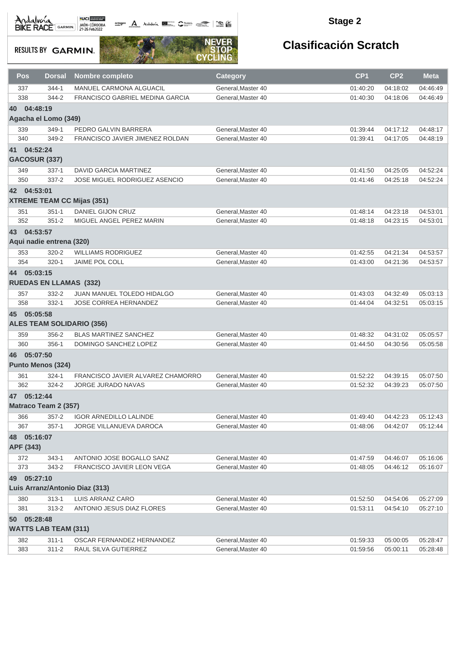octogon A Andalunia **1977** Catalog 2008 - 2008

#### **Stage 2**

### **RESULTS BY GARMIN.**



| <b>Pos</b>           | <b>Dorsal</b>                 | <b>Nombre completo</b>            | <b>Category</b>                          | CP <sub>1</sub> | CP <sub>2</sub> | <b>Meta</b>          |  |  |  |
|----------------------|-------------------------------|-----------------------------------|------------------------------------------|-----------------|-----------------|----------------------|--|--|--|
| 337                  | 344-1                         | <b>MANUEL CARMONA ALGUACIL</b>    | General, Master 40                       | 01:40:20        | 04:18:02        | 04:46:49             |  |  |  |
| 338                  | 344-2                         | FRANCISCO GABRIEL MEDINA GARCIA   | General, Master 40                       | 01:40:30        | 04:18:06        | 04:46:49             |  |  |  |
| 40                   | 04:48:19                      |                                   |                                          |                 |                 |                      |  |  |  |
|                      | Agacha el Lomo (349)          |                                   |                                          |                 |                 |                      |  |  |  |
| 339                  | 349-1                         | PEDRO GALVIN BARRERA              | General, Master 40                       | 01:39:44        | 04:17:12        | 04:48:17             |  |  |  |
| 340                  | 349-2                         | FRANCISCO JAVIER JIMENEZ ROLDAN   | General, Master 40                       | 01:39:41        | 04:17:05        | 04:48:19             |  |  |  |
| 41 04:52:24          |                               |                                   |                                          |                 |                 |                      |  |  |  |
| <b>GACOSUR (337)</b> |                               |                                   |                                          |                 |                 |                      |  |  |  |
| 349                  | $337-1$                       | DAVID GARCIA MARTINEZ             | General, Master 40                       | 01:41:50        | 04:25:05        | 04:52:24             |  |  |  |
| 350                  | $337 - 2$                     | JOSE MIGUEL RODRIGUEZ ASENCIO     | General.Master 40                        | 01:41:46        | 04:25:18        | 04:52:24             |  |  |  |
| 04:53:01<br>42       |                               |                                   |                                          |                 |                 |                      |  |  |  |
|                      |                               | <b>XTREME TEAM CC Mijas (351)</b> |                                          |                 |                 |                      |  |  |  |
|                      |                               |                                   |                                          |                 |                 |                      |  |  |  |
| 351<br>352           | $351 - 1$<br>$351 - 2$        | DANIEL GIJON CRUZ                 | General, Master 40<br>General, Master 40 | 01:48:14        | 04:23:18        | 04:53:01<br>04:53:01 |  |  |  |
|                      |                               | MIGUEL ANGEL PEREZ MARIN          |                                          | 01:48:18        | 04:23:15        |                      |  |  |  |
| 43 04:53:57          |                               |                                   |                                          |                 |                 |                      |  |  |  |
|                      | Aqui nadie entrena (320)      |                                   |                                          |                 |                 |                      |  |  |  |
| 353                  | $320 - 2$                     | <b>WILLIAMS RODRIGUEZ</b>         | General.Master 40                        | 01:42:55        | 04:21:34        | 04:53:57             |  |  |  |
| 354                  | $320 - 1$                     | <b>JAIME POL COLL</b>             | General, Master 40                       | 01:43:00        | 04:21:36        | 04:53:57             |  |  |  |
| 05:03:15<br>44       |                               |                                   |                                          |                 |                 |                      |  |  |  |
|                      | <b>RUEDAS EN LLAMAS (332)</b> |                                   |                                          |                 |                 |                      |  |  |  |
| 357                  | 332-2                         | <b>JUAN MANUEL TOLEDO HIDALGO</b> | General, Master 40                       | 01:43:03        | 04:32:49        | 05:03:13             |  |  |  |
| 358                  | $332 - 1$                     | JOSE CORREA HERNANDEZ             | General, Master 40                       | 01:44:04        | 04:32:51        | 05:03:15             |  |  |  |
|                      | 45 05:05:58                   |                                   |                                          |                 |                 |                      |  |  |  |
|                      |                               | <b>ALES TEAM SOLIDARIO (356)</b>  |                                          |                 |                 |                      |  |  |  |
| 359                  | 356-2                         | <b>BLAS MARTINEZ SANCHEZ</b>      | General, Master 40                       | 01:48:32        | 04:31:02        | 05:05:57             |  |  |  |
| 360                  | 356-1                         | DOMINGO SANCHEZ LOPEZ             | General, Master 40                       | 01:44:50        | 04:30:56        | 05:05:58             |  |  |  |
| 05:07:50<br>46       |                               |                                   |                                          |                 |                 |                      |  |  |  |
|                      | <b>Punto Menos (324)</b>      |                                   |                                          |                 |                 |                      |  |  |  |
| 361                  | $324 - 1$                     | FRANCISCO JAVIER ALVAREZ CHAMORRO | General.Master 40                        | 01:52:22        | 04:39:15        | 05:07:50             |  |  |  |
| 362                  | 324-2                         | <b>JORGE JURADO NAVAS</b>         | General, Master 40                       | 01:52:32        | 04:39:23        | 05:07:50             |  |  |  |
|                      |                               |                                   |                                          |                 |                 |                      |  |  |  |
| 47 05:12:44          |                               |                                   |                                          |                 |                 |                      |  |  |  |
|                      | Matraco Team 2 (357)          |                                   |                                          |                 |                 |                      |  |  |  |
| 366                  | 357-2                         | <b>IGOR ARNEDILLO LALINDE</b>     | General, Master 40                       | 01:49:40        | 04:42:23        | 05:12:43             |  |  |  |
| 367                  | $357 - 1$                     | JORGE VILLANUEVA DAROCA           | General.Master 40                        | 01:48:06        | 04:42:07        | 05:12:44             |  |  |  |
| 48 05:16:07          |                               |                                   |                                          |                 |                 |                      |  |  |  |
| APF (343)            |                               |                                   |                                          |                 |                 |                      |  |  |  |
| 372                  | $343 - 1$                     | ANTONIO JOSE BOGALLO SANZ         | General, Master 40                       | 01:47:59        | 04:46:07        | 05:16:06             |  |  |  |
| 373                  | 343-2                         | FRANCISCO JAVIER LEON VEGA        | General, Master 40                       | 01:48:05        | 04:46:12        | 05:16:07             |  |  |  |
| 49 05:27:10          |                               |                                   |                                          |                 |                 |                      |  |  |  |
|                      |                               | Luis Arranz/Antonio Diaz (313)    |                                          |                 |                 |                      |  |  |  |
| 380                  | $313 - 1$                     | LUIS ARRANZ CARO                  | General, Master 40                       | 01:52:50        | 04:54:06        | 05:27:09             |  |  |  |
| 381                  | 313-2                         | ANTONIO JESUS DIAZ FLORES         | General, Master 40                       | 01:53:11        | 04:54:10        | 05:27:10             |  |  |  |
| 50 05:28:48          |                               |                                   |                                          |                 |                 |                      |  |  |  |
|                      | <b>WATTS LAB TEAM (311)</b>   |                                   |                                          |                 |                 |                      |  |  |  |
| 382                  | $311 - 1$                     | OSCAR FERNANDEZ HERNANDEZ         | General, Master 40                       | 01:59:33        | 05:00:05        | 05:28:47             |  |  |  |
| 383                  | $311 - 2$                     | RAUL SILVA GUTIERREZ              | General, Master 40                       | 01:59:56        | 05:00:11        | 05:28:48             |  |  |  |
|                      |                               |                                   |                                          |                 |                 |                      |  |  |  |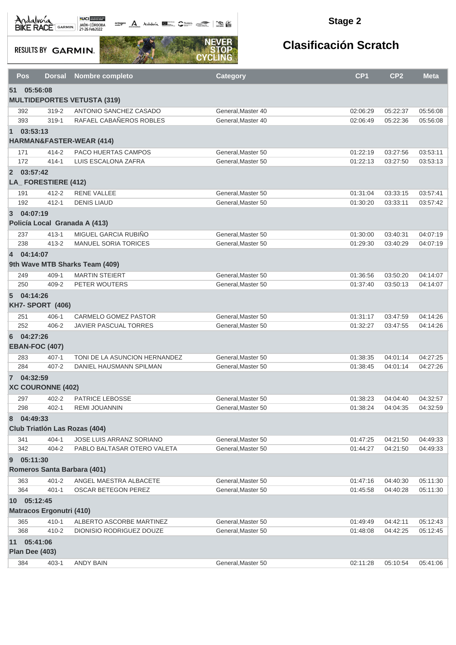Andalva BACE GARMIN AND LOCAL DEL BACK

**octogon A** Andalwia **Report Communication Communication** 

#### **Stage 2**

**RESULTS BY GARMIN.** 



| <b>Pos</b>     | <b>Dorsal</b>                             | Nombre completo                    | <b>Category</b>    | CP <sub>1</sub> | CP <sub>2</sub> | <b>Meta</b> |
|----------------|-------------------------------------------|------------------------------------|--------------------|-----------------|-----------------|-------------|
| 51             | 05:56:08                                  |                                    |                    |                 |                 |             |
|                |                                           | <b>MULTIDEPORTES VETUSTA (319)</b> |                    |                 |                 |             |
| 392            | 319-2                                     | ANTONIO SANCHEZ CASADO             | General, Master 40 | 02:06:29        | 05:22:37        | 05:56:08    |
| 393            | $319 - 1$                                 | RAFAEL CABAÑEROS ROBLES            | General, Master 40 | 02:06:49        | 05:22:36        | 05:56:08    |
| $\blacksquare$ | 03:53:13                                  | HARMAN&FASTER-WEAR (414)           |                    |                 |                 |             |
| 171            | 414-2                                     | <b>PACO HUERTAS CAMPOS</b>         | General, Master 50 | 01:22:19        | 03:27:56        | 03:53:11    |
| 172            | $414 - 1$                                 | LUIS ESCALONA ZAFRA                | General, Master 50 | 01:22:13        | 03:27:50        | 03:53:13    |
| 2 03:57:42     | LA_FORESTIERE (412)                       |                                    |                    |                 |                 |             |
| 191            | $412 - 2$                                 | <b>RENE VALLEE</b>                 | General, Master 50 | 01:31:04        | 03:33:15        | 03:57:41    |
| 192            | $412 - 1$                                 | <b>DENIS LIAUD</b>                 | General, Master 50 | 01:30:20        | 03:33:11        | 03:57:42    |
| 3              | 04:07:19                                  |                                    |                    |                 |                 |             |
|                | Policía Local Granada A (413)             |                                    |                    |                 |                 |             |
| 237            | $413 - 1$                                 | MIGUEL GARCIA RUBIÑO               | General, Master 50 | 01:30:00        | 03:40:31        | 04:07:19    |
| 238            | $413 - 2$                                 | <b>MANUEL SORIA TORICES</b>        | General, Master 50 | 01:29:30        | 03:40:29        | 04:07:19    |
| 4 04:14:07     |                                           | 9th Wave MTB Sharks Team (409)     |                    |                 |                 |             |
| 249            | 409-1                                     | <b>MARTIN STEIERT</b>              | General.Master 50  | 01:36:56        | 03:50:20        | 04:14:07    |
| 250            | 409-2                                     | PETER WOUTERS                      | General.Master 50  | 01:37:40        | 03:50:13        | 04:14:07    |
| $5^{\circ}$    | 04:14:26<br><b>KH7- SPORT (406)</b>       |                                    |                    |                 |                 |             |
| 251            | $406 - 1$                                 | <b>CARMELO GOMEZ PASTOR</b>        | General, Master 50 | 01:31:17        | 03:47:59        | 04:14:26    |
| 252            | 406-2                                     | JAVIER PASCUAL TORRES              | General, Master 50 | 01:32:27        | 03:47:55        | 04:14:26    |
| 6              | 04:27:26<br><b>EBAN-FOC (407)</b>         |                                    |                    |                 |                 |             |
| 283            | $407 - 1$                                 | TONI DE LA ASUNCION HERNANDEZ      | General, Master 50 | 01:38:35        | 04:01:14        | 04:27:25    |
| 284            | $407 - 2$                                 | DANIEL HAUSMANN SPILMAN            | General, Master 50 | 01:38:45        | 04:01:14        | 04:27:26    |
| 7 04:32:59     | <b>XC COURONNE (402)</b>                  |                                    |                    |                 |                 |             |
| 297            | $402 - 2$                                 | <b>PATRICE LEBOSSE</b>             | General, Master 50 | 01:38:23        | 04:04:40        | 04:32:57    |
| 298            | $402 - 1$                                 | <b>REMI JOUANNIN</b>               | General, Master 50 | 01:38:24        | 04:04:35        | 04:32:59    |
| 8              | 04:49:33<br>Club Triatión Las Rozas (404) |                                    |                    |                 |                 |             |
| 341            | $404 - 1$                                 | <b>JOSE LUIS ARRANZ SORIANO</b>    | General, Master 50 | 01:47:25        | 04:21:50        | 04:49:33    |
| 342            | $404 - 2$                                 | PABLO BALTASAR OTERO VALETA        | General.Master 50  | 01:44:27        | 04:21:50        | 04:49:33    |
| 9              | 05:11:30                                  |                                    |                    |                 |                 |             |
|                | Romeros Santa Barbara (401)               |                                    |                    |                 |                 |             |
| 363            | $401 - 2$                                 | ANGEL MAESTRA ALBACETE             | General, Master 50 | 01:47:16        | 04:40:30        | 05:11:30    |
| 364            | $401 - 1$                                 | OSCAR BETEGON PEREZ                | General, Master 50 | 01:45:58        | 04:40:28        | 05:11:30    |
|                | 10 05:12:45                               |                                    |                    |                 |                 |             |
|                | <b>Matracos Ergonutri (410)</b>           |                                    |                    |                 |                 |             |
| 365            | $410 - 1$                                 | ALBERTO ASCORBE MARTINEZ           | General, Master 50 | 01:49:49        | 04:42:11        | 05:12:43    |
| 368            | $410 - 2$                                 | DIONISIO RODRIGUEZ DOUZE           | General, Master 50 | 01:48:08        | 04:42:25        | 05:12:45    |
|                | 11 05:41:06                               |                                    |                    |                 |                 |             |
|                | <b>Plan Dee (403)</b>                     |                                    |                    |                 |                 |             |
| 384            | $403 - 1$                                 | <b>ANDY BAIN</b>                   | General, Master 50 | 02:11:28        | 05:10:54        | 05:41:06    |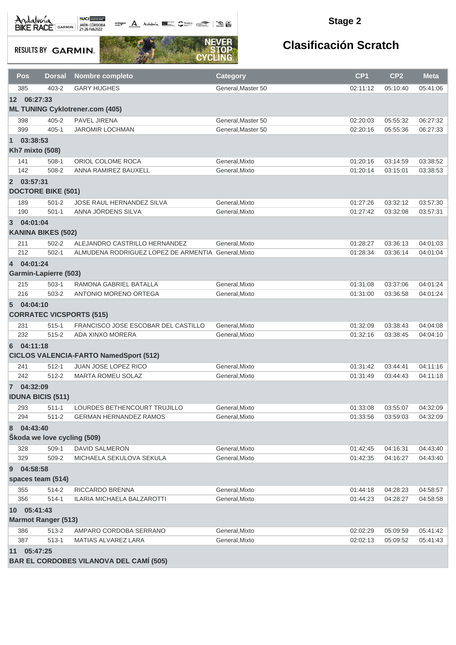**octogon** Andalwin **DE Chatting Comment Comments** 

#### **Stage 2**

**RESULTS BY GARMIN.** 



| Pos                      | <b>Dorsal</b>                | <b>Nombre completo</b>                              | <b>Category</b>    | CP <sub>1</sub> | CP <sub>2</sub> | <b>Meta</b> |  |
|--------------------------|------------------------------|-----------------------------------------------------|--------------------|-----------------|-----------------|-------------|--|
| 385                      | 403-2                        | <b>GARY HUGHES</b>                                  | General, Master 50 | 02:11:12        | 05:10:40        | 05:41:06    |  |
| 12 06:27:33              |                              |                                                     |                    |                 |                 |             |  |
|                          |                              | <b>ML TUNING Cyklotrener.com (405)</b>              |                    |                 |                 |             |  |
| 398                      | $405 - 2$                    | <b>PAVEL JIRENA</b>                                 | General, Master 50 | 02:20:03        | 05:55:32        | 06:27:32    |  |
| 399                      | $405 - 1$                    | <b>JAROMIR LOCHMAN</b>                              | General, Master 50 | 02:20:16        | 05:55:36        | 06:27:33    |  |
| 03:38:53<br>$\mathbf{1}$ |                              |                                                     |                    |                 |                 |             |  |
| <b>Kh7 mixto (508)</b>   |                              |                                                     |                    |                 |                 |             |  |
| 141                      | $508-1$                      | ORIOL COLOME ROCA                                   | General, Mixto     | 01:20:16        | 03:14:59        | 03:38:52    |  |
| 142                      | 508-2                        | ANNA RAMIREZ BAUXELL                                | General, Mixto     | 01:20:14        | 03:15:01        | 03:38:53    |  |
| 2 03:57:31               |                              |                                                     |                    |                 |                 |             |  |
|                          | <b>DOCTORE BIKE (501)</b>    |                                                     |                    |                 |                 |             |  |
| 189                      | $501 - 2$                    | JOSE RAUL HERNANDEZ SILVA                           | General, Mixto     | 01:27:26        | 03:32:12        | 03:57:30    |  |
| 190                      | $501-1$                      | ANNA JÖRDENS SILVA                                  | General, Mixto     | 01:27:42        | 03:32:08        | 03:57:31    |  |
| 04:01:04<br>3            |                              |                                                     |                    |                 |                 |             |  |
|                          | <b>KANINA BIKES (502)</b>    |                                                     |                    |                 |                 |             |  |
| 211                      | $502 - 2$                    | ALEJANDRO CASTRILLO HERNANDEZ                       | General, Mixto     | 01:28:27        | 03:36:13        | 04:01:03    |  |
| 212                      | $502 - 1$                    | ALMUDENA RODRIGUEZ LOPEZ DE ARMENTIA General, Mixto |                    | 01:28:34        | 03:36:14        | 04:01:04    |  |
| 4 04:01:24               |                              |                                                     |                    |                 |                 |             |  |
|                          | <b>Garmin-Lapierre (503)</b> |                                                     |                    |                 |                 |             |  |
| 215                      | $503-1$                      | RAMONA GABRIEL BATALLA                              | General, Mixto     | 01:31:08        | 03:37:06        | 04:01:24    |  |
| 216                      | 503-2                        | ANTONIO MORENO ORTEGA                               | General, Mixto     | 01:31:00        | 03:36:58        | 04:01:24    |  |
| 04:04:10<br>5            |                              |                                                     |                    |                 |                 |             |  |
|                          |                              | <b>CORRATEC VICSPORTS (515)</b>                     |                    |                 |                 |             |  |
| 231                      | $515 - 1$                    | FRANCISCO JOSE ESCOBAR DEL CASTILLO                 | General, Mixto     | 01:32:09        | 03:38:43        | 04:04:08    |  |
| 232                      | $515 - 2$                    | ADA XINXO MORERA                                    | General, Mixto     | 01:32:16        | 03:38:45        | 04:04:10    |  |
| 04:11:18<br>6            |                              |                                                     |                    |                 |                 |             |  |
|                          |                              | <b>CICLOS VALENCIA-FARTO NamedSport (512)</b>       |                    |                 |                 |             |  |
| 241                      | $512 - 1$                    | JUAN JOSE LOPEZ RICO                                | General.Mixto      | 01:31:42        | 03:44:41        | 04:11:16    |  |
| 242                      | $512 - 2$                    | <b>MARTA ROMEU SOLAZ</b>                            | General, Mixto     | 01:31:49        | 03:44:43        | 04:11:18    |  |
| 7 04:32:09               |                              |                                                     |                    |                 |                 |             |  |
|                          | <b>IDUNA BICIS (511)</b>     |                                                     |                    |                 |                 |             |  |
| 293                      | $511 - 1$                    | LOURDES BETHENCOURT TRUJILLO                        | General, Mixto     | 01:33:08        | 03:55:07        | 04:32:09    |  |
| 294                      | $511 - 2$                    | <b>GERMAN HERNANDEZ RAMOS</b>                       | General, Mixto     | 01:33:56        | 03:59:03        | 04:32:09    |  |
| 04:43:40<br>8            |                              |                                                     |                    |                 |                 |             |  |
|                          | Škoda we love cycling (509)  |                                                     |                    |                 |                 |             |  |
| 328                      | $509-1$                      | DAVID SALMERON                                      | General, Mixto     | 01:42:45        | 04:16:31        | 04:43:40    |  |
| 329                      | 509-2                        | MICHAELA SEKULOVA SEKULA                            | General, Mixto     | 01:42:35        | 04:16:27        | 04:43:40    |  |
| 04:58:58<br>9            |                              |                                                     |                    |                 |                 |             |  |
|                          | spaces team (514)            |                                                     |                    |                 |                 |             |  |
| 355                      | 514-2                        | RICCARDO BRENNA                                     | General, Mixto     | 01:44:18        | 04:28:23        | 04:58:57    |  |
| 356                      | $514 - 1$                    | ILARIA MICHAELA BALZAROTTI                          | General, Mixto     | 01:44:23        | 04:28:27        | 04:58:58    |  |
| 10 <sup>°</sup>          | 05:41:43                     |                                                     |                    |                 |                 |             |  |
|                          | <b>Marmot Ranger (513)</b>   |                                                     |                    |                 |                 |             |  |
| 386                      | 513-2                        | AMPARO CORDOBA SERRANO                              | General, Mixto     | 02:02:29        | 05:09:59        | 05:41:42    |  |
| 387                      | $513 - 1$                    | MATIAS ALVAREZ LARA                                 | General, Mixto     | 02:02:13        | 05:09:52        | 05:41:43    |  |
| 11 05:47:25              |                              |                                                     |                    |                 |                 |             |  |
|                          |                              | <b>BAR EL CORDOBES VILANOVA DEL CAMÍ (505)</b>      |                    |                 |                 |             |  |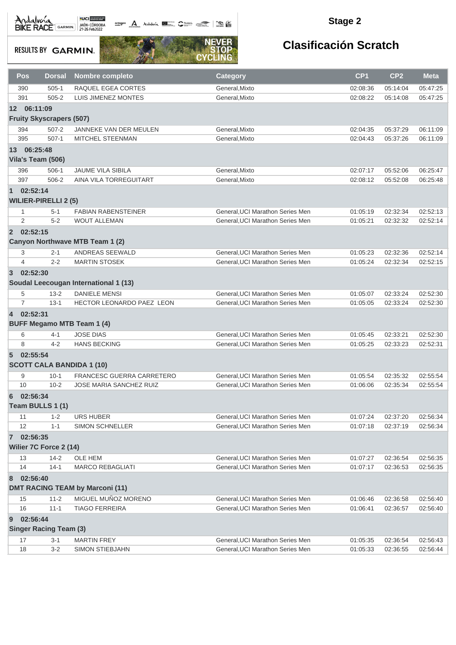octogon A Andalusía **DE C**ANALIS COMPOS COMPOS

#### **Stage 2**

**RESULTS BY GARMIN.** 



| Pos                        | <b>Dorsal</b>                   | Nombre completo                        | <b>Category</b>                  | CP <sub>1</sub> | CP <sub>2</sub> | <b>Meta</b> |
|----------------------------|---------------------------------|----------------------------------------|----------------------------------|-----------------|-----------------|-------------|
| 390                        | $505-1$                         | RAQUEL EGEA CORTES                     | General, Mixto                   | 02:08:36        | 05:14:04        | 05:47:25    |
| 391                        | $505 - 2$                       | LUIS JIMENEZ MONTES                    | General, Mixto                   | 02:08:22        | 05:14:08        | 05:47:25    |
| 12 06:11:09                |                                 |                                        |                                  |                 |                 |             |
|                            | <b>Fruity Skyscrapers (507)</b> |                                        |                                  |                 |                 |             |
| 394                        | $507 - 2$                       | JANNEKE VAN DER MEULEN                 | General, Mixto                   | 02:04:35        | 05:37:29        | 06:11:09    |
| 395                        | $507-1$                         | MITCHEL STEENMAN                       | General, Mixto                   | 02:04:43        | 05:37:26        | 06:11:09    |
| 13 06:25:48                |                                 |                                        |                                  |                 |                 |             |
|                            | Vila's Team (506)               |                                        |                                  |                 |                 |             |
| 396                        | $506-1$                         | <b>JAUME VILA SIBILA</b>               | General, Mixto                   | 02:07:17        | 05:52:06        | 06:25:47    |
| 397                        | 506-2                           | AINA VILA TORREGUITART                 | General, Mixto                   | 02:08:12        | 05:52:08        | 06:25:48    |
| $\blacksquare$             | 02:52:14                        |                                        |                                  |                 |                 |             |
|                            | <b>WILIER-PIRELLI 2 (5)</b>     |                                        |                                  |                 |                 |             |
| $\mathbf{1}$               | $5 - 1$                         | <b>FABIAN RABENSTEINER</b>             | General, UCI Marathon Series Men | 01:05:19        | 02:32:34        | 02:52:13    |
| 2                          | $5 - 2$                         | <b>WOUT ALLEMAN</b>                    | General, UCI Marathon Series Men | 01:05:21        | 02:32:32        | 02:52:14    |
| 2 02:52:15                 |                                 |                                        |                                  |                 |                 |             |
|                            |                                 | Canyon Northwave MTB Team 1 (2)        |                                  |                 |                 |             |
| 3                          | $2 - 1$                         | ANDREAS SEEWALD                        | General, UCI Marathon Series Men | 01:05:23        | 02:32:36        | 02:52:14    |
| $\overline{4}$             | $2 - 2$                         | <b>MARTIN STOSEK</b>                   | General, UCI Marathon Series Men | 01:05:24        | 02:32:34        | 02:52:15    |
| $3^{\circ}$                | 02:52:30                        |                                        |                                  |                 |                 |             |
|                            |                                 | Soudal Leecougan International 1 (13)  |                                  |                 |                 |             |
| 5                          | $13 - 2$                        | <b>DANIELE MENSI</b>                   | General, UCI Marathon Series Men | 01:05:07        | 02:33:24        | 02:52:30    |
| $\overline{7}$             | $13 - 1$                        | HECTOR LEONARDO PAEZ LEON              | General, UCI Marathon Series Men | 01:05:05        | 02:33:24        | 02:52:30    |
| 4 02:52:31                 |                                 |                                        |                                  |                 |                 |             |
|                            |                                 | <b>BUFF Megamo MTB Team 1 (4)</b>      |                                  |                 |                 |             |
| 6                          | 4-1                             | <b>JOSE DIAS</b>                       | General, UCI Marathon Series Men | 01:05:45        | 02:33:21        | 02:52:30    |
| 8                          | $4 - 2$                         | <b>HANS BECKING</b>                    | General, UCI Marathon Series Men | 01:05:25        | 02:33:23        | 02:52:31    |
| 02:55:54<br>5 <sup>5</sup> |                                 |                                        |                                  |                 |                 |             |
|                            |                                 | <b>SCOTT CALA BANDIDA 1 (10)</b>       |                                  |                 |                 |             |
| 9                          | $10-1$                          | FRANCESC GUERRA CARRETERO              | General, UCI Marathon Series Men | 01:05:54        | 02:35:32        | 02:55:54    |
| 10                         | $10 - 2$                        | <b>JOSE MARIA SANCHEZ RUIZ</b>         | General, UCI Marathon Series Men | 01:06:06        | 02:35:34        | 02:55:54    |
| 6                          | 02:56:34                        |                                        |                                  |                 |                 |             |
|                            | Team BULLS 1 (1)                |                                        |                                  |                 |                 |             |
| 11                         | $1 - 2$                         | URS HUBER                              | General, UCI Marathon Series Men | 01:07:24        | 02:37:20        | 02:56:34    |
| 12                         | $1 - 1$                         | <b>SIMON SCHNELLER</b>                 | General, UCI Marathon Series Men | 01:07:18        | 02:37:19        | 02:56:34    |
| 02:56:35<br>$\mathbf{7}$   |                                 |                                        |                                  |                 |                 |             |
|                            | Wilier 7C Force 2 (14)          |                                        |                                  |                 |                 |             |
| 13                         | $14 - 2$                        | OLE HEM                                | General, UCI Marathon Series Men | 01:07:27        | 02:36:54        | 02:56:35    |
| 14                         | $14-1$                          | <b>MARCO REBAGLIATI</b>                | General, UCI Marathon Series Men | 01:07:17        | 02:36:53        | 02:56:35    |
| 8                          | 02:56:40                        |                                        |                                  |                 |                 |             |
|                            |                                 | <b>DMT RACING TEAM by Marconi (11)</b> |                                  |                 |                 |             |
| 15                         | $11 - 2$                        | MIGUEL MUÑOZ MORENO                    | General, UCI Marathon Series Men | 01:06:46        | 02:36:58        | 02:56:40    |
| 16                         | $11 - 1$                        | <b>TIAGO FERREIRA</b>                  | General, UCI Marathon Series Men | 01:06:41        | 02:36:57        | 02:56:40    |
| 9                          | 02:56:44                        |                                        |                                  |                 |                 |             |
|                            | <b>Singer Racing Team (3)</b>   |                                        |                                  |                 |                 |             |
| 17                         | $3 - 1$                         | <b>MARTIN FREY</b>                     | General, UCI Marathon Series Men | 01:05:35        | 02:36:54        | 02:56:43    |
| 18                         | $3-2$                           | SIMON STIEBJAHN                        | General, UCI Marathon Series Men | 01:05:33        | 02:36:55        | 02:56:44    |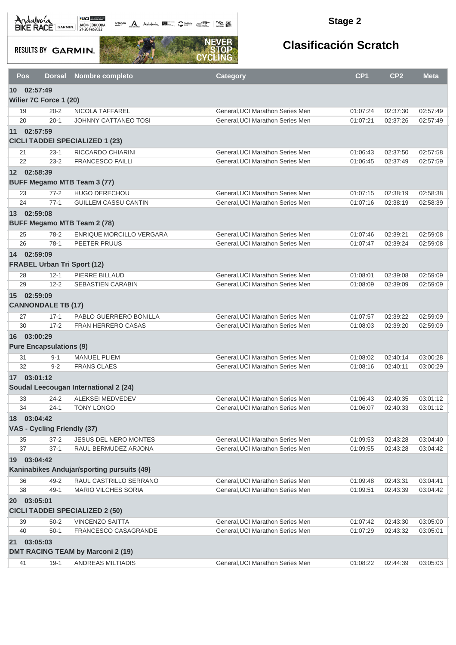actagon A Andalusia **DE CANNA ROLL AND STARTING** 

#### **Stage 2**

**RESULTS BY GARMIN.** 



|           | <b>Pos</b>                     | <b>Dorsal</b>        | <b>Nombre completo</b>                     | <b>Category</b>                                                     | CP <sub>1</sub>      | CP <sub>2</sub>      | <b>Meta</b>          |
|-----------|--------------------------------|----------------------|--------------------------------------------|---------------------------------------------------------------------|----------------------|----------------------|----------------------|
|           | 10 02:57:49                    |                      |                                            |                                                                     |                      |                      |                      |
|           | Wilier 7C Force 1 (20)         |                      |                                            |                                                                     |                      |                      |                      |
|           | 19                             | $20 - 2$             | NICOLA TAFFAREL                            | General, UCI Marathon Series Men                                    | 01:07:24             | 02:37:30             | 02:57:49             |
|           | 20                             | $20 - 1$             | <b>JOHNNY CATTANEO TOSI</b>                | General, UCI Marathon Series Men                                    | 01:07:21             | 02:37:26             | 02:57:49             |
|           | 11 02:57:59                    |                      |                                            |                                                                     |                      |                      |                      |
|           |                                |                      | <b>CICLI TADDEI SPECIALIZED 1 (23)</b>     |                                                                     |                      |                      |                      |
|           | 21                             | $23 - 1$             | RICCARDO CHIARINI                          | General, UCI Marathon Series Men                                    | 01:06:43             | 02:37:50             | 02:57:58             |
|           | 22                             | $23 - 2$             | <b>FRANCESCO FAILLI</b>                    | General.UCI Marathon Series Men                                     | 01:06:45             | 02:37:49             | 02:57:59             |
|           | 12 02:58:39                    |                      |                                            |                                                                     |                      |                      |                      |
|           |                                |                      | <b>BUFF Megamo MTB Team 3 (77)</b>         |                                                                     |                      |                      |                      |
|           | 23                             | $77 - 2$             | HUGO DERECHOU                              | General, UCI Marathon Series Men                                    | 01:07:15             | 02:38:19             | 02:58:38             |
|           | 24                             | $77-1$               | <b>GUILLEM CASSU CANTIN</b>                | General, UCI Marathon Series Men                                    | 01:07:16             | 02:38:19             | 02:58:39             |
|           | 13 02:59:08                    |                      |                                            |                                                                     |                      |                      |                      |
|           |                                |                      | <b>BUFF Megamo MTB Team 2 (78)</b>         |                                                                     |                      |                      |                      |
|           | 25                             | $78-2$               | <b>ENRIQUE MORCILLO VERGARA</b>            | General.UCI Marathon Series Men                                     | 01:07:46             | 02:39:21             | 02:59:08             |
|           | 26                             | $78-1$               | PEETER PRUUS                               | General, UCI Marathon Series Men                                    | 01:07:47             | 02:39:24             | 02:59:08             |
|           | 14 02:59:09                    |                      |                                            |                                                                     |                      |                      |                      |
|           |                                |                      | <b>FRABEL Urban Tri Sport (12)</b>         |                                                                     |                      |                      |                      |
|           | 28<br>29                       | $12 - 1$<br>$12 - 2$ | PIERRE BILLAUD<br><b>SEBASTIEN CARABIN</b> | General, UCI Marathon Series Men<br>General.UCI Marathon Series Men | 01:08:01<br>01:08:09 | 02:39:08<br>02:39:09 | 02:59:09<br>02:59:09 |
|           | 15 02:59:09                    |                      |                                            |                                                                     |                      |                      |                      |
|           | <b>CANNONDALE TB (17)</b>      |                      |                                            |                                                                     |                      |                      |                      |
|           | 27                             | $17 - 1$             | PABLO GUERRERO BONILLA                     | General, UCI Marathon Series Men                                    | 01:07:57             | 02:39:22             | 02:59:09             |
|           | 30                             | $17 - 2$             | FRAN HERRERO CASAS                         | General, UCI Marathon Series Men                                    | 01:08:03             | 02:39:20             | 02:59:09             |
|           | 16 03:00:29                    |                      |                                            |                                                                     |                      |                      |                      |
|           | <b>Pure Encapsulations (9)</b> |                      |                                            |                                                                     |                      |                      |                      |
|           | 31                             | $9 - 1$              | <b>MANUEL PLIEM</b>                        | General, UCI Marathon Series Men                                    | 01:08:02             | 02:40:14             | 03:00:28             |
|           | 32                             | $9 - 2$              | <b>FRANS CLAES</b>                         | General, UCI Marathon Series Men                                    | 01:08:16             | 02:40:11             | 03:00:29             |
| 17        | 03:01:12                       |                      |                                            |                                                                     |                      |                      |                      |
|           |                                |                      | Soudal Leecougan International 2 (24)      |                                                                     |                      |                      |                      |
|           | 33                             | $24 - 2$             | <b>ALEKSEI MEDVEDEV</b>                    | General, UCI Marathon Series Men                                    | 01:06:43             | 02:40:35             | 03:01:12             |
|           | 34                             | $24 - 1$             | <b>TONY LONGO</b>                          | General, UCI Marathon Series Men                                    | 01:06:07             | 02:40:33             | 03:01:12             |
| 18        | 03:04:42                       |                      |                                            |                                                                     |                      |                      |                      |
|           | VAS - Cycling Friendly (37)    |                      |                                            |                                                                     |                      |                      |                      |
|           | 35                             | $37 - 2$             | JESUS DEL NERO MONTES                      | General, UCI Marathon Series Men                                    | 01:09:53             | 02:43:28             | 03:04:40             |
|           | 37                             | $37-1$               | RAUL BERMUDEZ ARJONA                       | General, UCI Marathon Series Men                                    | 01:09:55             | 02:43:28             | 03:04:42             |
|           | 19 03:04:42                    |                      |                                            |                                                                     |                      |                      |                      |
|           |                                |                      | Kaninabikes Andujar/sporting pursuits (49) |                                                                     |                      |                      |                      |
|           | 36                             | $49 - 2$             | RAUL CASTRILLO SERRANO                     | General, UCI Marathon Series Men                                    | 01:09:48             | 02:43:31             | 03:04:41             |
|           | 38                             | $49-1$               | <b>MARIO VILCHES SORIA</b>                 | General, UCI Marathon Series Men                                    | 01:09:51             | 02:43:39             | 03:04:42             |
| <b>20</b> | 03:05:01                       |                      |                                            |                                                                     |                      |                      |                      |
|           |                                |                      | <b>CICLI TADDEI SPECIALIZED 2 (50)</b>     |                                                                     |                      |                      |                      |
|           | 39                             | $50 - 2$             | VINCENZO SAITTA                            | General, UCI Marathon Series Men                                    | 01:07:42             | 02:43:30             | 03:05:00             |
|           | 40                             | $50-1$               | FRANCESCO CASAGRANDE                       | General, UCI Marathon Series Men                                    | 01:07:29             | 02:43:32             | 03:05:01             |
| 21        | 03:05:03                       |                      |                                            |                                                                     |                      |                      |                      |
|           |                                |                      | <b>DMT RACING TEAM by Marconi 2 (19)</b>   |                                                                     |                      |                      |                      |
|           | 41                             | $19-1$               | ANDREAS MILTIADIS                          | General, UCI Marathon Series Men                                    | 01:08:22             | 02:44:39             | 03:05:03             |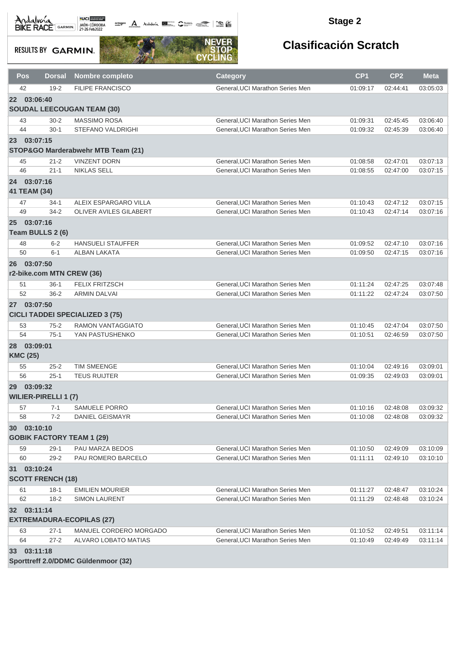**octogon A** Andalwin **ELLER** CANNAIS TO BE

#### **Stage 2**

**RESULTS BY GARMIN.** 



| Pos                               | <b>Dorsal</b>               | <b>Nombre completo</b>                 | <b>Category</b>                  | CP <sub>1</sub> | CP <sub>2</sub> | <b>Meta</b> |
|-----------------------------------|-----------------------------|----------------------------------------|----------------------------------|-----------------|-----------------|-------------|
| 42                                | $19 - 2$                    | <b>FILIPE FRANCISCO</b>                | General, UCI Marathon Series Men | 01:09:17        | 02:44:41        | 03:05:03    |
| 03:06:40<br>22 <sub>2</sub>       |                             |                                        |                                  |                 |                 |             |
|                                   |                             | <b>SOUDAL LEECOUGAN TEAM (30)</b>      |                                  |                 |                 |             |
| 43                                | $30 - 2$                    | MASSIMO ROSA                           | General, UCI Marathon Series Men | 01:09:31        | 02:45:45        | 03:06:40    |
| 44                                | $30-1$                      | <b>STEFANO VALDRIGHI</b>               | General, UCI Marathon Series Men | 01:09:32        | 02:45:39        | 03:06:40    |
| 23 03:07:15                       |                             |                                        |                                  |                 |                 |             |
|                                   |                             | STOP&GO Marderabwehr MTB Team (21)     |                                  |                 |                 |             |
| 45                                | $21 - 2$                    | <b>VINZENT DORN</b>                    | General, UCI Marathon Series Men | 01:08:58        | 02:47:01        | 03:07:13    |
| 46                                | $21 - 1$                    | <b>NIKLAS SELL</b>                     | General, UCI Marathon Series Men | 01:08:55        | 02:47:00        | 03:07:15    |
| 03:07:16<br>24                    |                             |                                        |                                  |                 |                 |             |
| 41 TEAM (34)                      |                             |                                        |                                  |                 |                 |             |
| 47                                | $34-1$                      | ALEIX ESPARGARO VILLA                  | General, UCI Marathon Series Men | 01:10:43        | 02:47:12        | 03:07:15    |
| 49                                | $34 - 2$                    | OLIVER AVILES GILABERT                 | General, UCI Marathon Series Men | 01:10:43        | 02:47:14        | 03:07:16    |
| 03:07:16<br>25                    |                             |                                        |                                  |                 |                 |             |
|                                   | Team BULLS 2 (6)            |                                        |                                  |                 |                 |             |
| 48                                | $6 - 2$                     | <b>HANSUELI STAUFFER</b>               | General, UCI Marathon Series Men | 01:09:52        | 02:47:10        | 03:07:16    |
| 50                                | $6 - 1$                     | <b>ALBAN LAKATA</b>                    | General, UCI Marathon Series Men | 01:09:50        | 02:47:15        | 03:07:16    |
| 03:07:50<br>26                    |                             |                                        |                                  |                 |                 |             |
|                                   |                             | r2-bike.com MTN CREW (36)              |                                  |                 |                 |             |
| 51                                | $36-1$                      | <b>FELIX FRITZSCH</b>                  | General, UCI Marathon Series Men | 01:11:24        | 02:47:25        | 03:07:48    |
| 52                                | $36 - 2$                    | <b>ARMIN DALVAI</b>                    | General, UCI Marathon Series Men | 01:11:22        | 02:47:24        | 03:07:50    |
| 03:07:50<br>27                    |                             |                                        |                                  |                 |                 |             |
|                                   |                             | <b>CICLI TADDEI SPECIALIZED 3 (75)</b> |                                  |                 |                 |             |
| 53                                | $75 - 2$                    | <b>RAMON VANTAGGIATO</b>               | General, UCI Marathon Series Men | 01:10:45        | 02:47:04        | 03:07:50    |
| 54                                | $75-1$                      | YAN PASTUSHENKO                        | General, UCI Marathon Series Men | 01:10:51        | 02:46:59        | 03:07:50    |
| 03:09:01<br>28<br><b>KMC (25)</b> |                             |                                        |                                  |                 |                 |             |
| 55                                | $25 - 2$                    | <b>TIM SMEENGE</b>                     | General, UCI Marathon Series Men | 01:10:04        | 02:49:16        | 03:09:01    |
| 56                                | $25 - 1$                    | <b>TEUS RUIJTER</b>                    | General, UCI Marathon Series Men | 01:09:35        | 02:49:03        | 03:09:01    |
| 03:09:32<br>29 <sup>°</sup>       |                             |                                        |                                  |                 |                 |             |
|                                   | <b>WILIER-PIRELLI 1 (7)</b> |                                        |                                  |                 |                 |             |
| 57                                | 7-1                         | <b>SAMUELE PORRO</b>                   | General, UCI Marathon Series Men | 01:10:16        | 02:48:08        | 03:09:32    |
| 58                                | $7 - 2$                     | <b>DANIEL GEISMAYR</b>                 | General, UCI Marathon Series Men | 01:10:08        | 02:48:08        | 03:09:32    |
| 30 03:10:10                       |                             |                                        |                                  |                 |                 |             |
|                                   |                             | <b>GOBIK FACTORY TEAM 1 (29)</b>       |                                  |                 |                 |             |
| 59                                | $29-1$                      | PAU MARZA BEDOS                        | General, UCI Marathon Series Men | 01:10:50        | 02:49:09        | 03:10:09    |
| 60                                | $29 - 2$                    | PAU ROMERO BARCELO                     | General, UCI Marathon Series Men | 01:11:11        | 02:49:10        | 03:10:10    |
| 31 03:10:24                       |                             |                                        |                                  |                 |                 |             |
|                                   | <b>SCOTT FRENCH (18)</b>    |                                        |                                  |                 |                 |             |
| 61                                | $18-1$                      | <b>EMILIEN MOURIER</b>                 | General, UCI Marathon Series Men | 01:11:27        | 02:48:47        | 03:10:24    |
| 62                                | $18 - 2$                    | <b>SIMON LAURENT</b>                   | General. UCI Marathon Series Men | 01:11:29        | 02:48:48        | 03:10:24    |
| 32 03:11:14                       |                             |                                        |                                  |                 |                 |             |
|                                   |                             | <b>EXTREMADURA-ECOPILAS (27)</b>       |                                  |                 |                 |             |
| 63                                | $27-1$                      | MANUEL CORDERO MORGADO                 | General, UCI Marathon Series Men | 01:10:52        | 02:49:51        | 03:11:14    |
| 64                                | $27 - 2$                    | ALVARO LOBATO MATIAS                   | General, UCI Marathon Series Men | 01:10:49        | 02:49:49        | 03:11:14    |
| 33 03:11:18                       |                             |                                        |                                  |                 |                 |             |
|                                   |                             | Sporttreff 2.0/DDMC Güldenmoor (32)    |                                  |                 |                 |             |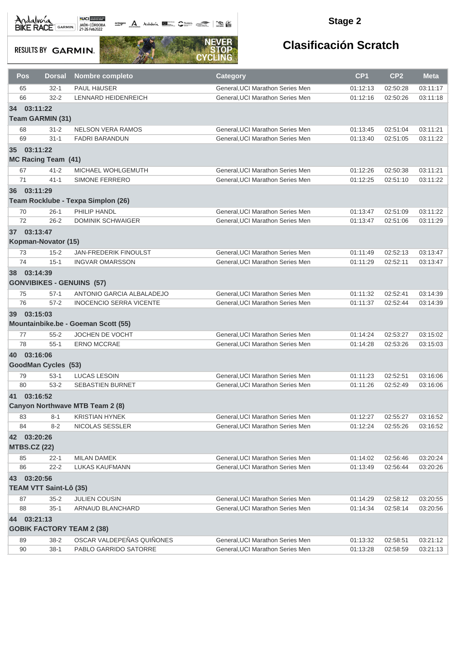octogon A Andalunia **1977** Catalog 2008 - 2008

#### **Stage 2**

**RESULTS BY GARMIN.** 



|           | Pos                 | <b>Dorsal</b>                 | <b>Nombre completo</b>                                 | <b>Category</b>                                                      | CP <sub>1</sub>      | CP <sub>2</sub>      | <b>Meta</b>          |
|-----------|---------------------|-------------------------------|--------------------------------------------------------|----------------------------------------------------------------------|----------------------|----------------------|----------------------|
|           | 65                  | $32 - 1$                      | <b>PAUL HÄUSER</b>                                     | General, UCI Marathon Series Men                                     | 01:12:13             | 02:50:28             | 03:11:17             |
|           | 66                  | $32 - 2$                      | LENNARD HEIDENREICH                                    | General, UCI Marathon Series Men                                     | 01:12:16             | 02:50:26             | 03:11:18             |
| 34        | 03:11:22            |                               |                                                        |                                                                      |                      |                      |                      |
|           |                     | <b>Team GARMIN (31)</b>       |                                                        |                                                                      |                      |                      |                      |
|           | 68                  | $31 - 2$                      | <b>NELSON VERA RAMOS</b>                               | General, UCI Marathon Series Men                                     | 01:13:45             | 02:51:04             | 03:11:21             |
|           | 69                  | $31 - 1$                      | <b>FADRI BARANDUN</b>                                  | General, UCI Marathon Series Men                                     | 01:13:40             | 02:51:05             | 03:11:22             |
|           | 35 03:11:22         |                               |                                                        |                                                                      |                      |                      |                      |
|           |                     | <b>MC Racing Team (41)</b>    |                                                        |                                                                      |                      |                      |                      |
|           | 67                  | $41 - 2$                      | MICHAEL WOHLGEMUTH                                     | General, UCI Marathon Series Men                                     | 01:12:26             | 02:50:38             | 03:11:21             |
|           | 71                  | $41 - 1$                      | SIMONE FERRERO                                         | General, UCI Marathon Series Men                                     | 01:12:25             | 02:51:10             | 03:11:22             |
| 36        | 03:11:29            |                               |                                                        |                                                                      |                      |                      |                      |
|           |                     |                               | Team Rocklube - Texpa Simplon (26)                     |                                                                      |                      |                      |                      |
|           | 70                  | $26-1$                        | PHILIP HANDL                                           | General, UCI Marathon Series Men                                     | 01:13:47             | 02:51:09             | 03:11:22             |
|           | 72                  | $26 - 2$                      | <b>DOMINIK SCHWAIGER</b>                               | General, UCI Marathon Series Men                                     | 01:13:47             | 02:51:06             | 03:11:29             |
|           | 37 03:13:47         |                               |                                                        |                                                                      |                      |                      |                      |
|           |                     | Kopman-Novator (15)           |                                                        |                                                                      |                      |                      |                      |
|           |                     |                               |                                                        |                                                                      |                      |                      |                      |
|           | 73<br>74            | $15 - 2$<br>$15 - 1$          | <b>JAN-FREDERIK FINOULST</b><br><b>INGVAR OMARSSON</b> | General, UCI Marathon Series Men<br>General, UCI Marathon Series Men | 01:11:49<br>01:11:29 | 02:52:13<br>02:52:11 | 03:13:47<br>03:13:47 |
|           |                     |                               |                                                        |                                                                      |                      |                      |                      |
| 38        | 03:14:39            |                               | <b>GONVIBIKES - GENUINS (57)</b>                       |                                                                      |                      |                      |                      |
|           | 75                  | $57-1$                        | ANTONIO GARCIA ALBALADEJO                              | General, UCI Marathon Series Men                                     | 01:11:32             | 02:52:41             | 03:14:39             |
|           | 76                  | $57 - 2$                      | <b>INOCENCIO SERRA VICENTE</b>                         | General, UCI Marathon Series Men                                     | 01:11:37             | 02:52:44             | 03:14:39             |
|           | 39 03:15:03         |                               |                                                        |                                                                      |                      |                      |                      |
|           |                     |                               | Mountainbike.be - Goeman Scott (55)                    |                                                                      |                      |                      |                      |
|           | 77                  | $55 - 2$                      | JOCHEN DE VOCHT                                        | General, UCI Marathon Series Men                                     | 01:14:24             | 02:53:27             | 03:15:02             |
|           | 78                  | $55 - 1$                      | <b>ERNO MCCRAE</b>                                     | General, UCI Marathon Series Men                                     | 01:14:28             | 02:53:26             | 03:15:03             |
| <b>40</b> | 03:16:06            |                               |                                                        |                                                                      |                      |                      |                      |
|           |                     | <b>GoodMan Cycles (53)</b>    |                                                        |                                                                      |                      |                      |                      |
|           | 79                  | $53-1$                        | <b>LUCAS LESOIN</b>                                    | General, UCI Marathon Series Men                                     | 01:11:23             | 02:52:51             | 03:16:06             |
|           | 80                  | $53-2$                        | <b>SEBASTIEN BURNET</b>                                | General, UCI Marathon Series Men                                     | 01:11:26             | 02:52:49             | 03:16:06             |
| 41        | 03:16:52            |                               |                                                        |                                                                      |                      |                      |                      |
|           |                     |                               | Canyon Northwave MTB Team 2 (8)                        |                                                                      |                      |                      |                      |
|           | 83                  | $8 - 1$                       | <b>KRISTIAN HYNEK</b>                                  | General, UCI Marathon Series Men                                     | 01:12:27             | 02:55:27             | 03:16:52             |
|           | 84                  | $8 - 2$                       | NICOLAS SESSLER                                        | General, UCI Marathon Series Men                                     | 01:12:24             | 02:55:26             | 03:16:52             |
|           | 42 03:20:26         |                               |                                                        |                                                                      |                      |                      |                      |
|           | <b>MTBS.CZ (22)</b> |                               |                                                        |                                                                      |                      |                      |                      |
|           | 85                  | 22-1                          | MILAN DAMEK                                            | General, UCI Marathon Series Men                                     | 01:14:02             | 02:56:46             | 03:20:24             |
|           | 86                  | $22 - 2$                      | <b>LUKAS KAUFMANN</b>                                  | General, UCI Marathon Series Men                                     | 01:13:49             | 02:56:44             | 03:20:26             |
| 43        | 03:20:56            |                               |                                                        |                                                                      |                      |                      |                      |
|           |                     | <b>TEAM VTT Saint-Lô (35)</b> |                                                        |                                                                      |                      |                      |                      |
|           | 87                  | $35 - 2$                      | JULIEN COUSIN                                          | General, UCI Marathon Series Men                                     | 01:14:29             | 02:58:12             | 03:20:55             |
|           | 88                  | $35-1$                        | ARNAUD BLANCHARD                                       | General, UCI Marathon Series Men                                     | 01:14:34             | 02:58:14             | 03:20:56             |
|           | 44 03:21:13         |                               |                                                        |                                                                      |                      |                      |                      |
|           |                     |                               | <b>GOBIK FACTORY TEAM 2 (38)</b>                       |                                                                      |                      |                      |                      |
|           | 89                  | $38 - 2$                      | OSCAR VALDEPEÑAS QUIÑONES                              | General, UCI Marathon Series Men                                     | 01:13:32             | 02:58:51             | 03:21:12             |
|           | 90                  | $38-1$                        | PABLO GARRIDO SATORRE                                  | General, UCI Marathon Series Men                                     | 01:13:28             | 02:58:59             | 03:21:13             |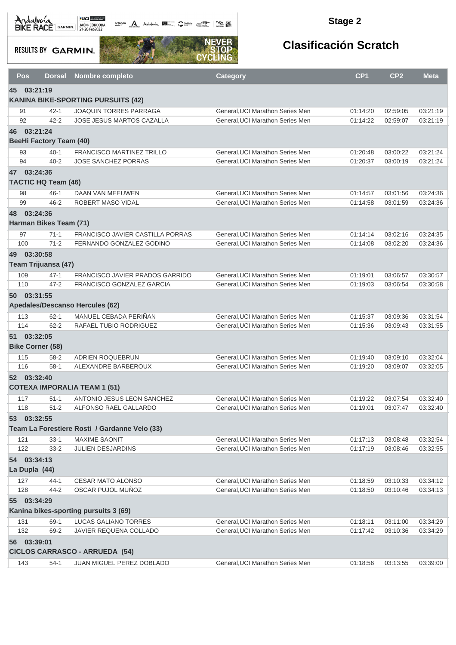**octogon** Andalwin **DE Chatting Comment Comments** 

#### **Stage 2**

**RESULTS BY GARMIN.** 



|    | Pos<br><b>Dorsal</b>               | <b>Nombre completo</b>                              | <b>Category</b>                                                      | CP <sub>1</sub>      | CP <sub>2</sub>      | <b>Meta</b>          |
|----|------------------------------------|-----------------------------------------------------|----------------------------------------------------------------------|----------------------|----------------------|----------------------|
|    | 45 03:21:19                        |                                                     |                                                                      |                      |                      |                      |
|    |                                    | <b>KANINA BIKE-SPORTING PURSUITS (42)</b>           |                                                                      |                      |                      |                      |
|    | 91<br>$42 - 1$                     | <b>JOAQUIN TORRES PARRAGA</b>                       | General, UCI Marathon Series Men                                     | 01:14:20             | 02:59:05             | 03:21:19             |
|    | 92<br>$42 - 2$                     | <b>JOSE JESUS MARTOS CAZALLA</b>                    | General, UCI Marathon Series Men                                     | 01:14:22             | 02:59:07             | 03:21:19             |
|    | 46 03:21:24                        |                                                     |                                                                      |                      |                      |                      |
|    | <b>BeeHi Factory Team (40)</b>     |                                                     |                                                                      |                      |                      |                      |
|    | 93<br>$40 - 1$                     | <b>FRANCISCO MARTINEZ TRILLO</b>                    | General, UCI Marathon Series Men                                     | 01:20:48             | 03:00:22             | 03:21:24             |
|    | $40 - 2$<br>94                     | <b>JOSE SANCHEZ PORRAS</b>                          | General, UCI Marathon Series Men                                     | 01:20:37             | 03:00:19             | 03:21:24             |
|    | 47 03:24:36                        |                                                     |                                                                      |                      |                      |                      |
|    | <b>TACTIC HQ Team (46)</b>         |                                                     |                                                                      |                      |                      |                      |
|    | 98<br>$46 - 1$                     | DAAN VAN MEEUWEN                                    | General, UCI Marathon Series Men                                     | 01:14:57             | 03:01:56             | 03:24:36             |
|    | 99<br>$46 - 2$                     | ROBERT MASO VIDAL                                   | General, UCI Marathon Series Men                                     | 01:14:58             | 03:01:59             | 03:24:36             |
| 48 | 03:24:36                           |                                                     |                                                                      |                      |                      |                      |
|    | Harman Bikes Team (71)             |                                                     |                                                                      |                      |                      |                      |
|    | 97<br>$71-1$                       | <b>FRANCISCO JAVIER CASTILLA PORRAS</b>             | General.UCI Marathon Series Men                                      | 01:14:14             | 03:02:16             | 03:24:35             |
|    | 100<br>$71 - 2$                    | FERNANDO GONZALEZ GODINO                            | General, UCI Marathon Series Men                                     | 01:14:08             | 03:02:20             | 03:24:36             |
| 49 | 03:30:58                           |                                                     |                                                                      |                      |                      |                      |
|    | Team Trijuansa (47)                |                                                     |                                                                      |                      |                      |                      |
|    | 109<br>$47 - 1$                    | FRANCISCO JAVIER PRADOS GARRIDO                     | General, UCI Marathon Series Men                                     | 01:19:01             | 03:06:57             | 03:30:57             |
|    | 110<br>$47 - 2$                    | FRANCISCO GONZALEZ GARCIA                           | General.UCI Marathon Series Men                                      | 01:19:03             | 03:06:54             | 03:30:58             |
|    | 50 03:31:55                        |                                                     |                                                                      |                      |                      |                      |
|    |                                    | Apedales/Descanso Hercules (62)                     |                                                                      |                      |                      |                      |
|    | 113<br>$62 - 1$                    | MANUEL CEBADA PERIÑAN                               | General, UCI Marathon Series Men                                     | 01:15:37             | 03:09:36             | 03:31:54             |
|    | 114<br>$62 - 2$                    | RAFAEL TUBIO RODRIGUEZ                              | General, UCI Marathon Series Men                                     | 01:15:36             | 03:09:43             | 03:31:55             |
|    | 51 03:32:05                        |                                                     |                                                                      |                      |                      |                      |
|    | <b>Bike Corner (58)</b>            |                                                     |                                                                      |                      |                      |                      |
|    | 115<br>$58 - 2$                    | ADRIEN ROQUEBRUN                                    | General, UCI Marathon Series Men                                     | 01:19:40             | 03:09:10             | 03:32:04             |
|    | 116<br>$58-1$                      | ALEXANDRE BARBEROUX                                 | General, UCI Marathon Series Men                                     | 01:19:20             | 03:09:07             | 03:32:05             |
|    | 52 03:32:40                        |                                                     |                                                                      |                      |                      |                      |
|    |                                    | <b>COTEXA IMPORALIA TEAM 1 (51)</b>                 |                                                                      |                      |                      |                      |
|    |                                    |                                                     |                                                                      |                      |                      |                      |
|    | $51 - 1$<br>117<br>118<br>$51 - 2$ | ANTONIO JESUS LEON SANCHEZ<br>ALFONSO RAEL GALLARDO | General, UCI Marathon Series Men<br>General, UCI Marathon Series Men | 01:19:22<br>01:19:01 | 03:07:54<br>03:07:47 | 03:32:40<br>03:32:40 |
|    | 53 03:32:55                        |                                                     |                                                                      |                      |                      |                      |
|    |                                    | Team La Forestiere Rosti / Gardanne Velo (33)       |                                                                      |                      |                      |                      |
|    |                                    |                                                     |                                                                      |                      |                      |                      |
|    | 121<br>$33-1$<br>122<br>$33 - 2$   | <b>MAXIME SAONIT</b><br><b>JULIEN DESJARDINS</b>    | General, UCI Marathon Series Men<br>General, UCI Marathon Series Men | 01:17:13<br>01:17:19 | 03:08:48<br>03:08:46 | 03:32:54<br>03:32:55 |
|    |                                    |                                                     |                                                                      |                      |                      |                      |
|    | 54 03:34:13                        |                                                     |                                                                      |                      |                      |                      |
|    | La Dupla (44)                      |                                                     |                                                                      |                      |                      |                      |
|    | 127<br>44-1                        | <b>CESAR MATO ALONSO</b>                            | General, UCI Marathon Series Men                                     | 01:18:59             | 03:10:33             | 03:34:12             |
|    | 44-2<br>128                        | OSCAR PUJOL MUÑOZ                                   | General, UCI Marathon Series Men                                     | 01:18:50             | 03:10:46             | 03:34:13             |
| 55 | 03:34:29                           |                                                     |                                                                      |                      |                      |                      |
|    |                                    | Kanina bikes-sporting pursuits 3 (69)               |                                                                      |                      |                      |                      |
|    | 69-1<br>131                        | LUCAS GALIANO TORRES                                | General, UCI Marathon Series Men                                     | 01:18:11             | 03:11:00             | 03:34:29             |
|    | 132<br>69-2                        | JAVIER REQUENA COLLADO                              | General, UCI Marathon Series Men                                     | 01:17:42             | 03:10:36             | 03:34:29             |
|    | 56 03:39:01                        |                                                     |                                                                      |                      |                      |                      |
|    |                                    | <b>CICLOS CARRASCO - ARRUEDA (54)</b>               |                                                                      |                      |                      |                      |
|    | 143<br>$54-1$                      | JUAN MIGUEL PEREZ DOBLADO                           | General, UCI Marathon Series Men                                     | 01:18:56             | 03:13:55             | 03:39:00             |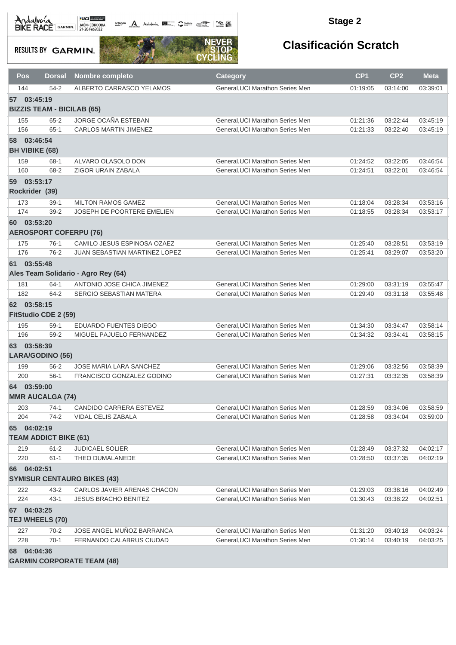octogon A Andalusía **DE C**ANALIS COMPOS COMPOS

#### **Stage 2**

**RESULTS BY GARMIN.** 



| <b>Pos</b>            | <b>Dorsal</b>                     | <b>Nombre completo</b>               | Category                         | CP1      | CP <sub>2</sub> | <b>Meta</b> |
|-----------------------|-----------------------------------|--------------------------------------|----------------------------------|----------|-----------------|-------------|
| 144                   | $54-2$                            | ALBERTO CARRASCO YELAMOS             | General, UCI Marathon Series Men | 01:19:05 | 03:14:00        | 03:39:01    |
| 57 03:45:19           |                                   |                                      |                                  |          |                 |             |
|                       | <b>BIZZIS TEAM - BICILAB (65)</b> |                                      |                                  |          |                 |             |
| 155                   | $65 - 2$                          | JORGE OCAÑA ESTEBAN                  | General, UCI Marathon Series Men | 01:21:36 | 03:22:44        | 03:45:19    |
| 156                   | $65 - 1$                          | <b>CARLOS MARTIN JIMENEZ</b>         | General, UCI Marathon Series Men | 01:21:33 | 03:22:40        | 03:45:19    |
| 58 03:46:54           |                                   |                                      |                                  |          |                 |             |
| <b>BH VIBIKE (68)</b> |                                   |                                      |                                  |          |                 |             |
| 159                   | $68 - 1$                          | ALVARO OLASOLO DON                   | General, UCI Marathon Series Men | 01:24:52 | 03:22:05        | 03:46:54    |
| 160                   | 68-2                              | <b>ZIGOR URAIN ZABALA</b>            | General, UCI Marathon Series Men | 01:24:51 | 03:22:01        | 03:46:54    |
| 59                    | 03:53:17                          |                                      |                                  |          |                 |             |
| Rockrider (39)        |                                   |                                      |                                  |          |                 |             |
| 173                   | $39-1$                            | <b>MILTON RAMOS GAMEZ</b>            | General, UCI Marathon Series Men | 01:18:04 | 03:28:34        | 03:53:16    |
| 174                   | $39-2$                            | <b>JOSEPH DE POORTERE EMELIEN</b>    | General, UCI Marathon Series Men | 01:18:55 | 03:28:34        | 03:53:17    |
| 60 03:53:20           |                                   |                                      |                                  |          |                 |             |
|                       | <b>AEROSPORT COFERPU (76)</b>     |                                      |                                  |          |                 |             |
| 175                   | $76-1$                            | CAMILO JESUS ESPINOSA OZAEZ          | General, UCI Marathon Series Men | 01:25:40 | 03:28:51        | 03:53:19    |
| 176                   | $76-2$                            | <b>JUAN SEBASTIAN MARTINEZ LOPEZ</b> | General, UCI Marathon Series Men | 01:25:41 | 03:29:07        | 03:53:20    |
| 61 03:55:48           |                                   |                                      |                                  |          |                 |             |
|                       |                                   | Ales Team Solidario - Agro Rey (64)  |                                  |          |                 |             |
| 181                   | $64-1$                            | ANTONIO JOSE CHICA JIMENEZ           | General, UCI Marathon Series Men | 01:29:00 | 03:31:19        | 03:55:47    |
| 182                   | $64 - 2$                          | SERGIO SEBASTIAN MATERA              | General, UCI Marathon Series Men | 01:29:40 | 03:31:18        | 03:55:48    |
| 62 03:58:15           |                                   |                                      |                                  |          |                 |             |
|                       | FitStudio CDE 2 (59)              |                                      |                                  |          |                 |             |
| 195                   | $59-1$                            | EDUARDO FUENTES DIEGO                | General, UCI Marathon Series Men | 01:34:30 | 03:34:47        | 03:58:14    |
| 196                   | $59-2$                            | MIGUEL PAJUELO FERNANDEZ             | General, UCI Marathon Series Men | 01:34:32 | 03:34:41        | 03:58:15    |
| 63 03:58:39           |                                   |                                      |                                  |          |                 |             |
|                       | LARA/GODINO (56)                  |                                      |                                  |          |                 |             |
| 199                   | $56 - 2$                          | JOSE MARIA LARA SANCHEZ              | General, UCI Marathon Series Men | 01:29:06 | 03:32:56        | 03:58:39    |
| 200                   | $56-1$                            | FRANCISCO GONZALEZ GODINO            | General, UCI Marathon Series Men | 01:27:31 | 03:32:35        | 03:58:39    |
| 64 03:59:00           |                                   |                                      |                                  |          |                 |             |
|                       | <b>MMR AUCALGA (74)</b>           |                                      |                                  |          |                 |             |
| 203                   | 74-1                              | <b>CANDIDO CARRERA ESTEVEZ</b>       | General, UCI Marathon Series Men | 01:28:59 | 03:34:06        | 03:58:59    |
| 204                   | $74-2$                            | VIDAL CELIS ZABALA                   | General, UCI Marathon Series Men | 01:28:58 | 03:34:04        | 03:59:00    |
| 65                    | 04:02:19                          |                                      |                                  |          |                 |             |
|                       | <b>TEAM ADDICT BIKE (61)</b>      |                                      |                                  |          |                 |             |
| 219                   | $61 - 2$                          | <b>JUDICAEL SOLIER</b>               | General, UCI Marathon Series Men | 01:28:49 | 03:37:32        | 04:02:17    |
| 220                   | $61 - 1$                          | THEO DUMALANEDE                      | General, UCI Marathon Series Men | 01:28:50 | 03:37:35        | 04:02:19    |
| 66 04:02:51           |                                   |                                      |                                  |          |                 |             |
|                       |                                   | <b>SYMISUR CENTAURO BIKES (43)</b>   |                                  |          |                 |             |
| 222                   | $43 - 2$                          | CARLOS JAVIER ARENAS CHACON          | General. UCI Marathon Series Men | 01:29:03 | 03:38:16        | 04:02:49    |
| 224                   | $43 - 1$                          | <b>JESUS BRACHO BENITEZ</b>          | General, UCI Marathon Series Men | 01:30:43 | 03:38:22        | 04:02:51    |
| 67 04:03:25           |                                   |                                      |                                  |          |                 |             |
|                       | TEJ WHEELS (70)                   |                                      |                                  |          |                 |             |
| 227                   | $70 - 2$                          | JOSE ANGEL MUÑOZ BARRANCA            | General, UCI Marathon Series Men | 01:31:20 | 03:40:18        | 04:03:24    |
| 228                   | $70-1$                            | <b>FERNANDO CALABRUS CIUDAD</b>      | General, UCI Marathon Series Men | 01:30:14 | 03:40:19        | 04:03:25    |
| 68 04:04:36           |                                   |                                      |                                  |          |                 |             |
|                       |                                   | <b>GARMIN CORPORATE TEAM (48)</b>    |                                  |          |                 |             |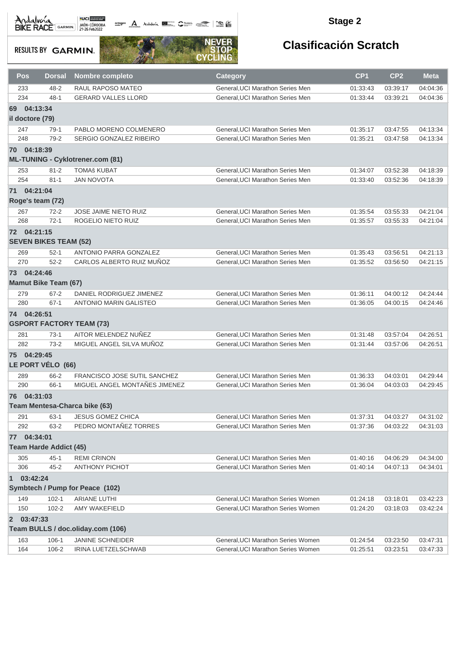**octogon A** Andalwin **ELLER** CANNAIS TO BE

#### **Stage 2**

**RESULTS BY GARMIN.** 



| <b>Pos</b>                 | <b>Dorsal</b>                 | <b>Nombre completo</b>                  | <b>Category</b>                    | CP <sub>1</sub> | CP <sub>2</sub> | <b>Meta</b> |
|----------------------------|-------------------------------|-----------------------------------------|------------------------------------|-----------------|-----------------|-------------|
| 233                        | $48 - 2$                      | RAUL RAPOSO MATEO                       | General, UCI Marathon Series Men   | 01:33:43        | 03:39:17        | 04:04:36    |
| 234                        | $48 - 1$                      | <b>GERARD VALLES LLORD</b>              | General, UCI Marathon Series Men   | 01:33:44        | 03:39:21        | 04:04:36    |
| 04:13:34<br>69             |                               |                                         |                                    |                 |                 |             |
| il doctore (79)            |                               |                                         |                                    |                 |                 |             |
|                            |                               |                                         |                                    |                 |                 |             |
| 247                        | $79-1$                        | PABLO MORENO COLMENERO                  | General, UCI Marathon Series Men   | 01:35:17        | 03:47:55        | 04:13:34    |
| 248                        | $79-2$                        | SERGIO GONZALEZ RIBEIRO                 | General, UCI Marathon Series Men   | 01:35:21        | 03:47:58        | 04:13:34    |
| 70 04:18:39                |                               |                                         |                                    |                 |                 |             |
|                            |                               | <b>ML-TUNING - Cyklotrener.com (81)</b> |                                    |                 |                 |             |
| 253                        | $81 - 2$                      | <b>TOMAš KUBAT</b>                      | General, UCI Marathon Series Men   | 01:34:07        | 03:52:38        | 04:18:39    |
| 254                        | $81 - 1$                      | <b>JAN NOVOTA</b>                       | General, UCI Marathon Series Men   | 01:33:40        | 03:52:36        | 04:18:39    |
| 71 04:21:04                |                               |                                         |                                    |                 |                 |             |
| Roge's team (72)           |                               |                                         |                                    |                 |                 |             |
| 267                        | $72 - 2$                      | JOSE JAIME NIETO RUIZ                   | General, UCI Marathon Series Men   | 01:35:54        | 03:55:33        | 04:21:04    |
| 268                        | $72-1$                        | ROGELIO NIETO RUIZ                      | General.UCI Marathon Series Men    | 01:35:57        | 03:55:33        | 04:21:04    |
|                            |                               |                                         |                                    |                 |                 |             |
| 72 04:21:15                |                               |                                         |                                    |                 |                 |             |
|                            | <b>SEVEN BIKES TEAM (52)</b>  |                                         |                                    |                 |                 |             |
| 269                        | $52-1$                        | ANTONIO PARRA GONZALEZ                  | General.UCI Marathon Series Men    | 01:35:43        | 03:56:51        | 04:21:13    |
| 270                        | $52 - 2$                      | CARLOS ALBERTO RUIZ MUÑOZ               | General, UCI Marathon Series Men   | 01:35:52        | 03:56:50        | 04:21:15    |
| 73 04:24:46                |                               |                                         |                                    |                 |                 |             |
|                            | <b>Mamut Bike Team (67)</b>   |                                         |                                    |                 |                 |             |
| 279                        | $67 - 2$                      | DANIEL RODRIGUEZ JIMENEZ                | General, UCI Marathon Series Men   | 01:36:11        | 04:00:12        | 04:24:44    |
| 280                        | $67-1$                        | <b>ANTONIO MARIN GALISTEO</b>           | General, UCI Marathon Series Men   | 01:36:05        | 04:00:15        | 04:24:46    |
| 74 04:26:51                |                               |                                         |                                    |                 |                 |             |
|                            |                               | <b>GSPORT FACTORY TEAM (73)</b>         |                                    |                 |                 |             |
|                            |                               |                                         |                                    |                 |                 |             |
| 281                        | $73-1$                        | AITOR MELENDEZ NUÑEZ                    | General, UCI Marathon Series Men   | 01:31:48        | 03:57:04        | 04:26:51    |
| 282                        | $73-2$                        | MIGUEL ANGEL SILVA MUÑOZ                | General, UCI Marathon Series Men   | 01:31:44        | 03:57:06        | 04:26:51    |
| 75 04:29:45                |                               |                                         |                                    |                 |                 |             |
|                            | LE PORT VÉLO (66)             |                                         |                                    |                 |                 |             |
| 289                        | 66-2                          | FRANCISCO JOSE SUTIL SANCHEZ            | General, UCI Marathon Series Men   | 01:36:33        | 04:03:01        | 04:29:44    |
| 290                        | $66-1$                        | MIGUEL ANGEL MONTAÑES JIMENEZ           | General.UCI Marathon Series Men    | 01:36:04        | 04:03:03        | 04:29:45    |
| 04:31:03<br>76             |                               |                                         |                                    |                 |                 |             |
|                            |                               | Team Mentesa-Charca bike (63)           |                                    |                 |                 |             |
| 291                        | $63-1$                        | <b>JESUS GOMEZ CHICA</b>                | General, UCI Marathon Series Men   | 01:37:31        | 04:03:27        | 04:31:02    |
| 292                        | 63-2                          | PEDRO MONTAÑEZ TORRES                   | General, UCI Marathon Series Men   | 01:37:36        | 04:03:22        | 04:31:03    |
|                            |                               |                                         |                                    |                 |                 |             |
| 77 04:34:01                |                               |                                         |                                    |                 |                 |             |
|                            | <b>Team Harde Addict (45)</b> |                                         |                                    |                 |                 |             |
| 305                        | $45 - 1$                      | <b>REMI CRINON</b>                      | General, UCI Marathon Series Men   | 01:40:16        | 04:06:29        | 04:34:00    |
| 306                        | $45 - 2$                      | <b>ANTHONY PICHOT</b>                   | General, UCI Marathon Series Men   | 01:40:14        | 04:07:13        | 04:34:01    |
| 03:42:24<br>$\mathbf{1}$   |                               |                                         |                                    |                 |                 |             |
|                            |                               | Symbtech / Pump for Peace (102)         |                                    |                 |                 |             |
| 149                        | $102 - 1$                     | ARIANE LUTHI                            | General, UCI Marathon Series Women | 01:24:18        | 03:18:01        | 03:42:23    |
| 150                        | $102 - 2$                     | AMY WAKEFIELD                           | General, UCI Marathon Series Women | 01:24:20        | 03:18:03        | 03:42:24    |
| 03:47:33<br>$\overline{2}$ |                               |                                         |                                    |                 |                 |             |
|                            |                               | Team BULLS / doc.oliday.com (106)       |                                    |                 |                 |             |
|                            |                               |                                         |                                    |                 |                 |             |
| 163                        | $106 - 1$                     | <b>JANINE SCHNEIDER</b>                 | General, UCI Marathon Series Women | 01:24:54        | 03:23:50        | 03:47:31    |
| 164                        | 106-2                         | IRINA LUETZELSCHWAB                     | General, UCI Marathon Series Women | 01:25:51        | 03:23:51        | 03:47:33    |